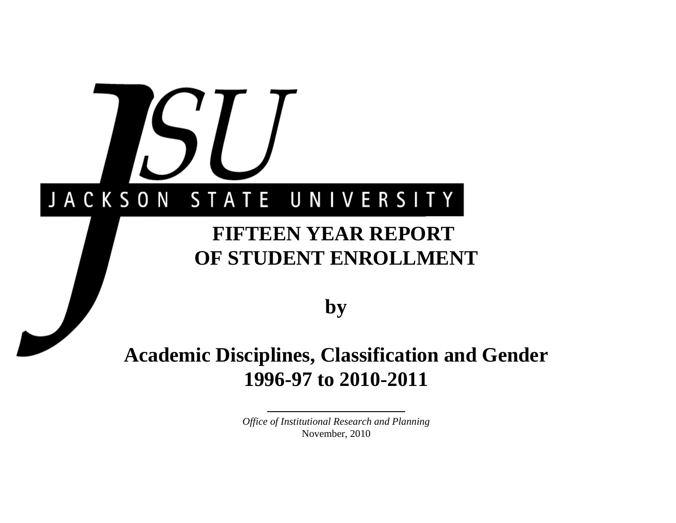# JACKSON STATE UNIVERSITY

# **FIFTEEN YEAR REPORT OF STUDENT ENROLLMENT**

**by**

# **Academic Disciplines, Classification and Gender 1996-97 to 2010-2011**

*Office of Institutional Research and Planning* November, 2010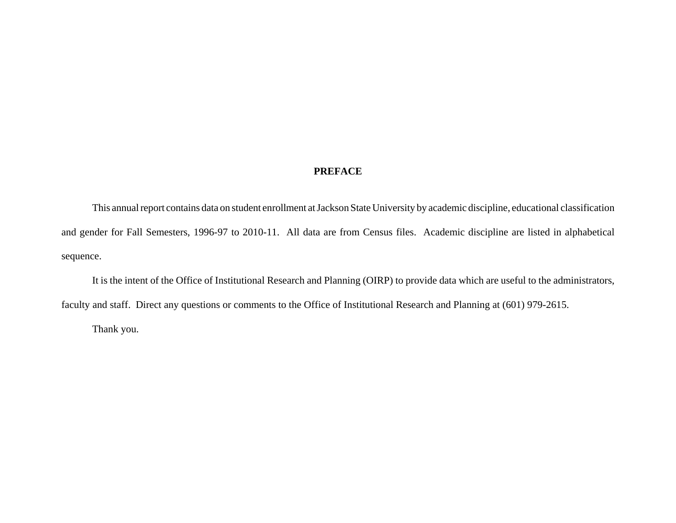### **PREFACE**

This annual report contains data on student enrollment at Jackson State University by academic discipline, educational classification and gender for Fall Semesters, 1996-97 to 2010-11. All data are from Census files. Academic discipline are listed in alphabetical sequence.

It is the intent of the Office of Institutional Research and Planning (OIRP) to provide data which are useful to the administrators, faculty and staff. Direct any questions or comments to the Office of Institutional Research and Planning at (601) 979-2615.

Thank you.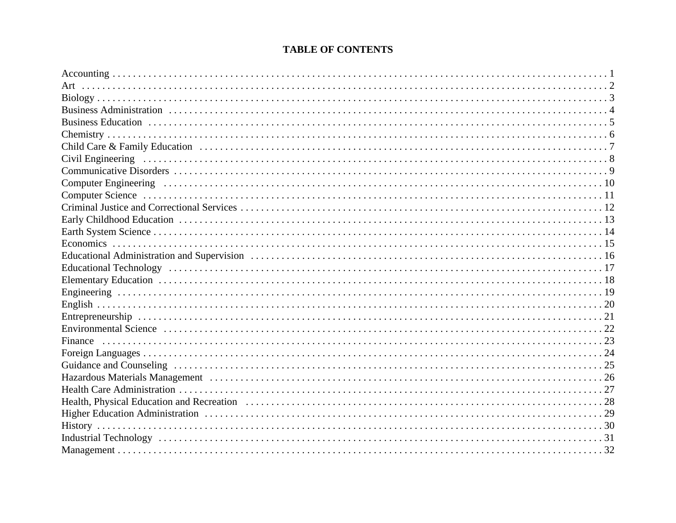# **TABLE OF CONTENTS**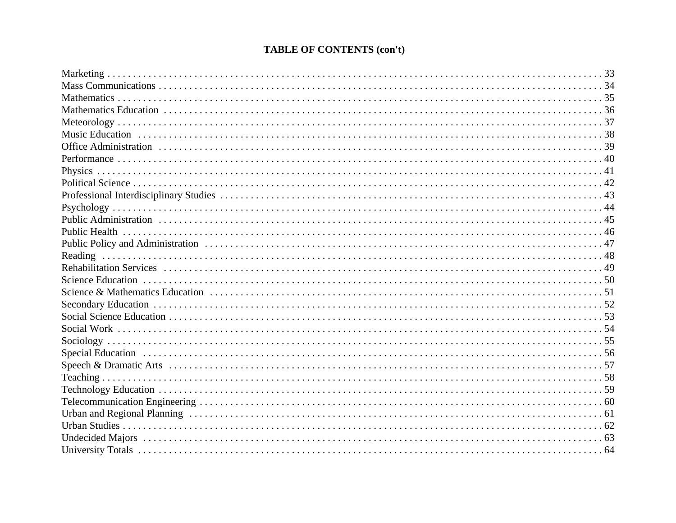# **TABLE OF CONTENTS (con't)**

| Reading                                                                                                                                                                                                                        |  |
|--------------------------------------------------------------------------------------------------------------------------------------------------------------------------------------------------------------------------------|--|
|                                                                                                                                                                                                                                |  |
|                                                                                                                                                                                                                                |  |
|                                                                                                                                                                                                                                |  |
|                                                                                                                                                                                                                                |  |
|                                                                                                                                                                                                                                |  |
|                                                                                                                                                                                                                                |  |
|                                                                                                                                                                                                                                |  |
| Special Education (a) respectively contain the control of the control of the control of the control of the control of the control of the control of the control of the control of the control of the control of the control of |  |
|                                                                                                                                                                                                                                |  |
|                                                                                                                                                                                                                                |  |
|                                                                                                                                                                                                                                |  |
|                                                                                                                                                                                                                                |  |
|                                                                                                                                                                                                                                |  |
|                                                                                                                                                                                                                                |  |
|                                                                                                                                                                                                                                |  |
|                                                                                                                                                                                                                                |  |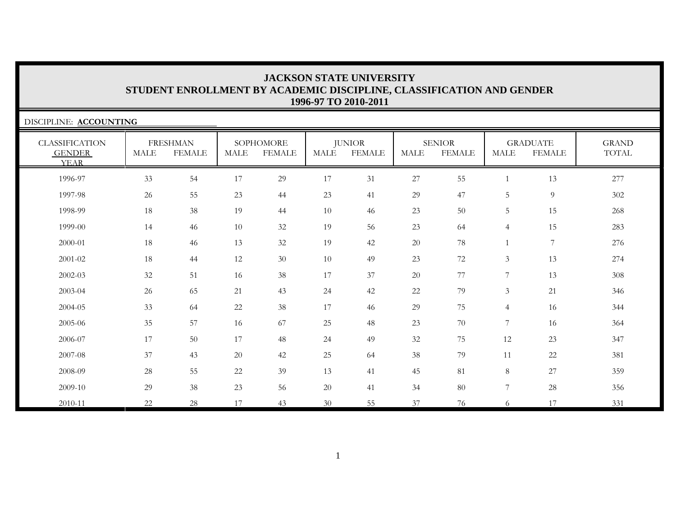| DISCIPLINE: ACCOUNTING                                |      |                                  |             |                            |        |                                |        |                                |                |                                  |                       |
|-------------------------------------------------------|------|----------------------------------|-------------|----------------------------|--------|--------------------------------|--------|--------------------------------|----------------|----------------------------------|-----------------------|
| <b>CLASSIFICATION</b><br><b>GENDER</b><br><b>YEAR</b> | MALE | <b>FRESHMAN</b><br><b>FEMALE</b> | <b>MALE</b> | SOPHOMORE<br><b>FEMALE</b> | MALE   | <b>JUNIOR</b><br><b>FEMALE</b> | MALE   | <b>SENIOR</b><br><b>FEMALE</b> | <b>MALE</b>    | <b>GRADUATE</b><br><b>FEMALE</b> | <b>GRAND</b><br>TOTAL |
| 1996-97                                               | 33   | 54                               | 17          | 29                         | $17\,$ | 31                             | 27     | 55                             |                | 13                               | 277                   |
| 1997-98                                               | 26   | 55                               | 23          | 44                         | 23     | 41                             | 29     | 47                             | 5              | $\overline{9}$                   | 302                   |
| 1998-99                                               | 18   | 38                               | 19          | 44                         | 10     | 46                             | 23     | 50                             | 5              | 15                               | 268                   |
| 1999-00                                               | 14   | 46                               | 10          | 32                         | 19     | 56                             | 23     | 64                             | 4              | 15                               | 283                   |
| 2000-01                                               | 18   | 46                               | 13          | 32                         | 19     | 42                             | $20\,$ | 78                             |                | $\overline{7}$                   | 276                   |
| 2001-02                                               | 18   | 44                               | 12          | 30                         | $10\,$ | 49                             | 23     | 72                             | 3              | 13                               | 274                   |
| 2002-03                                               | 32   | 51                               | 16          | 38                         | 17     | 37                             | 20     | 77                             | 7              | 13                               | 308                   |
| 2003-04                                               | 26   | 65                               | 21          | 43                         | $24\,$ | 42                             | $22\,$ | 79                             | $\mathfrak{Z}$ | 21                               | 346                   |
| 2004-05                                               | 33   | 64                               | 22          | 38                         | 17     | 46                             | 29     | 75                             | $\overline{4}$ | 16                               | 344                   |
| 2005-06                                               | 35   | 57                               | 16          | 67                         | 25     | 48                             | 23     | $70\,$                         | $\overline{7}$ | 16                               | 364                   |
| 2006-07                                               | 17   | 50                               | 17          | 48                         | 24     | 49                             | $32\,$ | 75                             | 12             | 23                               | 347                   |
| 2007-08                                               | 37   | 43                               | 20          | 42                         | 25     | 64                             | 38     | 79                             | 11             | 22                               | 381                   |
| 2008-09                                               | 28   | 55                               | 22          | 39                         | 13     | 41                             | 45     | 81                             | $8\,$          | 27                               | 359                   |
| 2009-10                                               | 29   | 38                               | 23          | 56                         | 20     | 41                             | 34     | 80                             | $\overline{7}$ | 28                               | 356                   |
| 2010-11                                               | 22   | 28                               | 17          | 43                         | 30     | 55                             | 37     | 76                             | 6              | 17                               | 331                   |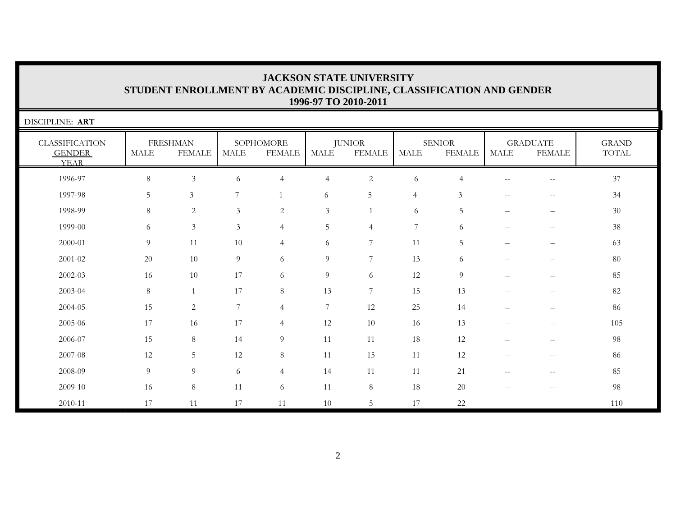| DISCIPLINE: ART                                       |             |                                  |                |                            |                |                                |                |                                |                                                     |                                                       |                       |
|-------------------------------------------------------|-------------|----------------------------------|----------------|----------------------------|----------------|--------------------------------|----------------|--------------------------------|-----------------------------------------------------|-------------------------------------------------------|-----------------------|
| <b>CLASSIFICATION</b><br><b>GENDER</b><br><b>YEAR</b> | <b>MALE</b> | <b>FRESHMAN</b><br><b>FEMALE</b> | <b>MALE</b>    | SOPHOMORE<br><b>FEMALE</b> | <b>MALE</b>    | <b>JUNIOR</b><br><b>FEMALE</b> | <b>MALE</b>    | <b>SENIOR</b><br><b>FEMALE</b> | MALE                                                | <b>GRADUATE</b><br><b>FEMALE</b>                      | <b>GRAND</b><br>TOTAL |
| 1996-97                                               | $\,8\,$     | $\mathfrak{Z}$                   | 6              | $\overline{4}$             | $\overline{4}$ | $\mathbf{2}$                   | 6              | $\overline{4}$                 | $\mathbf{u}$                                        | $\hspace{0.05cm} -$                                   | 37                    |
| 1997-98                                               | 5           | $\mathfrak{Z}$                   | 7              |                            | 6              | 5                              | $\overline{4}$ | $\mathfrak{Z}$                 | $\hspace{0.05cm} -\hspace{0.05cm} -\hspace{0.05cm}$ | $\hspace{0.05cm} - \hspace{0.05cm} - \hspace{0.05cm}$ | 34                    |
| 1998-99                                               | 8           | 2                                | $\mathfrak{Z}$ | 2                          | $\mathfrak{Z}$ | $\mathbf{1}$                   | 6              | 5                              | $\qquad \qquad -$                                   | $\overline{\phantom{0}}$                              | 30                    |
| 1999-00                                               | 6           | $\mathfrak{Z}$                   | $\mathfrak{Z}$ | $\overline{4}$             | 5              | $\overline{4}$                 | 7              | 6                              |                                                     |                                                       | 38                    |
| 2000-01                                               | 9           | 11                               | 10             | $\overline{4}$             | 6              | $7\phantom{.0}$                | 11             | 5                              |                                                     |                                                       | 63                    |
| $2001 - 02$                                           | 20          | 10                               | 9              | 6                          | 9              | $\overline{7}$                 | 13             | 6                              |                                                     |                                                       | 80                    |
| 2002-03                                               | 16          | 10                               | 17             | 6                          | $\overline{9}$ | 6                              | 12             | 9                              |                                                     |                                                       | 85                    |
| 2003-04                                               | 8           |                                  | 17             | 8                          | 13             | $7\phantom{.0}$                | 15             | 13                             |                                                     |                                                       | 82                    |
| 2004-05                                               | 15          | $\sqrt{2}$                       | 7              | $\overline{4}$             | 7              | 12                             | 25             | 14                             |                                                     |                                                       | 86                    |
| 2005-06                                               | 17          | 16                               | 17             | $\overline{4}$             | 12             | 10                             | 16             | 13                             |                                                     |                                                       | 105                   |
| 2006-07                                               | 15          | $8\phantom{.}$                   | 14             | 9                          | 11             | 11                             | 18             | 12                             |                                                     |                                                       | 98                    |
| 2007-08                                               | 12          | 5                                | 12             | 8                          | 11             | 15                             | 11             | 12                             | $\qquad \qquad -$                                   |                                                       | 86                    |
| 2008-09                                               | 9           | 9                                | 6              | $\overline{4}$             | 14             | 11                             | 11             | 21                             | $\overline{\phantom{m}}$                            | $\sim$ $\sim$                                         | 85                    |
| 2009-10                                               | 16          | 8                                | 11             | 6                          | 11             | $\,8\,$                        | 18             | 20                             | $\overline{\phantom{m}}$                            |                                                       | 98                    |
| 2010-11                                               | 17          | 11                               | 17             | 11                         | 10             | 5                              | 17             | 22                             |                                                     |                                                       | 110                   |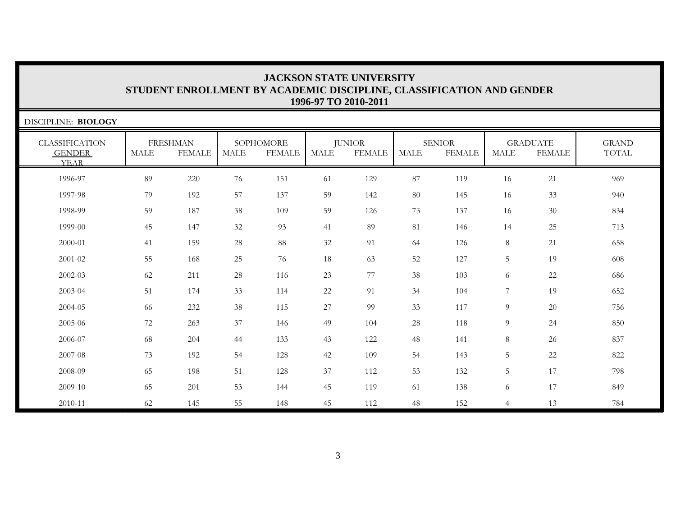| DISCIPLINE: BIOLOGY                                   |             |                                  |             |                            |             |                         |             |                                |                |                                  |                       |
|-------------------------------------------------------|-------------|----------------------------------|-------------|----------------------------|-------------|-------------------------|-------------|--------------------------------|----------------|----------------------------------|-----------------------|
| <b>CLASSIFICATION</b><br><b>GENDER</b><br><b>YEAR</b> | <b>MALE</b> | <b>FRESHMAN</b><br><b>FEMALE</b> | <b>MALE</b> | SOPHOMORE<br><b>FEMALE</b> | <b>MALE</b> | <b>JUNIOR</b><br>FEMALE | <b>MALE</b> | <b>SENIOR</b><br><b>FEMALE</b> | <b>MALE</b>    | <b>GRADUATE</b><br><b>FEMALE</b> | <b>GRAND</b><br>TOTAL |
| 1996-97                                               | 89          | 220                              | 76          | 151                        | 61          | 129                     | 87          | 119                            | 16             | 21                               | 969                   |
| 1997-98                                               | 79          | 192                              | 57          | 137                        | 59          | 142                     | 80          | 145                            | 16             | 33                               | 940                   |
| 1998-99                                               | 59          | 187                              | 38          | 109                        | 59          | 126                     | 73          | 137                            | 16             | 30                               | 834                   |
| 1999-00                                               | 45          | 147                              | 32          | 93                         | 41          | 89                      | 81          | 146                            | 14             | 25                               | 713                   |
| 2000-01                                               | 41          | 159                              | 28          | 88                         | 32          | 91                      | 64          | 126                            | 8              | 21                               | 658                   |
| 2001-02                                               | 55          | 168                              | 25          | 76                         | 18          | 63                      | 52          | 127                            | 5              | 19                               | 608                   |
| 2002-03                                               | 62          | 211                              | $28\,$      | 116                        | 23          | 77                      | 38          | 103                            | 6              | 22                               | 686                   |
| 2003-04                                               | 51          | 174                              | 33          | 114                        | 22          | 91                      | 34          | 104                            | $\overline{7}$ | 19                               | 652                   |
| 2004-05                                               | 66          | 232                              | 38          | 115                        | 27          | 99                      | 33          | 117                            | 9              | 20                               | 756                   |
| 2005-06                                               | 72          | 263                              | $37\,$      | 146                        | 49          | 104                     | 28          | 118                            | 9              | 24                               | 850                   |
| 2006-07                                               | 68          | 204                              | 44          | 133                        | 43          | 122                     | 48          | 141                            | 8              | 26                               | 837                   |
| 2007-08                                               | 73          | 192                              | 54          | 128                        | 42          | 109                     | 54          | 143                            | 5              | 22                               | 822                   |
| 2008-09                                               | 65          | 198                              | 51          | 128                        | 37          | 112                     | 53          | 132                            | $\overline{5}$ | 17                               | 798                   |
| 2009-10                                               | 65          | 201                              | 53          | 144                        | 45          | 119                     | 61          | 138                            | 6              | 17                               | 849                   |
| 2010-11                                               | 62          | 145                              | 55          | 148                        | 45          | 112                     | 48          | 152                            | $\overline{4}$ | 13                               | 784                   |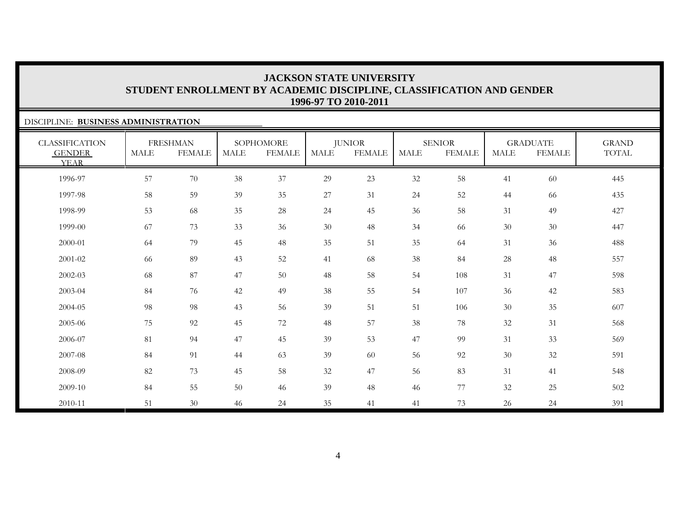GRAND TOTAL

6 77 32 25 502

### DISCIPLINE: **BUSINESS ADMINISTRATION**CLASSIFICATION GENDER YEARFRESHMAN MALE FEMALESOPHOMORE MALE FEMALEJUNIOR MALE FEMALESENIORMALE FEMALEGRADUATE MALE FEMALE1996-97 57 70 38 37 29 23 32 58 41 60 445 1997-98 58 59 39 35 27 31 24 52 44 66 435 1998-99 53 68 35 28 24 45 36 58 31 49 427 1999-00 67 73 33 36 30 48 34 66 30 30 447 2000-01 64 79 45 48 35 51 35 64 31 36 488 2001-02 66 89 43 52 41 68 38 84 28 48 557 2002-03 68 87 47 50 48 58 54 108 31 47 598 2003-04 84 76 42 49 38 55 54 107 36 42 583 2004-05 98 98 43 56 39 51 51 106 300 35 607

84 55 50 46 39 48 46

2005-06

2006-07

2007-08

2008-09

2009-10

2010-11

75 92 45 72 48 57 38 78 32 31 568

81 94 47 45 39 53 47 99 31 33 569

84 91 44 63 39 60 56 92 30 32 591

82 73 45 58 32 47 56 83 31 41 548

51 30 46 24 35 41 41 73 26 24 391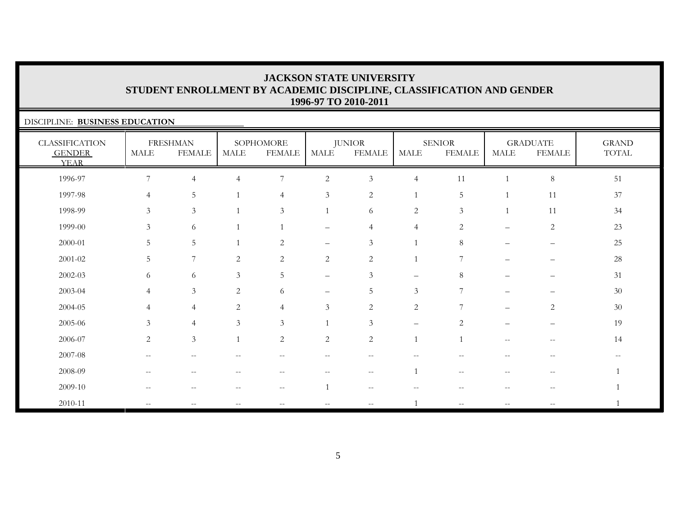### DISCIPLINE: **BUSINESS EDUCATION**CLASSIFICATION GENDER YEARFRESHMAN MALE FEMALE**SOPHOMORE** MALE FEMALEJUNIOR MALE FEMALESENIORMALE FEMALEGRADUATE MALE FEMALEGRAND TOTAL 1996-97 7 4 4 7 2 3 4 11 1 8 511997-98 4 5 1 4 3 2 1 5 1 11 3737 1998-99 3 3 1 3 1 6 2 3 1 11 34 34 1999-00 3 6 1 1 – 4 4 2 – 2 2323 2000-01 5 5 1 2 – 3 1 8 – – 252001-02 5 7 2 2 2 2 1 7 – – 2828 2002-03 6 6 3 5 – 3 – 8 – – 312003-04 4 3 2 6 – 5 3 7 – – 3030 2004-05 4 4 2 4 3 2 2 7 – 2 3030 2005-06 3 4 3 3 1 3 – 2 – – 1919  $2006-07$  2 3 1 2 2 2 1 1 -- - 14 2007-08 -- -- -- -- -- -- -- -- -- -- --2008-09 -- -- -- -- -- -- 1 -- -- -- 12009-10 -- -- -- -- 1 -- -- -- -- -- 12010-11 -- -- -- -- -- -- 1 -- -- -- 1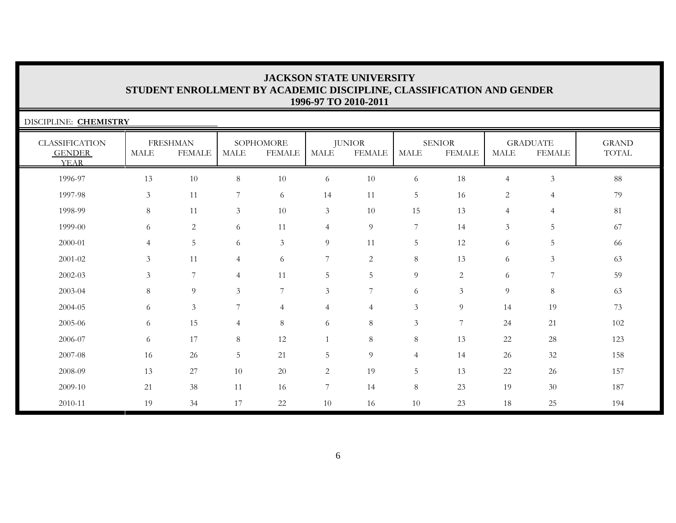| DISCIPLINE: CHEMISTRY                                 |                       |                                  |                |                            |                |                                |                |                                |                |                                  |                       |
|-------------------------------------------------------|-----------------------|----------------------------------|----------------|----------------------------|----------------|--------------------------------|----------------|--------------------------------|----------------|----------------------------------|-----------------------|
| <b>CLASSIFICATION</b><br><b>GENDER</b><br><b>YEAR</b> | $\operatorname{MALE}$ | <b>FRESHMAN</b><br><b>FEMALE</b> | MALE           | SOPHOMORE<br><b>FEMALE</b> | <b>MALE</b>    | <b>JUNIOR</b><br><b>FEMALE</b> | <b>MALE</b>    | <b>SENIOR</b><br><b>FEMALE</b> | MALE           | <b>GRADUATE</b><br><b>FEMALE</b> | <b>GRAND</b><br>TOTAL |
| 1996-97                                               | 13                    | 10                               | 8              | 10                         | 6              | 10                             | 6              | 18                             | $\overline{4}$ | $\mathfrak{Z}$                   | 88                    |
| 1997-98                                               | $\mathfrak{Z}$        | 11                               | 7              | 6                          | 14             | 11                             | 5              | 16                             | $\overline{c}$ | 4                                | 79                    |
| 1998-99                                               | 8                     | 11                               | $\mathfrak{Z}$ | $10\,$                     | $\mathfrak{Z}$ | 10                             | 15             | 13                             | $\overline{4}$ | 4                                | 81                    |
| 1999-00                                               | 6                     | 2                                | 6              | 11                         | $\overline{4}$ | 9                              | $\overline{7}$ | 14                             | 3              | 5                                | 67                    |
| 2000-01                                               | $\overline{4}$        | 5                                | 6              | $\mathfrak{Z}$             | $\overline{9}$ | 11                             | 5              | 12                             | 6              | 5                                | 66                    |
| 2001-02                                               | 3                     | 11                               | $\overline{4}$ | 6                          | $\overline{7}$ | 2                              | 8              | 13                             | 6              | $\mathfrak{Z}$                   | 63                    |
| 2002-03                                               | 3                     | 7                                | $\overline{4}$ | 11                         | 5              | 5                              | 9              | $\overline{2}$                 | 6              | 7                                | 59                    |
| 2003-04                                               | 8                     | 9                                | $\mathfrak{Z}$ | $\overline{7}$             | $\overline{3}$ | $7\phantom{.0}$                | 6              | $\mathfrak{Z}$                 | 9              | $8\,$                            | 63                    |
| 2004-05                                               | 6                     | 3 <sup>1</sup>                   | $\overline{7}$ | $\overline{4}$             | $\overline{4}$ | $\overline{4}$                 | $\mathfrak{Z}$ | 9                              | 14             | 19                               | 73                    |
| 2005-06                                               | 6                     | 15                               | $\overline{4}$ | 8                          | 6              | $8\,$                          | $\mathfrak{Z}$ | $\overline{7}$                 | 24             | 21                               | 102                   |
| 2006-07                                               | 6                     | 17                               | 8              | 12                         | $\mathbf{1}$   | 8                              | 8              | 13                             | 22             | $28\,$                           | 123                   |
| 2007-08                                               | 16                    | 26                               | 5              | 21                         | 5              | 9                              | $\overline{4}$ | 14                             | 26             | 32                               | 158                   |
| 2008-09                                               | 13                    | 27                               | 10             | 20                         | $\overline{c}$ | 19                             | 5              | 13                             | 22             | 26                               | 157                   |
| 2009-10                                               | 21                    | 38                               | 11             | 16                         | $\overline{7}$ | 14                             | $8\,$          | 23                             | 19             | $30\,$                           | 187                   |
| 2010-11                                               | 19                    | 34                               | 17             | 22                         | 10             | 16                             | 10             | 23                             | 18             | 25                               | 194                   |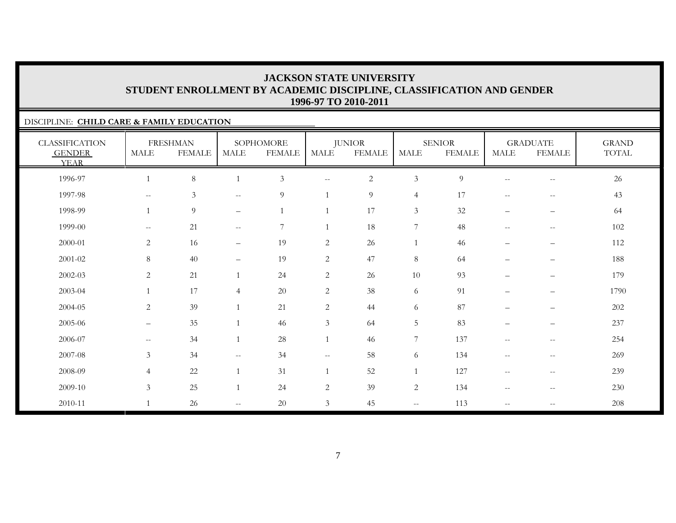### DISCIPLINE: **CHILD CARE & FAMILY EDUCATION**

| <b>CLASSIFICATION</b><br><b>GENDER</b><br><b>YEAR</b> | <b>MALE</b>                                         | <b>FRESHMAN</b><br><b>FEMALE</b> | <b>MALE</b>                                         | SOPHOMORE<br><b>FEMALE</b> | MALE                     | <b>JUNIOR</b><br><b>FEMALE</b> | <b>MALE</b>              | <b>SENIOR</b><br><b>FEMALE</b> | <b>MALE</b>              | <b>GRADUATE</b><br><b>FEMALE</b>                    | <b>GRAND</b><br>TOTAL |
|-------------------------------------------------------|-----------------------------------------------------|----------------------------------|-----------------------------------------------------|----------------------------|--------------------------|--------------------------------|--------------------------|--------------------------------|--------------------------|-----------------------------------------------------|-----------------------|
| 1996-97                                               |                                                     | $8\,$                            |                                                     | $\mathfrak{Z}$             | $- -$                    | $\sqrt{2}$                     | $\mathfrak{Z}$           | $\overline{9}$                 | $\overline{\phantom{m}}$ | $-\,-$                                              | 26                    |
| 1997-98                                               | $\hspace{0.05cm} -\hspace{0.05cm} -\hspace{0.05cm}$ | $\mathfrak{Z}$                   | $\mathbf{u}$                                        | 9                          |                          | 9                              | $\overline{4}$           | 17                             | $--$                     | $-\,-$                                              | 43                    |
| 1998-99                                               |                                                     | 9                                | $\qquad \qquad -$                                   | $\overline{1}$             |                          | 17                             | $\mathfrak{Z}$           | 32                             |                          | $\overline{\phantom{m}}$                            | 64                    |
| 1999-00                                               | $\hspace{0.05cm} -\hspace{0.05cm} -\hspace{0.05cm}$ | 21                               | $\hspace{0.05cm} -\hspace{0.05cm} -\hspace{0.05cm}$ | $\overline{7}$             |                          | 18                             | $\boldsymbol{7}$         | 48                             | $--$                     | $\overline{\phantom{m}}$                            | 102                   |
| 2000-01                                               | $\overline{c}$                                      | 16                               | $\qquad \qquad -$                                   | 19                         | $\overline{c}$           | 26                             | $\mathbf{1}$             | 46                             | $\qquad \qquad -$        | $\qquad \qquad -$                                   | 112                   |
| $2001 - 02$                                           | $8\,$                                               | 40                               | $\qquad \qquad -$                                   | 19                         | $\overline{c}$           | 47                             | $\,8\,$                  | 64                             | $\qquad \qquad -$        | $\qquad \qquad -$                                   | 188                   |
| 2002-03                                               | $\sqrt{2}$                                          | 21                               |                                                     | 24                         | $\overline{c}$           | 26                             | 10                       | 93                             | $\qquad \qquad -$        | $\overline{\phantom{m}}$                            | 179                   |
| 2003-04                                               |                                                     | 17                               | $\overline{4}$                                      | 20                         | $\overline{c}$           | 38                             | 6                        | 91                             | $\qquad \qquad -$        | $\qquad \qquad -$                                   | 1790                  |
| 2004-05                                               | $\overline{2}$                                      | 39                               | $\overline{1}$                                      | 21                         | $\overline{2}$           | 44                             | 6                        | 87                             | $\qquad \qquad -$        | $\overline{\phantom{m}}$                            | 202                   |
| 2005-06                                               | $\qquad \qquad -$                                   | 35                               |                                                     | 46                         | $\mathfrak{Z}$           | 64                             | 5                        | 83                             | $\qquad \qquad -$        | $\overline{\phantom{m}}$                            | 237                   |
| 2006-07                                               | $--$                                                | 34                               | $\overline{1}$                                      | 28                         | $\mathbf{1}$             | 46                             | $\overline{7}$           | 137                            | $--$                     | $- -$                                               | 254                   |
| 2007-08                                               | $\mathfrak{Z}$                                      | 34                               | $--$                                                | 34                         | $\overline{\phantom{m}}$ | 58                             | 6                        | 134                            | $\overline{\phantom{m}}$ | $\hspace{0.05cm} -\hspace{0.05cm} -\hspace{0.05cm}$ | 269                   |
| 2008-09                                               | $\overline{4}$                                      | 22                               | $\overline{1}$                                      | 31                         |                          | 52                             | 1                        | 127                            | $--$                     | $--$                                                | 239                   |
| 2009-10                                               | $\mathfrak{Z}$                                      | 25                               | $\mathbf{1}$                                        | 24                         | $\overline{2}$           | 39                             | $\overline{c}$           | 134                            | $--$                     | $\hspace{0.05cm} -\hspace{0.05cm} -\hspace{0.05cm}$ | 230                   |
| 2010-11                                               |                                                     | 26                               | $\overline{\phantom{m}}$                            | 20                         | $\mathfrak{Z}$           | 45                             | $\overline{\phantom{a}}$ | 113                            | $\overline{\phantom{m}}$ | $\hspace{0.05cm} -\hspace{0.05cm} -\hspace{0.05cm}$ | 208                   |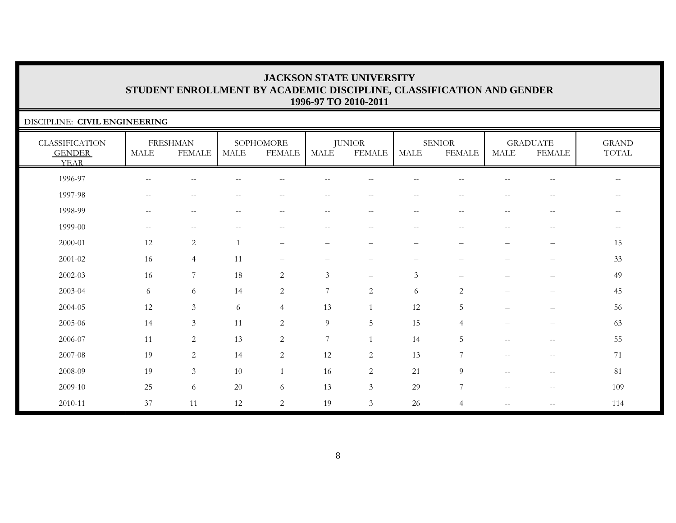### DISCIPLINE: **CIVIL ENGINEERING** CLASSIFICATION GENDER YEARFRESHMAN MALE FEMALE**SOPHOMORE** MALE FEMALEJUNIOR MALE FEMALESENIORMALE FEMALEGRADUATE MALE FEMALEGRAND TOTAL 1996-97 -- -- -- -- -- -- -- -- -- -- --1997-98 -- -- -- -- -- -- -- -- -- -- --1998-99 -- -- -- -- -- -- -- -- -- -- --1999-00 -- -- -- -- -- -- -- -- -- -- -- $\rightarrow$ 2000-01 12 2 1 – – – – – – – 152001-02 16 4 11 – – – – – – – 3333 2002-03 16 7 18 2 3 – 3 – – – 492003-04 6 6 14 2 7 2 6 2 – – 4545 2004-05 12 3 6 4 13 1 12 5 – – 5656 2005-06 14 3 11 2 9 5 15 4 – – 6363 2006-07 11 2 13 2 7 1 14 5 -- -- 5555 2007-08 19 2 14 2 12 2 13 7 -- -- 712008-09 19 3 10 1 16 2 21 9 -- -- 81 $2009-10$  25 6 20 6 13 3 29 7 - - - 109 2010-11 37 11 12 2 19 3 26 4 -- -- 114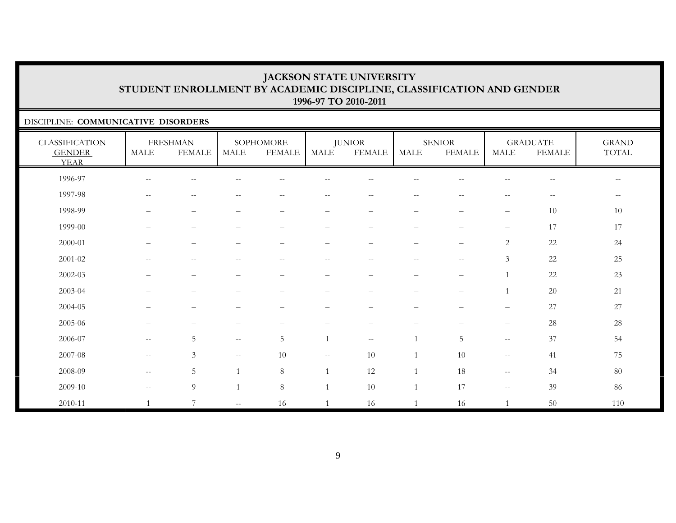### DISCIPLINE: **COMMUNICATIVE DISORDERS**

| <b>CLASSIFICATION</b><br><b>GENDER</b><br><b>YEAR</b> | MALE                                                | <b>FRESHMAN</b><br><b>FEMALE</b>                    | MALE                                                | SOPHOMORE<br><b>FEMALE</b>                     | MALE                     | <b>JUNIOR</b><br><b>FEMALE</b> | <b>MALE</b>              | <b>SENIOR</b><br><b>FEMALE</b>                | <b>MALE</b>                                         | <b>GRADUATE</b><br><b>FEMALE</b> | <b>GRAND</b><br>TOTAL    |
|-------------------------------------------------------|-----------------------------------------------------|-----------------------------------------------------|-----------------------------------------------------|------------------------------------------------|--------------------------|--------------------------------|--------------------------|-----------------------------------------------|-----------------------------------------------------|----------------------------------|--------------------------|
| 1996-97                                               | $\hspace{0.05cm} -\hspace{0.05cm} -\hspace{0.05cm}$ | --                                                  |                                                     |                                                |                          |                                |                          |                                               |                                                     | $-\,-$                           | $\overline{\phantom{a}}$ |
| 1997-98                                               | $\overline{\phantom{m}}$                            | $\hspace{0.05cm} -\hspace{0.05cm} -\hspace{0.05cm}$ | $\mathrel{{-}{-}}$                                  | $\hspace{0.1mm}-\hspace{0.1mm}-\hspace{0.1mm}$ | $\qquad \qquad -$        | $- -$                          | $\overline{\phantom{m}}$ | $\mathord{\hspace{1pt}\text{--}\hspace{1pt}}$ | $\overline{\phantom{m}}$                            | $--$                             | $--$                     |
| 1998-99                                               | $\overline{\phantom{0}}$                            | -                                                   | $\overline{\phantom{a}}$                            | -                                              | $\overline{\phantom{0}}$ | -                              | -                        | $\overline{\phantom{0}}$                      | $\qquad \qquad -$                                   | $10\,$                           | 10                       |
| 1999-00                                               |                                                     | $\qquad \qquad -$                                   |                                                     |                                                | $\qquad \qquad -$        | $\overline{\phantom{0}}$       | -                        | $\overline{\phantom{0}}$                      | $\qquad \qquad -$                                   | 17                               | 17                       |
| 2000-01                                               |                                                     | $\overline{\phantom{0}}$                            |                                                     |                                                |                          | $\overline{\phantom{0}}$       | $\overline{\phantom{0}}$ | $\overline{\phantom{0}}$                      | $\mathbf{2}$                                        | $22\,$                           | 24                       |
| 2001-02                                               | $--$                                                | $\overline{\phantom{m}}$                            | $\mathrel{{-}{-}}$                                  | $\sim$ $\sim$                                  | $\overline{\phantom{m}}$ | $-\,-$                         | $\overline{\phantom{m}}$ | $-\,-$                                        | $\mathfrak{Z}$                                      | 22                               | 25                       |
| 2002-03                                               |                                                     | $\overline{\phantom{m}}$                            |                                                     | $\qquad \qquad -$                              | $\overline{\phantom{0}}$ | -                              | —                        | $\overline{\phantom{0}}$                      |                                                     | 22                               | 23                       |
| 2003-04                                               |                                                     |                                                     |                                                     |                                                |                          |                                |                          | $\overline{\phantom{0}}$                      |                                                     | 20                               | 21                       |
| 2004-05                                               |                                                     |                                                     |                                                     |                                                |                          |                                |                          |                                               |                                                     | 27                               | $27\,$                   |
| 2005-06                                               |                                                     |                                                     |                                                     |                                                |                          |                                |                          |                                               | $\qquad \qquad -$                                   | $28\,$                           | $28\,$                   |
| 2006-07                                               | $\mathbf{u}$                                        | $\overline{5}$                                      | $- -$                                               | 5                                              | $\mathbf{1}$             | $- -$                          | $\mathbf{1}$             | 5                                             | $- -$                                               | 37                               | 54                       |
| 2007-08                                               | $- -$                                               | $\mathfrak{Z}$                                      | $\hspace{0.05cm} -\hspace{0.05cm} -\hspace{0.05cm}$ | 10                                             | $- -$                    | 10                             | $\mathbf{1}$             | 10                                            | $\hspace{0.05cm} -\hspace{0.05cm} -\hspace{0.05cm}$ | 41                               | 75                       |
| 2008-09                                               | $--$                                                | 5                                                   | $\mathbf{1}$                                        | 8                                              |                          | 12                             | $\mathbf{1}$             | 18                                            | $\hspace{0.05cm} -\hspace{0.05cm} -\hspace{0.05cm}$ | 34                               | 80                       |
| 2009-10                                               | $\mathbf{u}$                                        | $\overline{9}$                                      | $\mathbf{1}$                                        | 8                                              |                          | 10                             | $\mathbf{1}$             | 17                                            | $\sim$ $\sim$                                       | 39                               | 86                       |
| 2010-11                                               |                                                     | $\overline{7}$                                      | $- -$                                               | 16                                             |                          | 16                             | $\overline{1}$           | 16                                            |                                                     | $50\,$                           | 110                      |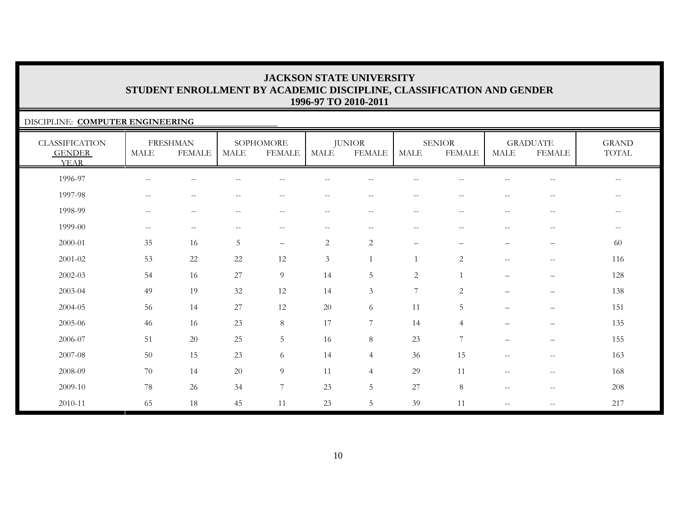### DISCIPLINE: **COMPUTER ENGINEERING**

| <b>CLASSIFICATION</b><br><b>GENDER</b><br><b>YEAR</b> | <b>MALE</b>                                         | <b>FRESHMAN</b><br><b>FEMALE</b>                    | <b>MALE</b>                           | SOPHOMORE<br><b>FEMALE</b> | <b>MALE</b>              | <b>JUNIOR</b><br><b>FEMALE</b> | <b>MALE</b>              | <b>SENIOR</b><br><b>FEMALE</b> | <b>MALE</b>                                         | <b>GRADUATE</b><br><b>FEMALE</b> | <b>GRAND</b><br>TOTAL                                 |
|-------------------------------------------------------|-----------------------------------------------------|-----------------------------------------------------|---------------------------------------|----------------------------|--------------------------|--------------------------------|--------------------------|--------------------------------|-----------------------------------------------------|----------------------------------|-------------------------------------------------------|
| 1996-97                                               | $-$                                                 | $-$                                                 |                                       |                            |                          |                                |                          |                                |                                                     |                                  | $- -$                                                 |
| 1997-98                                               | $\mathbf{u}$                                        | $\overline{\phantom{m}}$                            | $-$                                   | $\frac{1}{2}$              | $-$                      | $\overline{\phantom{m}}$       | $\overline{\phantom{m}}$ | $-$                            | $\overline{\phantom{a}}$                            | $\sim$ $\sim$                    | $ -$                                                  |
| 1998-99                                               | $\hspace{0.05cm} -\hspace{0.05cm} -\hspace{0.05cm}$ | $\hspace{0.05cm} -\hspace{0.05cm} -\hspace{0.05cm}$ | $\hspace{0.05cm}$ – $\hspace{0.05cm}$ | $\overline{\phantom{m}}$   | $\overline{\phantom{m}}$ | $--$                           | $--$                     | $\sim$ $\sim$                  | $\hspace{0.05cm} -\hspace{0.05cm} -\hspace{0.05cm}$ | $\overline{\phantom{m}}$         | $- -$                                                 |
| 1999-00                                               | $\sim$ $\sim$                                       | $\mathbf{u}$                                        | $\sim$ $-$                            | $\overline{\phantom{m}}$   | $- -$                    | $--$                           | $--$                     | $\sim$ $\sim$                  | $\sim$ $\sim$                                       | $-\,-$                           | $\hspace{0.05cm} - \hspace{0.05cm} - \hspace{0.05cm}$ |
| 2000-01                                               | 35                                                  | 16                                                  | $5\,$                                 | $\qquad \qquad -$          | $\sqrt{2}$               | $\sqrt{2}$                     | $\qquad \qquad -$        | $\qquad \qquad -$              | $\qquad \qquad -$                                   | $\overline{\phantom{m}}$         | 60                                                    |
| $2001 - 02$                                           | 53                                                  | $22\,$                                              | 22                                    | 12                         | $\mathfrak{Z}$           |                                |                          | $\overline{2}$                 | $\hspace{0.05cm} -\hspace{0.05cm} -\hspace{0.05cm}$ | $\hspace{0.05cm} -$              | 116                                                   |
| 2002-03                                               | 54                                                  | 16                                                  | 27                                    | 9                          | 14                       | 5                              | $\mathbf{2}$             | $\overline{1}$                 | $\overline{\phantom{0}}$                            | $\overline{\phantom{m}}$         | 128                                                   |
| 2003-04                                               | 49                                                  | 19                                                  | $32\,$                                | 12                         | 14                       | $\mathfrak{Z}$                 | $\overline{7}$           | $\overline{2}$                 | $\qquad \qquad -$                                   | $\overline{\phantom{m}}$         | 138                                                   |
| 2004-05                                               | 56                                                  | 14                                                  | 27                                    | 12                         | 20                       | 6                              | 11                       | 5                              | —                                                   | $\overline{\phantom{m}}$         | 151                                                   |
| 2005-06                                               | 46                                                  | 16                                                  | 23                                    | $8\,$                      | 17                       | 7                              | 14                       | $\overline{4}$                 |                                                     | $\qquad \qquad -$                | 135                                                   |
| 2006-07                                               | 51                                                  | $20\,$                                              | 25                                    | $\overline{5}$             | 16                       | $8\,$                          | 23                       | $\overline{7}$                 | $\qquad \qquad -$                                   | $\overline{\phantom{m}}$         | 155                                                   |
| 2007-08                                               | 50                                                  | 15                                                  | 23                                    | 6                          | 14                       | $\overline{4}$                 | 36                       | 15                             | $\hspace{0.05cm} -\hspace{0.05cm} -\hspace{0.05cm}$ | $\overline{\phantom{m}}$         | 163                                                   |
| 2008-09                                               | 70                                                  | 14                                                  | 20                                    | $\overline{9}$             | 11                       | $\overline{4}$                 | 29                       | 11                             | $\overline{\phantom{a}}$                            | $-\,-$                           | 168                                                   |
| 2009-10                                               | 78                                                  | 26                                                  | 34                                    | $\overline{7}$             | 23                       | 5                              | $27\,$                   | 8                              | $\hspace{0.05cm} -\hspace{0.05cm} -\hspace{0.05cm}$ | $-\,-$                           | 208                                                   |
| 2010-11                                               | 65                                                  | $18\,$                                              | 45                                    | 11                         | 23                       | 5                              | 39                       | 11                             | $\overline{\phantom{a}}$                            | $\hspace{0.05cm} -$              | 217                                                   |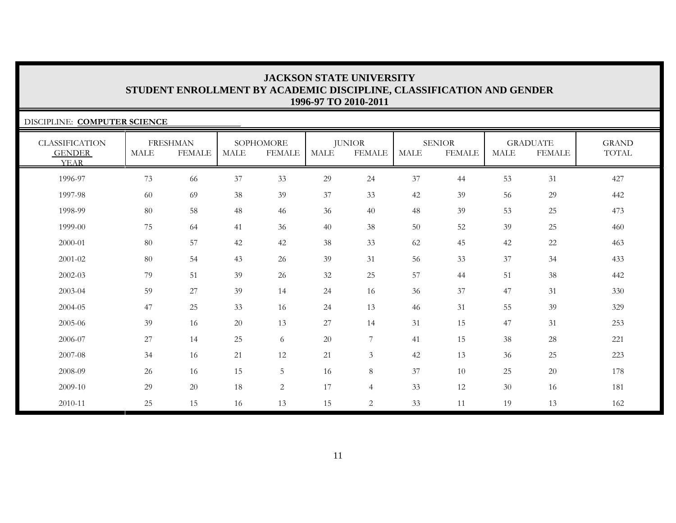| DISCIPLINE: COMPUTER SCIENCE                          |             |                                  |      |                            |             |                                |             |                                |             |                                  |                              |
|-------------------------------------------------------|-------------|----------------------------------|------|----------------------------|-------------|--------------------------------|-------------|--------------------------------|-------------|----------------------------------|------------------------------|
| <b>CLASSIFICATION</b><br><b>GENDER</b><br><b>YEAR</b> | <b>MALE</b> | <b>FRESHMAN</b><br><b>FEMALE</b> | MALE | SOPHOMORE<br><b>FEMALE</b> | <b>MALE</b> | <b>JUNIOR</b><br><b>FEMALE</b> | <b>MALE</b> | <b>SENIOR</b><br><b>FEMALE</b> | <b>MALE</b> | <b>GRADUATE</b><br><b>FEMALE</b> | <b>GRAND</b><br><b>TOTAL</b> |
| 1996-97                                               | 73          | 66                               | 37   | 33                         | 29          | 24                             | 37          | 44                             | 53          | 31                               | 427                          |
| 1997-98                                               | 60          | 69                               | 38   | 39                         | 37          | 33                             | 42          | 39                             | 56          | 29                               | 442                          |
| 1998-99                                               | 80          | 58                               | 48   | 46                         | 36          | 40                             | 48          | 39                             | 53          | 25                               | 473                          |
| 1999-00                                               | 75          | 64                               | 41   | 36                         | 40          | 38                             | 50          | 52                             | 39          | 25                               | 460                          |
| 2000-01                                               | 80          | 57                               | 42   | 42                         | 38          | 33                             | 62          | 45                             | 42          | 22                               | 463                          |
| 2001-02                                               | 80          | 54                               | 43   | 26                         | 39          | 31                             | 56          | 33                             | 37          | 34                               | 433                          |
| 2002-03                                               | 79          | 51                               | 39   | 26                         | 32          | 25                             | 57          | 44                             | 51          | 38                               | 442                          |
| 2003-04                                               | 59          | 27                               | 39   | 14                         | 24          | 16                             | 36          | 37                             | 47          | 31                               | 330                          |
| 2004-05                                               | 47          | 25                               | 33   | 16                         | 24          | 13                             | 46          | 31                             | 55          | 39                               | 329                          |
| 2005-06                                               | 39          | 16                               | 20   | 13                         | 27          | 14                             | 31          | 15                             | 47          | 31                               | 253                          |
| 2006-07                                               | 27          | 14                               | 25   | 6                          | $20\,$      | $\overline{7}$                 | 41          | 15                             | 38          | $28\,$                           | 221                          |
| 2007-08                                               | 34          | 16                               | 21   | 12                         | 21          | $\mathfrak{Z}$                 | 42          | 13                             | 36          | 25                               | 223                          |
| 2008-09                                               | 26          | 16                               | 15   | 5                          | 16          | $8\phantom{.}$                 | 37          | 10                             | 25          | 20                               | 178                          |
| 2009-10                                               | 29          | 20                               | 18   | $\overline{c}$             | 17          | $\overline{4}$                 | 33          | 12                             | 30          | 16                               | 181                          |
| 2010-11                                               | 25          | 15                               | 16   | 13                         | 15          | $\overline{2}$                 | 33          | 11                             | 19          | 13                               | 162                          |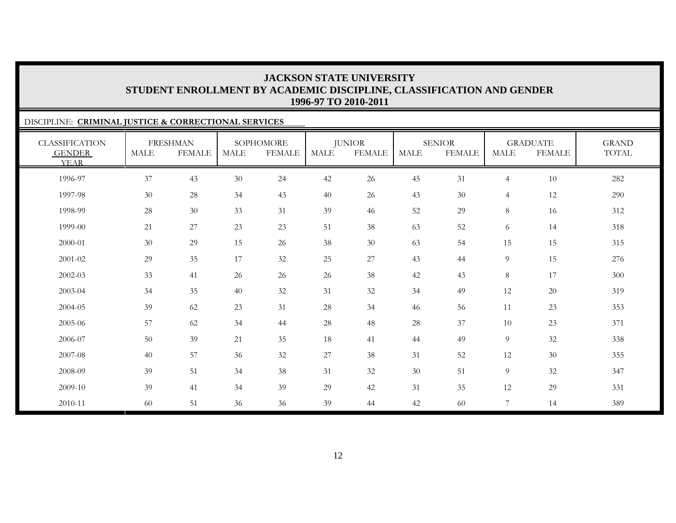### DISCIPLINE: **CRIMINAL JUSTICE & CORRECTIONAL SERVICES** CLASSIFICATION GENDER YEARFRESHMAN MALE FEMALESOPHOMORE MALE FEMALEJUNIOR MALE FEMALESENIORMALE FEMALEGRADUATE MALE FEMALEGRAND TOTAL1996-97 37 43 30 24 42 26 45 31 4 10 282 1997-98 30 28 34 43 40 26 43 30 4 12 290 1998-99 28 30 33 31 39 46 52 29 8 16 312 1999-00 $\begin{array}{ccccccccccc} 0 & 21 & 27 & 23 & 23 & 51 & 38 & 63 & 52 & 6 & 14 & 318 \end{array}$ 2000-01 30 29 15 26 38 30 63 54 15 15 315 2001-02 29 35 17 32 25 27 43 44 9 15 276 2002-03 33 41 26 26 26 38 42 43 8 17 300 2003-04 34 35 40 32 31 32 34 49 12 20 319 2004-05 39 62 23 31 28 34 46 566 11 23 353 2005-06 57 62 34 44 28 48 28 37 10 23 371 2006-07 50 39 21 35 188 41 44 49 9 32 338 2007-08 40 57 36 32 27 38 311 52 12 30 355 2008-09 39 51 34 38 31 32 30 51 9 32 347 2009-10 39 41 34 39 29 42 31 35 12 29 331 2010-11

60 51 36 36 39 44 42 60 7 14 389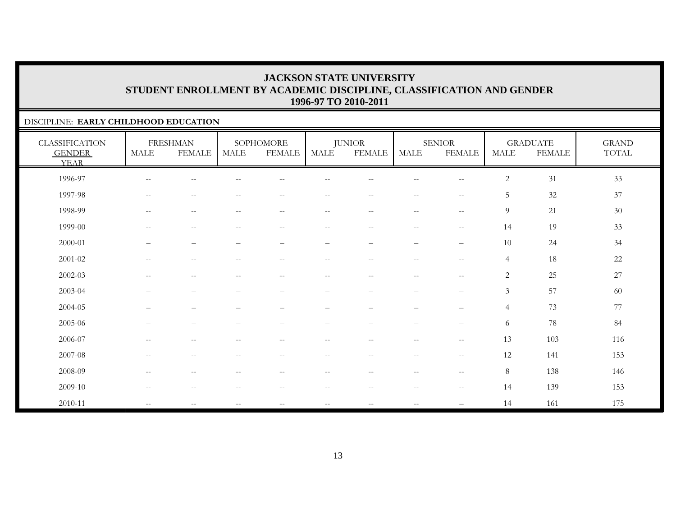### DISCIPLINE: **EARLY CHILDHOOD EDUCATION**

| <b>CLASSIFICATION</b><br><b>GENDER</b><br><b>YEAR</b> | MALE                                                | <b>FRESHMAN</b><br><b>FEMALE</b>                    | <b>MALE</b>                                         | SOPHOMORE<br><b>FEMALE</b>                          | MALE                     | <b>JUNIOR</b><br><b>FEMALE</b>                | <b>MALE</b>                                   | <b>SENIOR</b><br><b>FEMALE</b>                      | <b>MALE</b>    | <b>GRADUATE</b><br><b>FEMALE</b> | <b>GRAND</b><br>$\operatorname{TOTAL}$ |
|-------------------------------------------------------|-----------------------------------------------------|-----------------------------------------------------|-----------------------------------------------------|-----------------------------------------------------|--------------------------|-----------------------------------------------|-----------------------------------------------|-----------------------------------------------------|----------------|----------------------------------|----------------------------------------|
| 1996-97                                               | $\overline{\phantom{m}}$                            | --                                                  |                                                     |                                                     |                          |                                               |                                               | $-$                                                 | $\overline{c}$ | 31                               | 33                                     |
| 1997-98                                               | $--$                                                | $\overline{\phantom{m}}$                            | $\sim$                                              | $\sim$ $-$                                          | $- -$                    | $- -$                                         | $--$                                          | $\sim$ $\sim$                                       | 5              | 32                               | 37                                     |
| 1998-99                                               | $\hspace{0.05cm} -\hspace{0.05cm} -\hspace{0.05cm}$ | $\hspace{0.05cm} -\hspace{0.05cm} -\hspace{0.05cm}$ | $\hspace{0.05cm} -\hspace{0.05cm} -\hspace{0.05cm}$ | $\hspace{0.05cm} -\hspace{0.05cm} -\hspace{0.05cm}$ | $- -$                    | $\overline{\phantom{m}}$                      | $\mathord{\hspace{1pt}\text{--}\hspace{1pt}}$ | $\mathord{\hspace{1pt}\text{--}\hspace{1pt}}$       | 9              | 21                               | $30\,$                                 |
| 1999-00                                               | $\hspace{0.05cm} -\hspace{0.05cm} -\hspace{0.05cm}$ | $\overline{\phantom{m}}$                            | $\overline{\phantom{m}}$                            | $-\,-$                                              | $-\,-$                   | $\overline{\phantom{m}}$                      | $--$                                          | $-\,-$                                              | 14             | 19                               | 33                                     |
| 2000-01                                               | $\overline{\phantom{0}}$                            | $\qquad \qquad -$                                   |                                                     |                                                     | —                        | $\overline{\phantom{m}}$                      | $\qquad \qquad -$                             | $\qquad \qquad -$                                   | 10             | $24\,$                           | 34                                     |
| $2001 - 02$                                           | $\mathbf{u}$                                        | $\overline{\phantom{m}}$                            | $\sim$ $-$                                          | $\overline{\phantom{m}}$                            | $- -$                    | $\mathord{\hspace{1pt}\text{--}\hspace{1pt}}$ | $\overline{\phantom{a}}$                      | $\sim$ $\sim$                                       | $\overline{4}$ | 18                               | 22                                     |
| $2002 - 03$                                           | $\hspace{0.05cm} -\hspace{0.05cm} -\hspace{0.05cm}$ | $\overline{\phantom{m}}$                            | $\hspace{0.05cm} -\hspace{0.05cm} -\hspace{0.05cm}$ | $\overline{\phantom{m}}$                            | $- -$                    | $--$                                          | $--$                                          | $\hspace{0.05cm} -\hspace{0.05cm} -\hspace{0.05cm}$ | $\overline{c}$ | $25\,$                           | $27\,$                                 |
| 2003-04                                               | —                                                   | $\qquad \qquad -$                                   | $\overbrace{\phantom{1232211}}$                     | $\qquad \qquad -$                                   | $\qquad \qquad -$        |                                               | $\qquad \qquad -$                             | $\qquad \qquad -$                                   | $\mathfrak{Z}$ | 57                               | 60                                     |
| 2004-05                                               | —                                                   | $\overline{\phantom{0}}$                            |                                                     | $\qquad \qquad -$                                   | —                        |                                               | $\qquad \qquad -$                             | $\qquad \qquad -$                                   | $\overline{4}$ | 73                               | 77                                     |
| 2005-06                                               |                                                     | $\overline{\phantom{0}}$                            |                                                     |                                                     |                          |                                               | -                                             | $\qquad \qquad -$                                   | 6              | 78                               | 84                                     |
| 2006-07                                               | $\overline{\phantom{m}}$                            | $\qquad \qquad -$                                   |                                                     | $- -$                                               | --                       | $-\,-$                                        | $- -$                                         | $\overline{\phantom{m}}$                            | 13             | 103                              | 116                                    |
| 2007-08                                               | $\hspace{0.05cm} -\hspace{0.05cm} -\hspace{0.05cm}$ | $\overline{\phantom{m}}$                            | $\sim$ $-$                                          | $\overline{\phantom{m}}$                            | $- -$                    | $--$                                          | $--$                                          | $\hspace{0.05cm} -\hspace{0.05cm} -\hspace{0.05cm}$ | 12             | 141                              | 153                                    |
| 2008-09                                               | $--$                                                | $\overline{\phantom{m}}$                            | $\hspace{0.05cm} -\hspace{0.05cm} -\hspace{0.05cm}$ | $\overline{\phantom{m}}$                            | $\overline{\phantom{a}}$ | $\overline{\phantom{m}}$                      | $\mathord{\hspace{1pt}\text{--}\hspace{1pt}}$ | $-\,-$                                              | 8              | 138                              | 146                                    |
| 2009-10                                               | $\hspace{0.05cm} -\hspace{0.05cm} -\hspace{0.05cm}$ | $\overline{\phantom{m}}$                            | $\sim$ $-$                                          | $\hspace{0.1mm}-\hspace{0.1mm}-\hspace{0.1mm}$      | $- -$                    | $\overline{\phantom{m}}$                      | $--$                                          | $\overline{\phantom{m}}$                            | 14             | 139                              | 153                                    |
| 2010-11                                               | $\mathbf{u}$                                        |                                                     |                                                     | $-$                                                 | --                       | $-\,-$                                        | $\overline{\phantom{a}}$                      |                                                     | 14             | 161                              | 175                                    |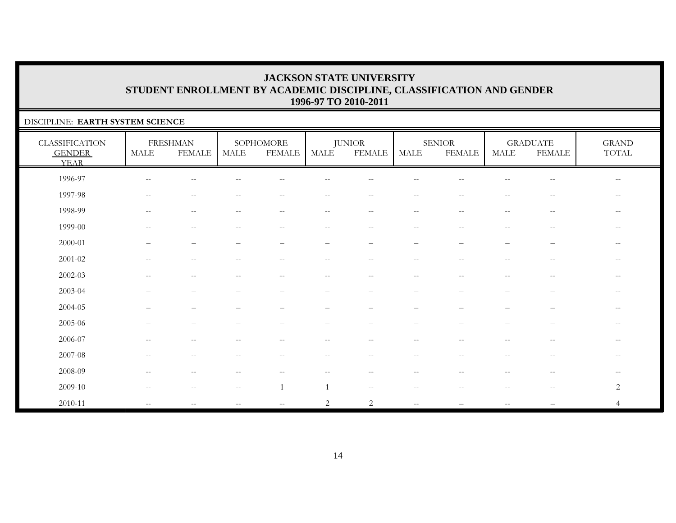### DISCIPLINE: **EARTH SYSTEM SCIENCE**

| <b>CLASSIFICATION</b><br><b>GENDER</b><br><b>YEAR</b> | <b>MALE</b>              | <b>FRESHMAN</b><br><b>FEMALE</b>                      | MALE                                                | SOPHOMORE<br><b>FEMALE</b>                          | MALE                     | <b>JUNIOR</b><br><b>FEMALE</b> | MALE                                                  | <b>SENIOR</b><br><b>FEMALE</b>                        | <b>MALE</b>              | <b>GRADUATE</b><br><b>FEMALE</b>                      | <b>GRAND</b><br>TOTAL    |
|-------------------------------------------------------|--------------------------|-------------------------------------------------------|-----------------------------------------------------|-----------------------------------------------------|--------------------------|--------------------------------|-------------------------------------------------------|-------------------------------------------------------|--------------------------|-------------------------------------------------------|--------------------------|
| 1996-97                                               | $-\,-$                   | $\sim$ $-$                                            |                                                     | $-$                                                 |                          |                                |                                                       |                                                       | --                       | $\overline{\phantom{m}}$                              | $\overline{\phantom{m}}$ |
| 1997-98                                               | $\overline{\phantom{m}}$ | $\sim$ $-$                                            |                                                     | $- -$                                               | $\overline{\phantom{m}}$ | $\sim$ $\sim$                  | $- -$                                                 |                                                       |                          | $\hspace{0.05cm} - \hspace{0.05cm} - \hspace{0.05cm}$ | $- -$                    |
| 1998-99                                               | $\overline{\phantom{m}}$ | $-\, -$                                               | $-$                                                 | $\qquad \qquad -$                                   | $--$                     | $\overline{\phantom{m}}$       | $\overline{\phantom{m}}$                              | $\sim$ $\sim$                                         | $\overline{\phantom{m}}$ | $\overline{\phantom{m}}$                              | $- -$                    |
| 1999-00                                               | $\overline{\phantom{a}}$ | $\overline{\phantom{m}}$                              | $-$                                                 | $\qquad \qquad -$                                   | $\overline{\phantom{m}}$ | $\overline{\phantom{m}}$       | $\hspace{0.05cm} -\hspace{0.05cm} -\hspace{0.05cm}$   | $\sim$ $\sim$                                         | $\overline{\phantom{m}}$ | $-\,-$                                                | $- -$                    |
| 2000-01                                               |                          | $\overline{\phantom{0}}$                              |                                                     |                                                     | -                        |                                |                                                       |                                                       |                          |                                                       |                          |
| $2001 - 02$                                           | $-$                      | $-$                                                   |                                                     | --                                                  | $-$                      | $-$                            | $-$                                                   |                                                       | --                       | $\hspace{0.05cm} -$                                   | $- -$                    |
| $2002 - 03$                                           | $\overline{\phantom{a}}$ | $\overline{\phantom{m}}$                              | $\hspace{0.05cm} -\hspace{0.05cm} -\hspace{0.05cm}$ | $\hspace{0.05cm} -\hspace{0.05cm} -\hspace{0.05cm}$ | $--$                     | $--$                           | $\hspace{0.05cm} -\hspace{0.05cm} -\hspace{0.05cm}$   | $\hspace{0.05cm} -\hspace{0.05cm} -\hspace{0.05cm}$   | $\overline{\phantom{a}}$ | $\hspace{0.05cm} - \hspace{0.05cm} - \hspace{0.05cm}$ | $--$                     |
| 2003-04                                               |                          |                                                       |                                                     |                                                     | -                        |                                | -                                                     |                                                       |                          | -                                                     | $\qquad \qquad -$        |
| 2004-05                                               |                          | $\overline{\phantom{0}}$                              |                                                     |                                                     |                          |                                | $\equiv$                                              |                                                       |                          | -                                                     | $- -$                    |
| 2005-06                                               |                          |                                                       |                                                     |                                                     |                          |                                |                                                       |                                                       |                          |                                                       | $- -$                    |
| 2006-07                                               | $\overline{\phantom{a}}$ | $\hspace{0.05cm} - \hspace{0.05cm} - \hspace{0.05cm}$ | $-$                                                 | $- -$                                               | $\qquad \qquad -$        | $- -$                          | $\overline{\phantom{m}}$                              | $\hspace{0.05cm} - \hspace{0.05cm} - \hspace{0.05cm}$ | $\overline{\phantom{m}}$ | $\hspace{0.05cm} -\hspace{0.05cm} -\hspace{0.05cm}$   | $\qquad \qquad -$        |
| 2007-08                                               | $\overline{\phantom{a}}$ | $\sim$ $-$                                            | $\qquad \qquad -$                                   | $\hspace{0.05cm} -\hspace{0.05cm} -\hspace{0.05cm}$ | $--$                     | $\overline{\phantom{m}}$       | $\hspace{0.05cm} -\hspace{0.05cm} -\hspace{0.05cm}$   | $\hspace{0.05cm} -$                                   | $\overline{\phantom{a}}$ | $\hspace{0.05cm} - \hspace{0.05cm} - \hspace{0.05cm}$ | $--$                     |
| 2008-09                                               | $\qquad \qquad -$        | $\sim$ $-$                                            | $-$                                                 | $- -$                                               | $\overline{\phantom{m}}$ | $\overline{\phantom{m}}$       | $\hspace{0.05cm} - \hspace{0.05cm} - \hspace{0.05cm}$ | $-$                                                   | $-$                      | $\hspace{0.05cm} - \hspace{0.05cm} - \hspace{0.05cm}$ | $- -$                    |
| 2009-10                                               |                          | --                                                    |                                                     |                                                     |                          | $-$                            |                                                       |                                                       |                          | $\hspace{0.05cm} - \hspace{0.05cm} - \hspace{0.05cm}$ | 2                        |
| 2010-11                                               | $\overline{\phantom{a}}$ | $\sim$ $-$                                            | $\qquad \qquad -$                                   | $--$                                                | 2                        | $\overline{2}$                 | $\mathbf{u} = \mathbf{v}$                             |                                                       | $- -$                    |                                                       | $\overline{4}$           |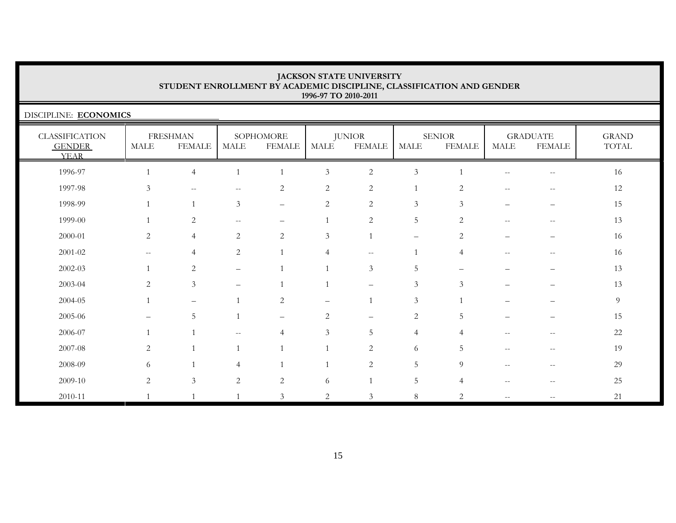DISCIPLINE: **ECONOMICS**

| <b>CLASSIFICATION</b><br><b>GENDER</b><br><b>YEAR</b> | <b>MALE</b>       | <b>FRESHMAN</b><br><b>FEMALE</b> | <b>MALE</b>              | SOPHOMORE<br><b>FEMALE</b> | MALE           | <b>JUNIOR</b><br><b>FEMALE</b>                      | MALE                     | <b>SENIOR</b><br><b>FEMALE</b> | MALE                     | <b>GRADUATE</b><br><b>FEMALE</b> | <b>GRAND</b><br>TOTAL |
|-------------------------------------------------------|-------------------|----------------------------------|--------------------------|----------------------------|----------------|-----------------------------------------------------|--------------------------|--------------------------------|--------------------------|----------------------------------|-----------------------|
| 1996-97                                               |                   | $\overline{4}$                   | $\overline{1}$           |                            | $\mathfrak{Z}$ | $\sqrt{2}$                                          | $\mathfrak{Z}$           |                                | $\qquad \qquad -$        | $- -$                            | 16                    |
| 1997-98                                               | 3                 | $\overline{\phantom{m}}$         | --                       | 2                          | 2              | $\sqrt{2}$                                          |                          | 2                              | $\qquad \qquad -$        | $-\,-$                           | 12                    |
| 1998-99                                               |                   |                                  | $\mathfrak{Z}$           | $\qquad \qquad -$          | $\sqrt{2}$     | $\sqrt{2}$                                          | $\mathfrak{Z}$           | $\mathfrak{Z}$                 |                          |                                  | 15                    |
| 1999-00                                               |                   | $\overline{c}$                   | $\qquad \qquad -$        | $\overline{\phantom{0}}$   |                | 2                                                   | $\overline{5}$           | 2                              | $\qquad \qquad -$        | $\overline{\phantom{m}}$         | 13                    |
| 2000-01                                               | 2                 | $\overline{4}$                   | $\overline{2}$           | 2                          | $\mathfrak{Z}$ | $\mathbf{1}$                                        | $\overline{\phantom{m}}$ | 2                              | $\qquad \qquad -$        | —                                | 16                    |
| $2001 - 02$                                           | $--$              | $\overline{4}$                   | $\overline{c}$           |                            | $\overline{4}$ | $\hspace{0.05cm} -\hspace{0.05cm} -\hspace{0.05cm}$ | $\mathbf{1}$             | $\overline{4}$                 | $\qquad \qquad -$        | $\overline{\phantom{m}}$         | 16                    |
| 2002-03                                               |                   | $\overline{2}$                   | $\overline{\phantom{0}}$ |                            |                | $\mathfrak{Z}$                                      | 5                        |                                |                          |                                  | 13                    |
| 2003-04                                               | 2                 | $\mathfrak{Z}$                   | $\overline{\phantom{0}}$ |                            |                | $\qquad \qquad -$                                   | $\mathfrak{Z}$           | 3                              | —                        | —                                | 13                    |
| 2004-05                                               |                   | $\overline{\phantom{m}}$         |                          | 2                          |                | $\mathbf{1}$                                        | $\mathfrak{Z}$           |                                |                          |                                  | 9                     |
| 2005-06                                               | $\qquad \qquad -$ | 5                                |                          | $\overline{\phantom{m}}$   | 2              | $\qquad \qquad -$                                   | $\overline{c}$           | 5                              |                          |                                  | 15                    |
| 2006-07                                               |                   |                                  | $\frac{1}{2}$            | $\overline{4}$             | 3              | $\mathbf 5$                                         | $\overline{4}$           | $\overline{4}$                 | $\overline{\phantom{m}}$ | $-$                              | 22                    |
| 2007-08                                               | 2                 |                                  | $\mathbf{1}$             |                            |                | 2                                                   | 6                        | 5                              | $\qquad \qquad -$        | $- -$                            | 19                    |
| 2008-09                                               | 6                 |                                  | 4                        |                            |                | $\overline{2}$                                      | 5                        | 9                              | --                       | --                               | 29                    |
| 2009-10                                               | $\overline{2}$    | $\mathfrak{Z}$                   | $\overline{2}$           | $\overline{c}$             | 6              |                                                     | 5                        | $\overline{4}$                 | $\qquad \qquad -$        | $-\,-$                           | 25                    |
| 2010-11                                               |                   |                                  |                          | $\mathfrak{Z}$             | $\sqrt{2}$     | 3                                                   | $\,8\,$                  | $\overline{2}$                 | $\overline{\phantom{m}}$ | $- -$                            | 21                    |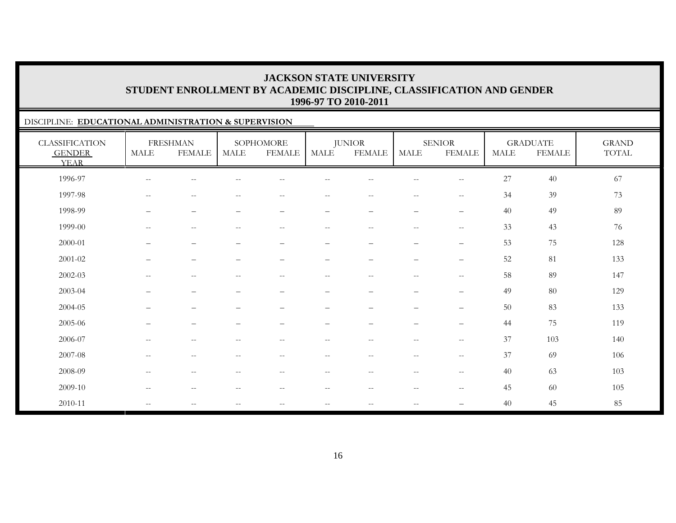### DISCIPLINE: **EDUCATIONAL ADMINISTRATION & SUPERVISION**

| <b>CLASSIFICATION</b><br><b>GENDER</b><br><b>YEAR</b> | <b>MALE</b>              | <b>FRESHMAN</b><br><b>FEMALE</b>                    | <b>MALE</b>                                         | SOPHOMORE<br><b>FEMALE</b>                            | <b>MALE</b>              | <b>JUNIOR</b><br><b>FEMALE</b> | <b>MALE</b>              | <b>SENIOR</b><br><b>FEMALE</b>                      | <b>MALE</b> | <b>GRADUATE</b><br><b>FEMALE</b> | <b>GRAND</b><br>TOTAL |
|-------------------------------------------------------|--------------------------|-----------------------------------------------------|-----------------------------------------------------|-------------------------------------------------------|--------------------------|--------------------------------|--------------------------|-----------------------------------------------------|-------------|----------------------------------|-----------------------|
| 1996-97                                               | $\overline{\phantom{m}}$ | $\qquad \qquad -$                                   |                                                     | $-$                                                   |                          | --                             | $- -$                    | $\hspace{0.05cm} -\hspace{0.05cm} -\hspace{0.05cm}$ | 27          | 40                               | 67                    |
| 1997-98                                               | $\mathbf{u}$             | $\overline{\phantom{m}}$                            | $\overline{\phantom{m}}$                            | $\hspace{0.1mm}-\hspace{0.1mm}-\hspace{0.1mm}$        | $- -$                    | $\overline{\phantom{m}}$       | $\overline{\phantom{m}}$ | $\sim$ $\sim$                                       | 34          | 39                               | 73                    |
| 1998-99                                               | $\overline{\phantom{m}}$ | $\overline{\phantom{m}}$                            | $\qquad \qquad -$                                   | $\qquad \qquad -$                                     | $\overline{\phantom{0}}$ | $\overline{\phantom{m}}$       | $\overline{\phantom{m}}$ | $\overline{\phantom{m}}$                            | 40          | 49                               | 89                    |
| 1999-00                                               | $\sim$ $\sim$            | $\hspace{0.05cm} -\hspace{0.05cm} -\hspace{0.05cm}$ | $- -$                                               | $\sim$ $-$                                            | $- -$                    | $\overline{\phantom{m}}$       | $--$                     | $\hspace{0.05cm} -$                                 | 33          | 43                               | 76                    |
| 2000-01                                               | $\overline{\phantom{m}}$ | $\overline{\phantom{m}}$                            | $\overbrace{\phantom{1232211}}$                     | $\qquad \qquad -$                                     | $\qquad \qquad$          | $\overline{\phantom{0}}$       | $\qquad \qquad -$        | $\overline{\phantom{0}}$                            | 53          | 75                               | 128                   |
| 2001-02                                               |                          | $\qquad \qquad -$                                   | $\overline{\phantom{m}}$                            | $\qquad \qquad -$                                     | —                        | $\overline{\phantom{0}}$       | $\qquad \qquad -$        | $\overline{\phantom{0}}$                            | 52          | 81                               | 133                   |
| 2002-03                                               | $\mathrel{{-}{-}}$       | $\overline{\phantom{m}}$                            | $\overline{\phantom{m}}$                            | $\mathrel{{-}{-}}$                                    | $-$                      | $-$                            | $\overline{\phantom{m}}$ | $\sim$ $\sim$                                       | 58          | 89                               | 147                   |
| 2003-04                                               | $\overline{\phantom{m}}$ | $\qquad \qquad -$                                   | $\overline{\phantom{m}}$                            | $\overline{\phantom{0}}$                              | $\overline{\phantom{0}}$ | $\overline{\phantom{0}}$       | $\overline{\phantom{0}}$ | $\qquad \qquad -$                                   | 49          | 80                               | 129                   |
| 2004-05                                               | $\overline{\phantom{m}}$ | $\qquad \qquad -$                                   | $\overline{\phantom{0}}$                            | $\overline{\phantom{m}}$                              | $\overline{\phantom{0}}$ | $\qquad \qquad -$              | $\qquad \qquad -$        | $\overline{\phantom{0}}$                            | 50          | 83                               | 133                   |
| 2005-06                                               | $\overline{\phantom{m}}$ | $\qquad \qquad -$                                   | $\overline{\phantom{0}}$                            | $\qquad \qquad -$                                     | $\qquad \qquad -$        | $\overline{\phantom{0}}$       | $\qquad \qquad -$        | $\overline{\phantom{m}}$                            | 44          | 75                               | 119                   |
| 2006-07                                               | $\qquad \qquad -$        | $\overline{\phantom{m}}$                            |                                                     | $\hspace{0.05cm} - \hspace{0.05cm} - \hspace{0.05cm}$ | $- -$                    | --                             | $\qquad \qquad -$        | $\hspace{0.05cm} -$                                 | 37          | 103                              | 140                   |
| 2007-08                                               | $\mathrel{{-}{-}}$       | $\overline{\phantom{m}}$                            | $\overline{\phantom{m}}$                            | $\mathrel{{-}{-}}$                                    | $- -$                    | $-$                            | $\overline{\phantom{m}}$ | $\hspace{0.05cm} -$                                 | 37          | 69                               | 106                   |
| 2008-09                                               | $--$                     | $\hspace{0.05cm} -\hspace{0.05cm} -\hspace{0.05cm}$ | $\hspace{0.05cm} -\hspace{0.05cm} -\hspace{0.05cm}$ | $\hspace{0.1mm}-\hspace{0.1mm}-\hspace{0.1mm}$        | $- -$                    | $- -$                          | $--$                     | $\overline{\phantom{m}}$                            | 40          | 63                               | 103                   |
| 2009-10                                               | $\mathbf{u}$             | $\hspace{0.05cm} -\hspace{0.05cm} -\hspace{0.05cm}$ | $\hspace{0.05cm} -\hspace{0.05cm} -\hspace{0.05cm}$ | $\hspace{0.05cm} -\hspace{0.05cm} -\hspace{0.05cm}$   | $\overline{\phantom{m}}$ | $\overline{\phantom{m}}$       | $- -$                    | $-\,-$                                              | 45          | $60\,$                           | 105                   |
| 2010-11                                               | $--$                     | $\overline{\phantom{m}}$                            | $\overline{\phantom{m}}$                            | $--$                                                  | $- -$                    | $\overline{\phantom{m}}$       | $\overline{\phantom{m}}$ | $\overbrace{\phantom{123221111}}$                   | 40          | 45                               | 85                    |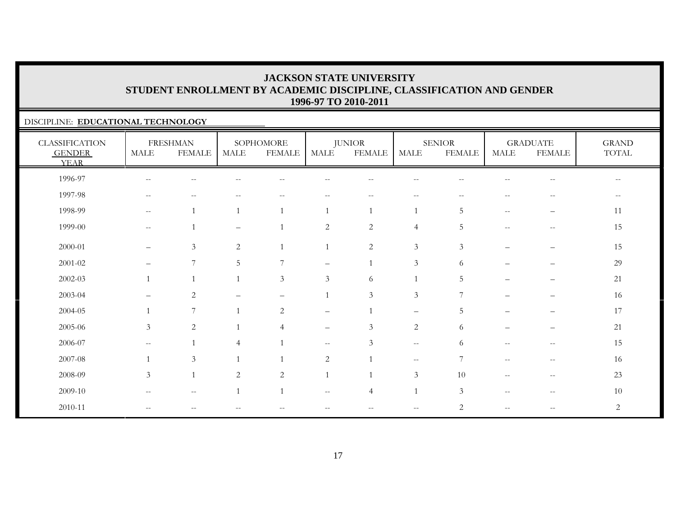### DISCIPLINE: **EDUCATIONAL TECHNOLOGY**

| <b>CLASSIFICATION</b><br><b>GENDER</b><br><b>YEAR</b> | MALE                     | <b>FRESHMAN</b><br><b>FEMALE</b> | MALE              | SOPHOMORE<br><b>FEMALE</b> | <b>MALE</b>              | <b>JUNIOR</b><br><b>FEMALE</b> | <b>MALE</b>                 | <b>SENIOR</b><br><b>FEMALE</b> | MALE                      | <b>GRADUATE</b><br>FEMALE             | <b>GRAND</b><br>$\operatorname{TOTAL}$ |
|-------------------------------------------------------|--------------------------|----------------------------------|-------------------|----------------------------|--------------------------|--------------------------------|-----------------------------|--------------------------------|---------------------------|---------------------------------------|----------------------------------------|
| 1996-97                                               | $--$                     | $\sim$ $-$                       |                   | $-$                        | $ -$                     | $- -$                          | $\qquad \qquad -$           | --                             |                           | $\sim$ $\sim$                         | $--$                                   |
| 1997-98                                               | $\overline{\phantom{m}}$ |                                  |                   |                            |                          |                                |                             |                                |                           |                                       |                                        |
| 1998-99                                               | $\qquad \qquad -$        |                                  | $\overline{1}$    |                            |                          |                                |                             | 5                              | $\sim$ $\sim$             |                                       | 11                                     |
| 1999-00                                               | $- -$                    |                                  | $\qquad \qquad -$ |                            | $\sqrt{2}$               | $\sqrt{2}$                     | $\overline{4}$              | 5                              | $\overline{\phantom{m}}$  | $\hspace{0.05cm}$ – $\hspace{0.05cm}$ | 15                                     |
| 2000-01                                               | $\overline{\phantom{m}}$ | 3                                | 2                 |                            |                          | $\overline{2}$                 | $\mathfrak{Z}$              | 3                              | $\qquad \qquad -$         | $\qquad \qquad -$                     | 15                                     |
| $2001 - 02$                                           | $\overline{\phantom{0}}$ | 7                                | 5                 | $\overline{ }$             | $\qquad \qquad -$        |                                | $\mathfrak{Z}$              | 6                              |                           |                                       | 29                                     |
| 2002-03                                               |                          |                                  | $\overline{1}$    | 3 <sup>1</sup>             | $\mathfrak{Z}$           | 6                              |                             | 5                              |                           | $\overline{\phantom{m}}$              | 21                                     |
| 2003-04                                               |                          | 2                                |                   |                            |                          | $\mathfrak{Z}$                 | $\mathfrak{Z}$              | 7                              |                           |                                       | 16                                     |
| 2004-05                                               |                          | 7                                | $\overline{1}$    | $\overline{c}$             | $\overline{\phantom{0}}$ |                                | $\qquad \qquad -$           | 5                              | -                         | $\overline{\phantom{0}}$              | 17                                     |
| 2005-06                                               | $\mathfrak{Z}$           | $\overline{2}$                   | $\overline{1}$    | 4                          | $\qquad \qquad -$        | 3                              | 2                           | 6                              |                           |                                       | 21                                     |
| 2006-07                                               | $- -$                    |                                  | $\overline{4}$    |                            | $\mathbf{u}$             | 3                              | $\mathcal{L} = \mathcal{L}$ | 6                              | $-$                       | $-$                                   | 15                                     |
| 2007-08                                               |                          | 3                                | $\overline{1}$    |                            | $\overline{2}$           |                                | $\sim$ $-$                  | 7                              | $\mathcal{L}=\mathcal{L}$ | $\overline{\phantom{m}}$              | 16                                     |
| 2008-09                                               | $\mathfrak{Z}$           | $\mathbf{1}$                     | 2                 | 2                          |                          |                                | $\mathfrak{Z}$              | 10                             | $\sim$ $\sim$             | $\overline{\phantom{m}}$              | 23                                     |
| 2009-10                                               | $\overline{\phantom{a}}$ | $\sim$ $-$                       | $\overline{1}$    |                            | $- -$                    | $\overline{4}$                 |                             | 3                              | $\sim$ $\sim$             | $\hspace{0.05cm} -$                   | 10                                     |
| 2010-11                                               | $--$                     | $-$                              |                   |                            | --                       | $- -$                          | $--$                        | 2                              | $\qquad \qquad -$         | $\hspace{0.05cm}$ – $\hspace{0.05cm}$ | 2                                      |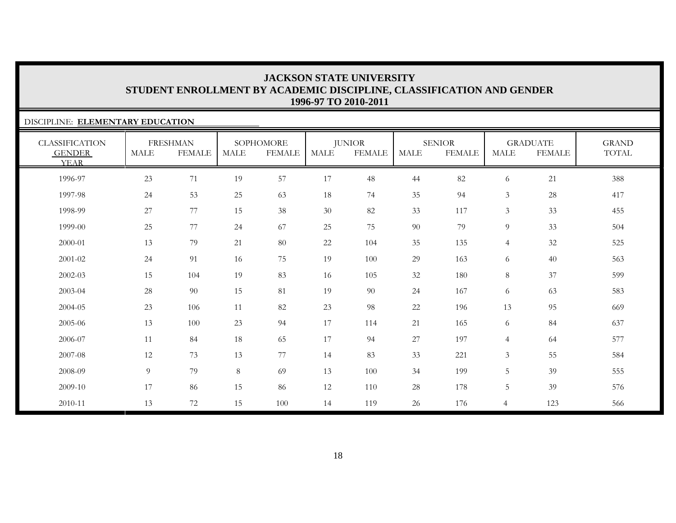### DISCIPLINE: **ELEMENTARY EDUCATION**

| <b>CLASSIFICATION</b><br><b>GENDER</b><br><b>YEAR</b> | <b>MALE</b> | <b>FRESHMAN</b><br><b>FEMALE</b> | <b>MALE</b> | SOPHOMORE<br><b>FEMALE</b> | MALE   | <b>JUNIOR</b><br><b>FEMALE</b> | <b>MALE</b> | <b>SENIOR</b><br><b>FEMALE</b> | <b>MALE</b>    | <b>GRADUATE</b><br><b>FEMALE</b> | <b>GRAND</b><br>TOTAL |
|-------------------------------------------------------|-------------|----------------------------------|-------------|----------------------------|--------|--------------------------------|-------------|--------------------------------|----------------|----------------------------------|-----------------------|
| 1996-97                                               | 23          | $71\,$                           | 19          | 57                         | $17\,$ | 48                             | 44          | 82                             | 6              | 21                               | 388                   |
| 1997-98                                               | 24          | 53                               | 25          | 63                         | 18     | 74                             | 35          | 94                             | $\mathfrak{Z}$ | 28                               | 417                   |
| 1998-99                                               | 27          | 77                               | 15          | 38                         | 30     | 82                             | 33          | 117                            | $\mathfrak{Z}$ | 33                               | 455                   |
| 1999-00                                               | 25          | 77                               | 24          | 67                         | 25     | 75                             | 90          | 79                             | 9              | 33                               | 504                   |
| 2000-01                                               | 13          | 79                               | 21          | 80                         | $22\,$ | 104                            | 35          | 135                            | $\overline{4}$ | 32                               | 525                   |
| 2001-02                                               | 24          | 91                               | 16          | 75                         | 19     | 100                            | 29          | 163                            | 6              | 40                               | 563                   |
| 2002-03                                               | 15          | 104                              | 19          | 83                         | 16     | 105                            | 32          | 180                            | 8              | 37                               | 599                   |
| 2003-04                                               | $28\,$      | 90                               | 15          | 81                         | 19     | 90                             | 24          | 167                            | 6              | 63                               | 583                   |
| 2004-05                                               | 23          | 106                              | 11          | 82                         | 23     | 98                             | 22          | 196                            | 13             | 95                               | 669                   |
| 2005-06                                               | 13          | 100                              | 23          | 94                         | 17     | 114                            | 21          | 165                            | 6              | 84                               | 637                   |
| 2006-07                                               | 11          | 84                               | 18          | 65                         | 17     | 94                             | 27          | 197                            | $\overline{4}$ | 64                               | 577                   |
| 2007-08                                               | 12          | 73                               | 13          | 77                         | 14     | 83                             | 33          | 221                            | $\mathfrak{Z}$ | 55                               | 584                   |
| 2008-09                                               | 9           | 79                               | 8           | 69                         | 13     | 100                            | 34          | 199                            | 5              | 39                               | 555                   |
| 2009-10                                               | 17          | 86                               | 15          | 86                         | $12\,$ | 110                            | 28          | 178                            | 5              | 39                               | 576                   |
| 2010-11                                               | 13          | 72                               | 15          | 100                        | 14     | 119                            | 26          | 176                            | $\overline{4}$ | 123                              | 566                   |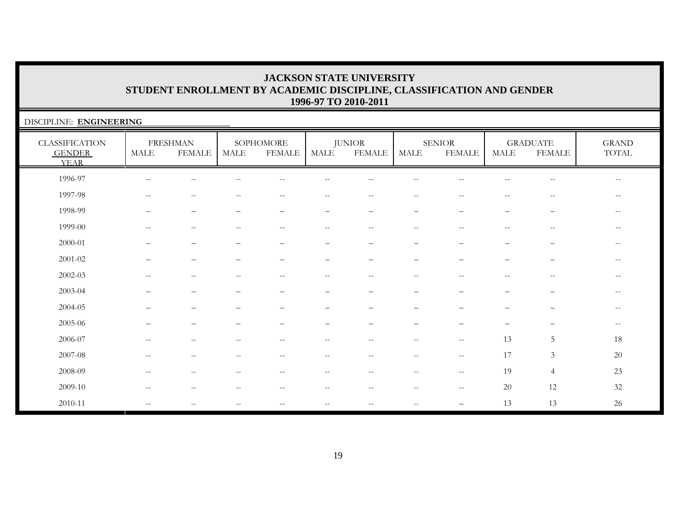| DISCIPLINE: ENGINEERING                               |                   |                                  |                          |                            |                                                     |                                                     |                                                       |                                                     |                          |                                  |                                                       |
|-------------------------------------------------------|-------------------|----------------------------------|--------------------------|----------------------------|-----------------------------------------------------|-----------------------------------------------------|-------------------------------------------------------|-----------------------------------------------------|--------------------------|----------------------------------|-------------------------------------------------------|
| <b>CLASSIFICATION</b><br><b>GENDER</b><br><b>YEAR</b> | MALE              | <b>FRESHMAN</b><br><b>FEMALE</b> | MALE                     | SOPHOMORE<br><b>FEMALE</b> | <b>MALE</b>                                         | <b>JUNIOR</b><br><b>FEMALE</b>                      | <b>MALE</b>                                           | <b>SENIOR</b><br><b>FEMALE</b>                      | <b>MALE</b>              | <b>GRADUATE</b><br><b>FEMALE</b> | <b>GRAND</b><br>TOTAL                                 |
| 1996-97                                               | $\qquad \qquad -$ |                                  |                          |                            | $-$                                                 |                                                     |                                                       |                                                     |                          | $- -$                            | $\overline{\phantom{m}}$                              |
| 1997-98                                               | $-$               |                                  |                          | $-$                        | --                                                  |                                                     |                                                       |                                                     |                          | --                               | $-\,-$                                                |
| 1998-99                                               |                   |                                  |                          |                            |                                                     |                                                     |                                                       |                                                     |                          |                                  | $-\,-$                                                |
| 1999-00                                               | $\qquad \qquad -$ | $\qquad \qquad -$                | --                       | $\qquad \qquad -$          | $- -$                                               | $\hspace{0.05cm} -\hspace{0.05cm} -\hspace{0.05cm}$ | $\hspace{0.05cm} - \hspace{0.05cm} - \hspace{0.05cm}$ |                                                     | $\overline{\phantom{a}}$ | $\sim$ $\sim$                    | $--$                                                  |
| 2000-01                                               |                   | $\overline{\phantom{0}}$         | -                        | $\qquad \qquad -$          | $\qquad \qquad -$                                   | $\overline{\phantom{0}}$                            | $\overline{\phantom{0}}$                              | —                                                   | -                        | $\overline{\phantom{m}}$         | $--$                                                  |
| 2001-02                                               |                   |                                  |                          |                            | -                                                   |                                                     |                                                       |                                                     |                          | $\overline{\phantom{0}}$         | $\hspace{0.05cm} - \hspace{0.05cm} - \hspace{0.05cm}$ |
| 2002-03                                               | $\sim$            | $-$                              | $-$                      | $-$                        | $-$                                                 | $-$                                                 |                                                       | $-$                                                 | $-$                      | $-$                              | $\hspace{0.05cm} - \hspace{0.05cm} - \hspace{0.05cm}$ |
| 2003-04                                               |                   |                                  |                          |                            |                                                     |                                                     |                                                       |                                                     |                          |                                  | $-\,-$                                                |
| 2004-05                                               |                   |                                  |                          |                            |                                                     |                                                     |                                                       |                                                     |                          |                                  | $\qquad \qquad -$                                     |
| 2005-06                                               |                   |                                  |                          |                            |                                                     |                                                     |                                                       |                                                     |                          |                                  | $-\,-$                                                |
| 2006-07                                               | --                | --                               | --                       | $- -$                      | $-\,-$                                              | $- -$                                               | $\sim$ $\sim$                                         | $\hspace{0.05cm} -\hspace{0.05cm} -\hspace{0.05cm}$ | 13                       | 5                                | 18                                                    |
| 2007-08                                               | $\frac{1}{2}$     | $-$                              | $\overline{\phantom{a}}$ | $-$                        | $\hspace{0.05cm} -\hspace{0.05cm} -\hspace{0.05cm}$ | $-$                                                 | $\sim$ $-$                                            | $\mathbf{u}$                                        | 17                       | 3                                | $20\,$                                                |
| 2008-09                                               | $\qquad \qquad -$ | $-$                              | --                       | $- -$                      | $\overline{\phantom{m}}$                            | --                                                  | $\sim$ $-$                                            | $--$                                                | 19                       | $\overline{4}$                   | $23\,$                                                |
| 2009-10                                               | $\frac{1}{2}$     | $- -$                            | $- -$                    | $-$                        | $\hspace{0.05cm} -\hspace{0.05cm} -\hspace{0.05cm}$ | $ -$                                                | $\hspace{0.05cm} - \hspace{0.05cm} - \hspace{0.05cm}$ | $\overline{\phantom{a}}$                            | 20                       | 12                               | $32\,$                                                |
| 2010-11                                               | $- -$             |                                  | $-\,-$                   | $\overline{\phantom{m}}$   | $--$                                                | $\overline{\phantom{m}}$                            | $- \, -$                                              |                                                     | 13                       | 13                               | 26                                                    |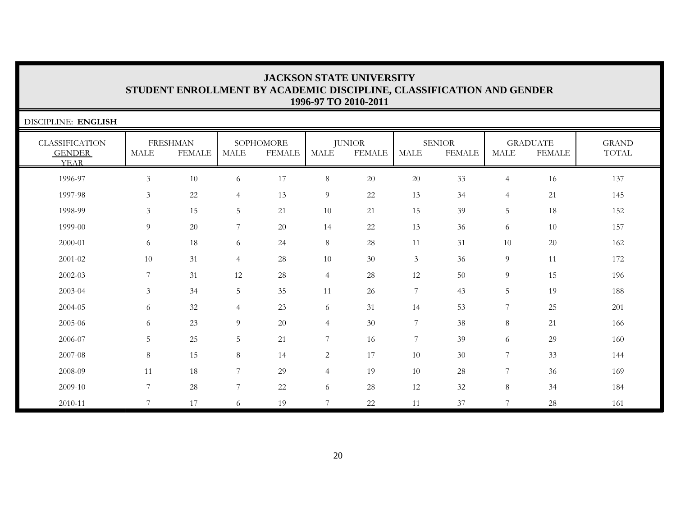| DISCIPLINE: ENGLISH                                   |                |                                  |                |                            |                |                                |                |                                |                |                                  |                              |
|-------------------------------------------------------|----------------|----------------------------------|----------------|----------------------------|----------------|--------------------------------|----------------|--------------------------------|----------------|----------------------------------|------------------------------|
| <b>CLASSIFICATION</b><br><b>GENDER</b><br><b>YEAR</b> | <b>MALE</b>    | <b>FRESHMAN</b><br><b>FEMALE</b> | MALE           | SOPHOMORE<br><b>FEMALE</b> | MALE           | <b>JUNIOR</b><br><b>FEMALE</b> | <b>MALE</b>    | <b>SENIOR</b><br><b>FEMALE</b> | <b>MALE</b>    | <b>GRADUATE</b><br><b>FEMALE</b> | <b>GRAND</b><br><b>TOTAL</b> |
| 1996-97                                               | $\mathfrak{Z}$ | 10                               | 6              | 17                         | $\,8\,$        | $20\,$                         | $20\,$         | 33                             | $\overline{4}$ | 16                               | 137                          |
| 1997-98                                               | 3              | 22                               | $\overline{4}$ | 13                         | 9              | $22\,$                         | 13             | 34                             | $\overline{4}$ | 21                               | 145                          |
| 1998-99                                               | 3              | 15                               | 5              | 21                         | 10             | 21                             | 15             | 39                             | 5              | 18                               | 152                          |
| 1999-00                                               | 9              | 20                               | $\overline{7}$ | 20                         | 14             | 22                             | 13             | 36                             | 6              | 10                               | 157                          |
| 2000-01                                               | 6              | 18                               | 6              | 24                         | $8\,$          | 28                             | 11             | 31                             | $10\,$         | 20                               | 162                          |
| 2001-02                                               | 10             | 31                               | $\overline{4}$ | 28                         | 10             | 30                             | $\mathfrak{Z}$ | 36                             | 9              | 11                               | 172                          |
| 2002-03                                               | $\overline{7}$ | 31                               | 12             | 28                         | $\overline{4}$ | 28                             | 12             | 50                             | 9              | 15                               | 196                          |
| 2003-04                                               | 3              | 34                               | 5              | 35                         | 11             | 26                             | $\overline{7}$ | 43                             | 5              | 19                               | 188                          |
| 2004-05                                               | 6              | 32                               | $\overline{4}$ | 23                         | 6              | 31                             | 14             | 53                             | 7              | 25                               | 201                          |
| 2005-06                                               | 6              | 23                               | 9              | 20                         | $\overline{4}$ | 30                             | $\overline{7}$ | 38                             | $\,8\,$        | 21                               | 166                          |
| 2006-07                                               | 5              | 25                               | 5              | 21                         | 7              | 16                             | 7              | 39                             | 6              | 29                               | 160                          |
| 2007-08                                               | $8\,$          | 15                               | 8              | 14                         | $\overline{c}$ | 17                             | 10             | 30                             | 7              | 33                               | 144                          |
| 2008-09                                               | 11             | 18                               | 7              | 29                         | $\overline{4}$ | 19                             | 10             | 28                             | 7              | 36                               | 169                          |
| 2009-10                                               | $\overline{7}$ | 28                               | $\overline{7}$ | 22                         | 6              | 28                             | 12             | 32                             | 8              | 34                               | 184                          |
| 2010-11                                               | $\overline{7}$ | 17                               | 6              | 19                         | 7              | 22                             | 11             | 37                             | 7              | 28                               | 161                          |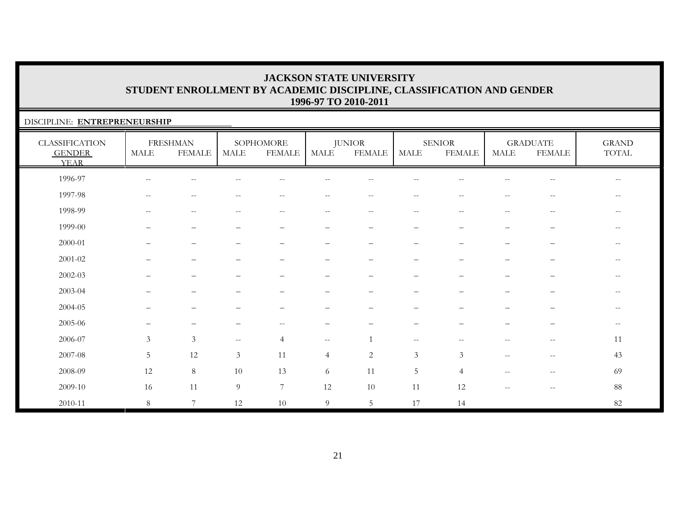### DISCIPLINE: **ENTREPRENEURSHIP**

| <b>CLASSIFICATION</b><br><b>GENDER</b><br><b>YEAR</b> | <b>MALE</b>              | <b>FRESHMAN</b><br><b>FEMALE</b> | <b>MALE</b>                                    | SOPHOMORE<br><b>FEMALE</b> | <b>MALE</b>                     | <b>JUNIOR</b><br><b>FEMALE</b>                        | MALE                                           | <b>SENIOR</b><br><b>FEMALE</b> | <b>MALE</b>                                         | <b>GRADUATE</b><br><b>FEMALE</b>                      | <b>GRAND</b><br>TOTAL    |
|-------------------------------------------------------|--------------------------|----------------------------------|------------------------------------------------|----------------------------|---------------------------------|-------------------------------------------------------|------------------------------------------------|--------------------------------|-----------------------------------------------------|-------------------------------------------------------|--------------------------|
| 1996-97                                               | $- -$                    | $\sim$ $-$                       |                                                | $-$                        | --                              |                                                       |                                                |                                | --                                                  | $-\,-$                                                | $- -$                    |
| 1997-98                                               | $\overline{\phantom{m}}$ | $\overline{\phantom{m}}$         | $\qquad \qquad -$                              | $--$                       | $--$                            | $\hspace{0.05cm} -\hspace{0.05cm} -\hspace{0.05cm}$   | $\overline{\phantom{m}}$                       | $\hspace{0.05cm} -$            | $\hspace{0.05cm} -\hspace{0.05cm} -\hspace{0.05cm}$ | $\hspace{0.05cm} - \hspace{0.05cm} - \hspace{0.05cm}$ | $- -$                    |
| 1998-99                                               | $\overline{\phantom{m}}$ | $\sim$ $-$                       | $-$                                            | $\qquad \qquad -$          | $\qquad \qquad -$               | $\hspace{0.05cm} - \hspace{0.05cm} - \hspace{0.05cm}$ | $\overline{\phantom{m}}$                       | $\sim$ $\sim$                  | $\overline{\phantom{a}}$                            | $\hspace{0.05cm} - \hspace{0.05cm} - \hspace{0.05cm}$ | $\qquad \qquad -$        |
| 1999-00                                               | $\overline{\phantom{0}}$ | $\qquad \qquad -$                |                                                | $\qquad \qquad -$          | $\overbrace{\phantom{1232211}}$ | $\qquad \qquad -$                                     | $\qquad \qquad -$                              |                                | $\overline{\phantom{0}}$                            | —                                                     | $\qquad \qquad -$        |
| 2000-01                                               |                          |                                  |                                                |                            |                                 |                                                       |                                                |                                | $\overline{\phantom{0}}$                            |                                                       | $\qquad \qquad -$        |
| 2001-02                                               |                          | $\overline{\phantom{0}}$         |                                                |                            | $\overbrace{\phantom{1232211}}$ |                                                       | $\qquad \qquad -$                              |                                | $\overline{\phantom{0}}$                            | —                                                     | $\overline{\phantom{m}}$ |
| $2002 - 03$                                           |                          |                                  |                                                |                            |                                 |                                                       | $\qquad \qquad -$                              |                                | -                                                   |                                                       |                          |
| 2003-04                                               |                          | $\overline{\phantom{0}}$         |                                                |                            |                                 |                                                       | $\qquad \qquad -$                              |                                |                                                     | $\overline{\phantom{0}}$                              | $- -$                    |
| 2004-05                                               |                          |                                  |                                                |                            |                                 |                                                       |                                                |                                |                                                     |                                                       |                          |
| 2005-06                                               | $\qquad \qquad -$        | $\overline{\phantom{0}}$         |                                                | $\qquad \qquad -$          |                                 |                                                       | $\qquad \qquad -$                              |                                |                                                     | —                                                     | $\qquad \qquad -$        |
| 2006-07                                               | 3                        | 3                                | $\hspace{0.1mm}-\hspace{0.1mm}-\hspace{0.1mm}$ | $\overline{4}$             | $--$                            |                                                       | $\hspace{0.1mm}-\hspace{0.1mm}-\hspace{0.1mm}$ | $\overline{\phantom{m}}$       | $\overline{\phantom{a}}$                            | $\hspace{0.05cm} -\hspace{0.05cm} -\hspace{0.05cm}$   | 11                       |
| 2007-08                                               | 5                        | 12                               | $\mathfrak{Z}$                                 | 11                         | $\overline{4}$                  | 2                                                     | 3                                              | 3                              | $\overline{\phantom{m}}$                            | $-\,-$                                                | 43                       |
| 2008-09                                               | 12                       | $\,8\,$                          | 10                                             | 13                         | 6                               | 11                                                    | $\overline{5}$                                 | $\overline{4}$                 | --                                                  | $\hspace{0.05cm} - \hspace{0.05cm} - \hspace{0.05cm}$ | 69                       |
| 2009-10                                               | 16                       | 11                               | 9                                              | $\overline{7}$             | 12                              | 10                                                    | 11                                             | 12                             | --                                                  | $\hspace{0.05cm} -\hspace{0.05cm} -\hspace{0.05cm}$   | $\bf 88$                 |
| 2010-11                                               | $8\,$                    | 7                                | 12                                             | 10                         | 9                               | 5                                                     | 17                                             | 14                             |                                                     |                                                       | 82                       |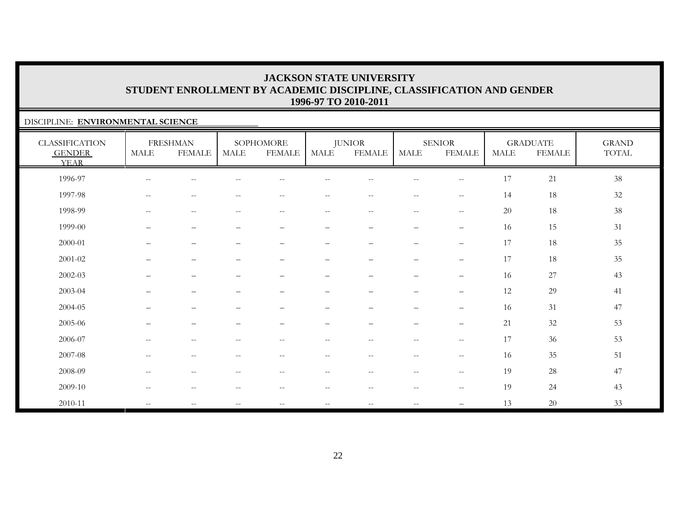### DISCIPLINE: **ENVIRONMENTAL SCIENCE**

| <b>CLASSIFICATION</b><br><b>GENDER</b><br><b>YEAR</b> | <b>MALE</b>              | <b>FRESHMAN</b><br><b>FEMALE</b> | <b>MALE</b>                                         | SOPHOMORE<br><b>FEMALE</b>                            | MALE                                          | <b>JUNIOR</b><br><b>FEMALE</b>                      | MALE                                                | <b>SENIOR</b><br><b>FEMALE</b>                      | <b>MALE</b> | <b>GRADUATE</b><br><b>FEMALE</b> | <b>GRAND</b><br>$\operatorname{TOTAL}$ |
|-------------------------------------------------------|--------------------------|----------------------------------|-----------------------------------------------------|-------------------------------------------------------|-----------------------------------------------|-----------------------------------------------------|-----------------------------------------------------|-----------------------------------------------------|-------------|----------------------------------|----------------------------------------|
| 1996-97                                               | $\overline{\phantom{m}}$ | --                               |                                                     |                                                       |                                               |                                                     | $- -$                                               | $\sim$                                              | 17          | 21                               | 38                                     |
| 1997-98                                               | $\overline{\phantom{m}}$ | $\overline{\phantom{m}}$         | $\overline{\phantom{m}}$                            | $\qquad \qquad -$                                     | $-\,-$                                        | $\overline{\phantom{m}}$                            | $\overline{\phantom{m}}$                            | $-\,-$                                              | 14          | 18                               | 32                                     |
| 1998-99                                               | $\overline{\phantom{m}}$ | $\overline{\phantom{m}}$         | $\overline{\phantom{m}}$                            | $--$                                                  | $--$                                          | $\hspace{0.05cm} -\hspace{0.05cm} -\hspace{0.05cm}$ | $\overline{\phantom{m}}$                            | $\hspace{0.05cm} -\hspace{0.05cm} -\hspace{0.05cm}$ | 20          | 18                               | $38\,$                                 |
| 1999-00                                               | $\overline{\phantom{0}}$ | $\overline{\phantom{m}}$         |                                                     | $\qquad \qquad -$                                     | $\qquad \qquad -$                             | $\overline{\phantom{m}}$                            | -                                                   | $\overline{\phantom{m}}$                            | 16          | 15                               | 31                                     |
| 2000-01                                               | $\qquad \qquad$          | $\overline{\phantom{m}}$         |                                                     | $\qquad \qquad -$                                     |                                               | $\qquad \qquad -$                                   | $\overline{\phantom{0}}$                            | $\overline{\phantom{m}}$                            | 17          | 18                               | 35                                     |
| 2001-02                                               |                          | $\overline{\phantom{0}}$         |                                                     |                                                       | $\overline{\phantom{0}}$                      |                                                     | $\qquad \qquad$                                     | $\overline{\phantom{m}}$                            | 17          | 18                               | 35                                     |
| 2002-03                                               | $\qquad \qquad -$        | $\overline{\phantom{m}}$         | $\overline{\phantom{0}}$                            | $\overline{\phantom{0}}$                              | $\overbrace{\phantom{123221111}}$             | $\qquad \qquad -$                                   | $\overline{\phantom{0}}$                            | $\overline{\phantom{m}}$                            | 16          | 27                               | 43                                     |
| 2003-04                                               |                          | $\overline{\phantom{0}}$         |                                                     |                                                       | $\overline{\phantom{m}}$                      |                                                     | $\qquad \qquad -$                                   | $\overline{\phantom{m}}$                            | 12          | 29                               | 41                                     |
| 2004-05                                               |                          |                                  |                                                     |                                                       |                                               |                                                     |                                                     | $\qquad \qquad -$                                   | 16          | $31\,$                           | 47                                     |
| 2005-06                                               |                          |                                  |                                                     |                                                       |                                               |                                                     |                                                     | $\qquad \qquad -$                                   | 21          | 32                               | 53                                     |
| 2006-07                                               | $- -$                    | $\overline{\phantom{m}}$         | $\hspace{0.05cm} -\hspace{0.05cm} -\hspace{0.05cm}$ | $\overline{\phantom{m}}$                              | $--$                                          | $\overline{\phantom{m}}$                            | $\hspace{0.05cm} -\hspace{0.05cm} -\hspace{0.05cm}$ | $-\,-$                                              | 17          | 36                               | 53                                     |
| 2007-08                                               | $\overline{\phantom{a}}$ | $\sim$ $-$                       | $\frac{1}{2}$                                       | $--$                                                  | $--$                                          | $\overline{\phantom{m}}$                            | $--$                                                | $\hspace{0.05cm} -\hspace{0.05cm} -\hspace{0.05cm}$ | 16          | 35                               | 51                                     |
| 2008-09                                               | $\overline{\phantom{a}}$ | $\sim$ $-$                       | $\overline{\phantom{m}}$                            | $\hspace{0.05cm} - \hspace{0.05cm} - \hspace{0.05cm}$ | $--$                                          | $\hspace{0.05cm} -\hspace{0.05cm} -\hspace{0.05cm}$ | $--$                                                | $\hspace{0.05cm} -\hspace{0.05cm} -\hspace{0.05cm}$ | 19          | 28                               | 47                                     |
| 2009-10                                               | $\overline{\phantom{m}}$ | $\sim$ $-$                       | $\overline{\phantom{a}}$                            | $--$                                                  | $\mathord{\hspace{1pt}\text{--}\hspace{1pt}}$ | $\overline{\phantom{m}}$                            | $--$                                                | $\hspace{0.05cm} -$                                 | 19          | 24                               | 43                                     |
| 2010-11                                               | $\overline{\phantom{a}}$ | $\overline{\phantom{m}}$         | $\overline{\phantom{a}}$                            | $\overline{\phantom{m}}$                              | $--$                                          | $\overline{\phantom{m}}$                            | $\overline{\phantom{m}}$                            | $\qquad \qquad -$                                   | 13          | 20                               | 33                                     |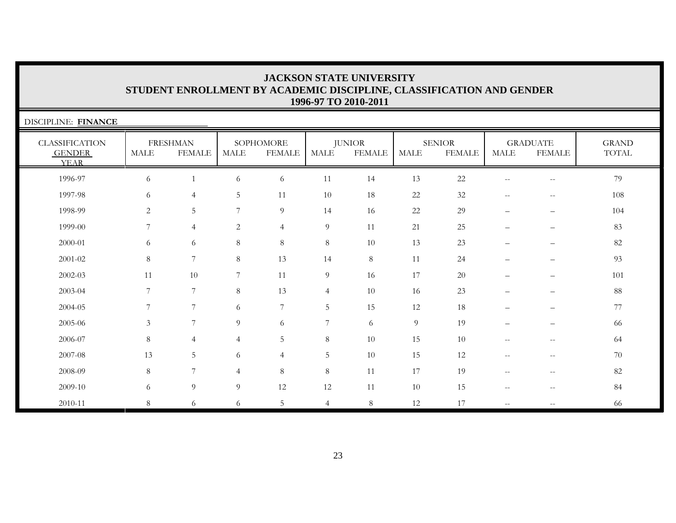| DISCIPLINE: FINANCE                                   |             |                                  |                |                            |                |                                |             |                                |                          |                                                     |                       |
|-------------------------------------------------------|-------------|----------------------------------|----------------|----------------------------|----------------|--------------------------------|-------------|--------------------------------|--------------------------|-----------------------------------------------------|-----------------------|
| <b>CLASSIFICATION</b><br><b>GENDER</b><br><b>YEAR</b> | <b>MALE</b> | <b>FRESHMAN</b><br><b>FEMALE</b> | <b>MALE</b>    | SOPHOMORE<br><b>FEMALE</b> | <b>MALE</b>    | <b>JUNIOR</b><br><b>FEMALE</b> | <b>MALE</b> | <b>SENIOR</b><br><b>FEMALE</b> | <b>MALE</b>              | <b>GRADUATE</b><br><b>FEMALE</b>                    | <b>GRAND</b><br>TOTAL |
| 1996-97                                               | 6           |                                  | 6              | 6                          | 11             | 14                             | 13          | $22\,$                         | $-$                      | $- -$                                               | 79                    |
| 1997-98                                               | 6           | $\overline{4}$                   | 5              | 11                         | 10             | 18                             | 22          | $32\,$                         | $-\,-$                   | $-\,-$                                              | 108                   |
| 1998-99                                               | 2           | 5                                | 7              | 9                          | 14             | 16                             | 22          | 29                             | $\qquad \qquad -$        | $\overline{\phantom{0}}$                            | 104                   |
| 1999-00                                               | 7           | $\overline{4}$                   | $\overline{2}$ | $\overline{4}$             | 9              | 11                             | 21          | 25                             | $\qquad \qquad -$        |                                                     | 83                    |
| 2000-01                                               | 6           | 6                                | 8              | $\,8\,$                    | 8              | 10                             | 13          | 23                             |                          |                                                     | 82                    |
| 2001-02                                               | 8           | 7                                | 8              | 13                         | 14             | $\,8\,$                        | 11          | 24                             |                          | $\qquad \qquad -$                                   | 93                    |
| 2002-03                                               | 11          | 10                               | 7              | 11                         | $\overline{9}$ | 16                             | 17          | $20\,$                         |                          |                                                     | 101                   |
| 2003-04                                               | 7           | 7                                | 8              | 13                         | $\overline{4}$ | 10                             | 16          | 23                             |                          |                                                     | 88                    |
| 2004-05                                               | 7           | 7                                | 6              | $\overline{7}$             | 5              | 15                             | 12          | 18                             |                          |                                                     | 77                    |
| 2005-06                                               | 3           | 7                                | 9              | 6                          | 7              | 6                              | 9           | 19                             | $\overline{\phantom{0}}$ | $\overline{\phantom{0}}$                            | 66                    |
| 2006-07                                               | $\,8\,$     | $\overline{4}$                   | 4              | 5                          | $8\,$          | 10                             | 15          | 10                             | $-$                      | --                                                  | 64                    |
| 2007-08                                               | 13          | 5                                | 6              | $\overline{4}$             | 5              | 10                             | 15          | 12                             | $-$                      | $\hspace{0.05cm} -\hspace{0.05cm} -\hspace{0.05cm}$ | 70                    |
| 2008-09                                               | 8           | 7                                | 4              | $\,8\,$                    | $8\,$          | 11                             | 17          | 19                             | --                       | --                                                  | 82                    |
| 2009-10                                               | 6           | 9                                | 9              | 12                         | 12             | 11                             | 10          | 15                             | $\overline{\phantom{m}}$ | $\overline{\phantom{m}}$                            | 84                    |
| 2010-11                                               | 8           | 6                                | 6              | 5                          | $\overline{4}$ | 8                              | 12          | 17                             | $-$                      |                                                     | 66                    |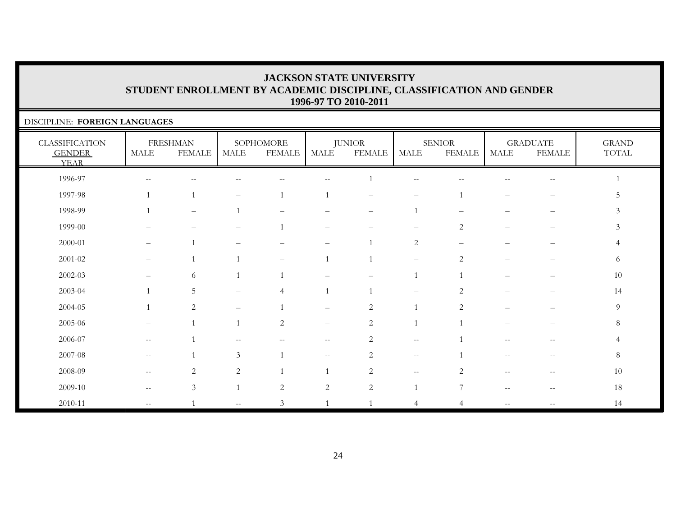$5\phantom{.0}$ 

 $\mathfrak{Z}$ 

 $\mathfrak{Z}$ 

6

 $8\phantom{.}$ 

 $\overline{4}$ 

 $8\,$ 

### DISCIPLINE: **FOREIGN LANGUAGES** CLASSIFICATION GENDER YEARFRESHMAN MALE FEMALESOPHOMORE MALE FEMALEJUNIOR MALE FEMALESENIORMALE FEMALEGRADUATE MALE FEMALEGRAND TOTAL 1996-97 -- -- -- -- -- 1 -- -- -- -- 11997-98 1 1 – 1 1 – – 1 – – 51998-99 1 – 1 – – – 1 – – – 31999-00 – – – 1 – – – 2 – – 32000-01 – 1 – – – 1 2 – – – 42001-02 – 1 1 – 1 1 – 2 – – 62002-03 – 6 1 1 – – 1 1 – – 102003-04 1 5 – 4 1 1 – 2 – – 1414 2004-05 1 2 – 1 – 2 1 2 – – 92005-06 – 1 1 2 – 2 1 1 – – 82006-07 -- 1 -- - - - - 2 -- 1 -- - - 4 2007-08 -- 1 3 1 -- 2 - 1 -- 1 -- 8 2008-09 -- 2 2 1 1 2 -- 2 -- 10 2009-10 -- 3 1 2 2 2 1 7 -- -- 1818

2010-11 -- 1 -- 3 1 1 4 4 -- -- 14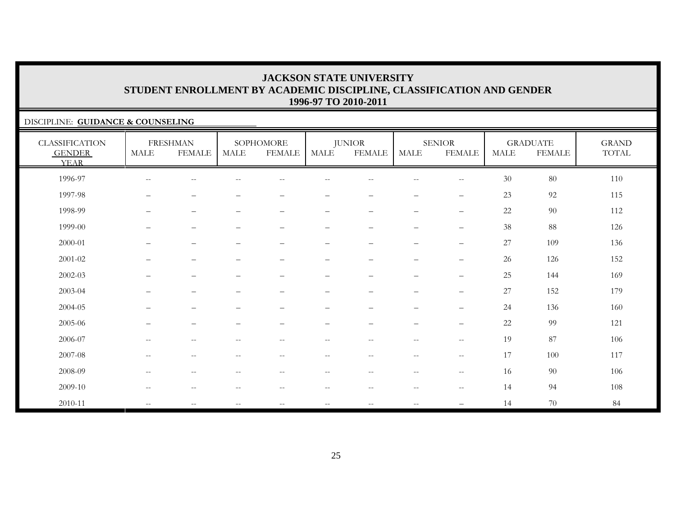### DISCIPLINE: **GUIDANCE & COUNSELING**

| <b>CLASSIFICATION</b><br><b>GENDER</b><br><b>YEAR</b> | <b>MALE</b>              | <b>FRESHMAN</b><br><b>FEMALE</b>                    | <b>MALE</b>                                         | SOPHOMORE<br><b>FEMALE</b>                          | MALE                     | <b>JUNIOR</b><br><b>FEMALE</b>                      | <b>MALE</b>                                         | <b>SENIOR</b><br><b>FEMALE</b>                      | <b>MALE</b> | <b>GRADUATE</b><br><b>FEMALE</b> | <b>GRAND</b><br>TOTAL |
|-------------------------------------------------------|--------------------------|-----------------------------------------------------|-----------------------------------------------------|-----------------------------------------------------|--------------------------|-----------------------------------------------------|-----------------------------------------------------|-----------------------------------------------------|-------------|----------------------------------|-----------------------|
| 1996-97                                               | $\overline{\phantom{m}}$ | $\sim$ $-$                                          |                                                     | $\qquad \qquad -$                                   |                          | --                                                  | $\sim$                                              | $\qquad \qquad -$                                   | 30          | 80                               | 110                   |
| 1997-98                                               | $\overline{\phantom{m}}$ | $\overline{\phantom{m}}$                            |                                                     | $\qquad \qquad -$                                   | $\overline{\phantom{0}}$ | $\qquad \qquad -$                                   | $\overline{\phantom{0}}$                            | $\overline{\phantom{m}}$                            | 23          | 92                               | 115                   |
| 1998-99                                               | $\qquad \qquad -$        | $\overline{\phantom{m}}$                            |                                                     | $\qquad \qquad -$                                   | $\qquad \qquad -$        | $\overline{\phantom{0}}$                            | $\overline{\phantom{m}}$                            | $\qquad \qquad -$                                   | 22          | 90                               | 112                   |
| 1999-00                                               | $\overline{\phantom{m}}$ | $\qquad \qquad -$                                   | $\qquad \qquad -$                                   | $\overline{\phantom{0}}$                            | $\qquad \qquad -$        | $\overline{\phantom{0}}$                            | $\overline{\phantom{m}}$                            | $\qquad \qquad -$                                   | 38          | 88                               | 126                   |
| 2000-01                                               | $\overline{\phantom{m}}$ | $\qquad \qquad -$                                   | -                                                   | $\overline{\phantom{0}}$                            | $\overline{\phantom{0}}$ | $\qquad \qquad -$                                   | $\overline{\phantom{a}}$                            | $\qquad \qquad -$                                   | 27          | 109                              | 136                   |
| 2001-02                                               | $\overline{\phantom{0}}$ | $\overline{\phantom{m}}$                            | -                                                   | $\qquad \qquad -$                                   | -                        |                                                     | $\overline{\phantom{0}}$                            | $\qquad \qquad -$                                   | 26          | 126                              | 152                   |
| 2002-03                                               | $\qquad \qquad -$        | $\overline{\phantom{m}}$                            | $\overline{\phantom{0}}$                            | $\qquad \qquad -$                                   | $\overline{\phantom{0}}$ | $\overline{\phantom{0}}$                            | $\overline{\phantom{a}}$                            | $\qquad \qquad -$                                   | 25          | 144                              | 169                   |
| 2003-04                                               | $\qquad \qquad -$        | $\qquad \qquad -$                                   | $\qquad \qquad -$                                   | $\qquad \qquad -$                                   | $\qquad \qquad -$        | $\overline{\phantom{0}}$                            | $\overline{\phantom{a}}$                            | $\qquad \qquad -$                                   | 27          | 152                              | 179                   |
| 2004-05                                               | $\qquad \qquad -$        | $\overline{\phantom{m}}$                            | $\overline{\phantom{0}}$                            | $\qquad \qquad -$                                   | $\overline{\phantom{0}}$ | $\overline{\phantom{0}}$                            | $\overline{\phantom{m}}$                            | $\qquad \qquad -$                                   | 24          | 136                              | 160                   |
| 2005-06                                               | $\qquad \qquad -$        | $\overline{\phantom{a}}$                            |                                                     | $\qquad \qquad -$                                   | -                        | $\qquad \qquad$                                     | $\overline{\phantom{0}}$                            | $\qquad \qquad -$                                   | 22          | 99                               | 121                   |
| 2006-07                                               | $--$                     | $\mathrel{{-}{-}}$                                  | $\qquad \qquad -$                                   | $\overline{\phantom{a}}$                            | $\overline{\phantom{m}}$ | $- -$                                               | $\sim$ $-$                                          | $- -$                                               | 19          | 87                               | 106                   |
| 2007-08                                               | $--$                     | $\hspace{0.05cm} -\hspace{0.05cm} -\hspace{0.05cm}$ | $\hspace{0.05cm} -\hspace{0.05cm} -\hspace{0.05cm}$ | $\overline{\phantom{m}}$                            | $--$                     | $\hspace{0.05cm} -\hspace{0.05cm} -\hspace{0.05cm}$ | $\overline{\phantom{m}}$                            | $\hspace{0.05cm} -\hspace{0.05cm} -\hspace{0.05cm}$ | 17          | 100                              | 117                   |
| 2008-09                                               | $\qquad \qquad -$        | $\hspace{0.05cm} -\hspace{0.05cm} -\hspace{0.05cm}$ | $--$                                                | $\hspace{0.05cm} -\hspace{0.05cm} -\hspace{0.05cm}$ | $\overline{\phantom{m}}$ | $\overline{\phantom{a}}$                            | $\hspace{0.05cm} -\hspace{0.05cm} -\hspace{0.05cm}$ | $-\,-$                                              | 16          | 90                               | 106                   |
| 2009-10                                               | $--$                     | $\hspace{0.05cm} -\hspace{0.05cm} -\hspace{0.05cm}$ | $\overline{\phantom{m}}$                            | $\hspace{0.05cm} -\hspace{0.05cm} -\hspace{0.05cm}$ | $- -$                    | $\hspace{0.1mm}-\hspace{0.1mm}-\hspace{0.1mm}$      | $\hspace{0.1mm}-\hspace{0.1mm}-\hspace{0.1mm}$      | $\hspace{0.05cm} -\hspace{0.05cm} -\hspace{0.05cm}$ | 14          | 94                               | 108                   |
| 2010-11                                               | $\overline{\phantom{a}}$ | $\overline{\phantom{m}}$                            | $\overline{\phantom{a}}$                            | $\overline{\phantom{m}}$                            | $- -$                    | $\overline{\phantom{m}}$                            | $\sim$ $-$                                          |                                                     | 14          | 70                               | 84                    |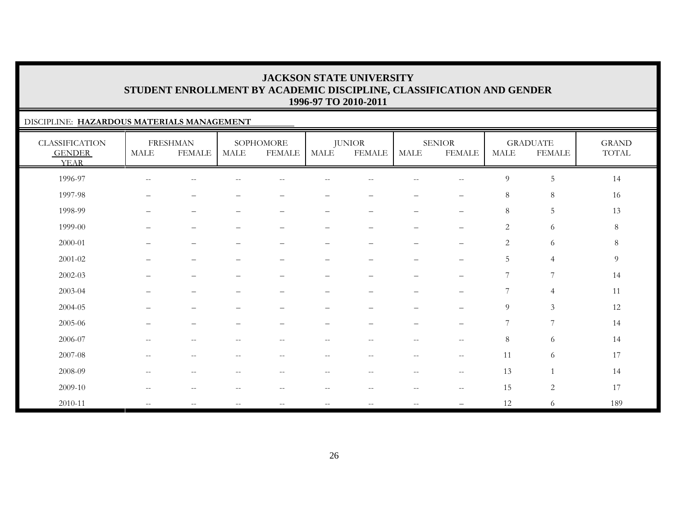### DISCIPLINE: **HAZARDOUS MATERIALS MANAGEMENT**

| <b>CLASSIFICATION</b><br><b>GENDER</b><br><b>YEAR</b> | MALE                     | <b>FRESHMAN</b><br><b>FEMALE</b> | MALE                     | SOPHOMORE<br><b>FEMALE</b>                          | MALE                                                | <b>JUNIOR</b><br><b>FEMALE</b>                      | <b>MALE</b>                                         | <b>SENIOR</b><br><b>FEMALE</b> | <b>MALE</b>    | <b>GRADUATE</b><br><b>FEMALE</b> | <b>GRAND</b><br>TOTAL |
|-------------------------------------------------------|--------------------------|----------------------------------|--------------------------|-----------------------------------------------------|-----------------------------------------------------|-----------------------------------------------------|-----------------------------------------------------|--------------------------------|----------------|----------------------------------|-----------------------|
| 1996-97                                               | $\overline{\phantom{m}}$ | $-\, -$                          |                          |                                                     |                                                     | --                                                  | $\sim$ $\sim$                                       | $- -$                          | $\overline{9}$ | $\sqrt{5}$                       | 14                    |
| 1997-98                                               | $\overline{\phantom{0}}$ | $\overline{\phantom{0}}$         |                          |                                                     |                                                     | -                                                   |                                                     | $\qquad \qquad -$              | $\,8\,$        | $\,8\,$                          | 16                    |
| 1998-99                                               | —                        | $\overline{\phantom{0}}$         |                          | $\qquad \qquad -$                                   | -                                                   | $\overline{\phantom{m}}$                            | $\qquad \qquad -$                                   | $\qquad \qquad -$              | $\,8\,$        | $\sqrt{5}$                       | 13                    |
| 1999-00                                               |                          | $\overline{\phantom{0}}$         |                          | —                                                   | $\overline{\phantom{0}}$                            | -                                                   | $\overline{\phantom{0}}$                            | $\qquad \qquad -$              | $\overline{2}$ | 6                                | $8\,$                 |
| 2000-01                                               |                          | $\overline{\phantom{0}}$         |                          |                                                     |                                                     |                                                     | $\overline{\phantom{0}}$                            | $\qquad \qquad -$              | $\sqrt{2}$     | 6                                | $8\,$                 |
| 2001-02                                               |                          |                                  |                          |                                                     |                                                     |                                                     |                                                     | —                              | 5              | $\overline{4}$                   | $\overline{9}$        |
| $2002 - 03$                                           |                          | $\overline{\phantom{0}}$         |                          | $\overline{\phantom{0}}$                            | $\overline{\phantom{0}}$                            |                                                     | $\overline{\phantom{0}}$                            | $\qquad \qquad -$              | 7              | $\overline{7}$                   | 14                    |
| 2003-04                                               |                          | $\overline{\phantom{0}}$         |                          |                                                     | $\overline{\phantom{0}}$                            |                                                     |                                                     | $\overline{\phantom{0}}$       | 7              | $\overline{4}$                   | 11                    |
| $2004 - 05$                                           |                          |                                  |                          |                                                     |                                                     |                                                     |                                                     | —                              | $\overline{9}$ | $\mathfrak{Z}$                   | 12                    |
| 2005-06                                               |                          |                                  |                          |                                                     |                                                     |                                                     |                                                     | $\overline{\phantom{0}}$       | $\overline{7}$ | 7                                | 14                    |
| 2006-07                                               | $\overline{\phantom{m}}$ | $\overline{\phantom{m}}$         | $\overline{\phantom{m}}$ | $\hspace{0.05cm} -\hspace{0.05cm} -\hspace{0.05cm}$ | $\hspace{0.05cm} -\hspace{0.05cm} -\hspace{0.05cm}$ | $\hspace{0.05cm} -\hspace{0.05cm} -\hspace{0.05cm}$ | $\hspace{0.05cm} -\hspace{0.05cm} -\hspace{0.05cm}$ | $--$                           | $8\,$          | 6                                | 14                    |
| 2007-08                                               | $\mathbf{u}$             | $\sim$ $-$                       | $\overline{\phantom{m}}$ | $\hspace{0.05cm} -\hspace{0.05cm} -\hspace{0.05cm}$ | $\hspace{0.1mm}-\hspace{0.1mm}-\hspace{0.1mm}$      | $\overline{\phantom{m}}$                            | $\hspace{0.05cm} -\hspace{0.05cm} -\hspace{0.05cm}$ | $\overline{\phantom{m}}$       | 11             | 6                                | 17                    |
| 2008-09                                               | $\overline{\phantom{m}}$ | $\sim$ $-$                       | $\overline{\phantom{m}}$ | $\overline{\phantom{m}}$                            | $\hspace{0.1mm}-\hspace{0.1mm}-\hspace{0.1mm}$      | $\hspace{0.05cm} -\hspace{0.05cm} -\hspace{0.05cm}$ | $\hspace{0.05cm}$ – $\hspace{0.05cm}$               | $--$                           | 13             | $\mathbf{1}$                     | 14                    |
| 2009-10                                               | $\qquad \qquad -$        | $-\, -$                          | --                       | $\overline{\phantom{m}}$                            | $\overline{\phantom{m}}$                            | $-\,-$                                              | $\sim$ $\sim$                                       | $\overline{\phantom{m}}$       | 15             | $\sqrt{2}$                       | 17                    |
| 2010-11                                               | $\mathbf{u}$             | $\overline{\phantom{m}}$         | $\overline{\phantom{a}}$ | $\mathcal{L}=\mathcal{L}$                           | $\hspace{0.05cm} -\hspace{0.05cm} -\hspace{0.05cm}$ | $\overline{\phantom{a}}$                            | $\sim$ $-$                                          |                                | 12             | 6                                | 189                   |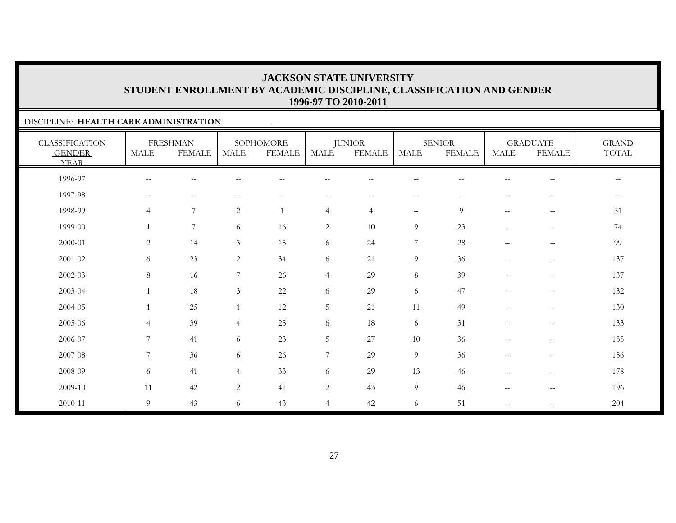### DISCIPLINE: **HEALTH CARE ADMINISTRATION**

| <b>CLASSIFICATION</b><br><b>GENDER</b><br><b>YEAR</b> | <b>MALE</b>              | <b>FRESHMAN</b><br><b>FEMALE</b> | MALE           | SOPHOMORE<br><b>FEMALE</b> | MALE           | <b>JUNIOR</b><br><b>FEMALE</b> | MALE                     | <b>SENIOR</b><br><b>FEMALE</b> | <b>MALE</b>              | <b>GRADUATE</b><br><b>FEMALE</b> | <b>GRAND</b><br>TOTAL                               |
|-------------------------------------------------------|--------------------------|----------------------------------|----------------|----------------------------|----------------|--------------------------------|--------------------------|--------------------------------|--------------------------|----------------------------------|-----------------------------------------------------|
| 1996-97                                               | $\overline{\phantom{m}}$ | $-$                              |                | $\overline{\phantom{m}}$   |                |                                | $- -$                    |                                |                          | $\qquad \qquad -$                | $\hspace{0.05cm} -\hspace{0.05cm} -\hspace{0.05cm}$ |
| 1997-98                                               | $\overline{\phantom{0}}$ | $\overline{\phantom{0}}$         |                |                            |                |                                | $\qquad \qquad -$        |                                | $-$                      | $\overline{\phantom{m}}$         | $-\,-$                                              |
| 1998-99                                               | $\overline{4}$           | 7                                | 2              |                            | $\overline{4}$ | $\overline{4}$                 | $\overline{\phantom{m}}$ | 9                              | $\overline{\phantom{m}}$ | $\overline{\phantom{m}}$         | 31                                                  |
| 1999-00                                               | $\mathbf{1}$             | $\overline{7}$                   | 6              | 16                         | $\overline{c}$ | 10                             | 9                        | 23                             | $\overline{\phantom{0}}$ | $\qquad \qquad -$                | 74                                                  |
| 2000-01                                               | $\overline{2}$           | 14                               | $\mathfrak{Z}$ | 15                         | 6              | 24                             | $\boldsymbol{7}$         | $28\,$                         | $\overline{\phantom{0}}$ |                                  | 99                                                  |
| $2001 - 02$                                           | 6                        | 23                               | 2              | 34                         | 6              | 21                             | $\overline{9}$           | 36                             |                          | $\qquad \qquad -$                | 137                                                 |
| 2002-03                                               | 8                        | 16                               | 7              | 26                         | $\overline{4}$ | 29                             | $8\,$                    | 39                             | $\qquad \qquad -$        | $\qquad \qquad -$                | 137                                                 |
| 2003-04                                               | $\mathbf{1}$             | 18                               | 3              | 22                         | 6              | 29                             | 6                        | 47                             | $\overline{\phantom{0}}$ |                                  | 132                                                 |
| 2004-05                                               | $\mathbf{1}$             | 25                               | $\overline{1}$ | 12                         | $\overline{5}$ | 21                             | 11                       | 49                             |                          | $\qquad \qquad -$                | 130                                                 |
| 2005-06                                               | $\overline{4}$           | 39                               | $\overline{4}$ | 25                         | 6              | 18                             | 6                        | 31                             |                          | $\qquad \qquad -$                | 133                                                 |
| 2006-07                                               | $\overline{7}$           | 41                               | 6              | 23                         | 5              | 27                             | 10                       | 36                             | $\overline{\phantom{m}}$ | $--$                             | 155                                                 |
| 2007-08                                               | 7                        | 36                               | 6              | 26                         | 7              | 29                             | 9                        | 36                             | $\overline{\phantom{m}}$ | $\overline{\phantom{m}}$         | 156                                                 |
| 2008-09                                               | 6                        | 41                               | $\overline{4}$ | 33                         | 6              | 29                             | 13                       | 46                             | $\qquad \qquad -$        | $\qquad \qquad -$                | 178                                                 |
| 2009-10                                               | 11                       | 42                               | 2              | 41                         | $\overline{c}$ | 43                             | $\overline{9}$           | 46                             | --                       | $\qquad \qquad -$                | 196                                                 |
| 2010-11                                               | 9                        | 43                               | 6              | 43                         | $\overline{4}$ | 42                             | 6                        | 51                             | $\qquad \qquad -$        | $\qquad \qquad -$                | 204                                                 |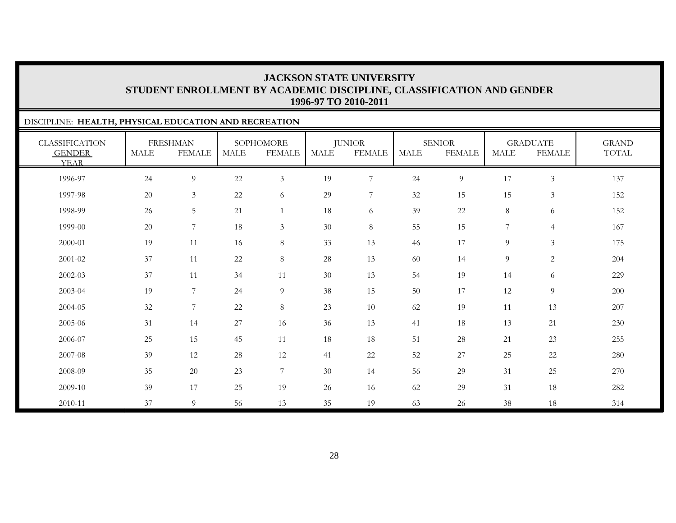### DISCIPLINE: **HEALTH, PHYSICAL EDUCATION AND RECREATION** CLASSIFICATION GENDER YEARFRESHMAN MALE FEMALESOPHOMORE MALE FEMALEJUNIOR MALE FEMALESENIORMALE FEMALEGRADUATE MALE FEMALEGRAND TOTAL1996-97 24 9 22 3 19 7 24 9 17 3 1371997-98 20 3 22 6 29 7 32 15 15 3 1521998-99 26 5 21 1 18 6 39 22 8 6 152152 1999-00 20 7 18 3 30 8 55 15 7 4 1672000-01 19 11 16 8 33 13 46 17 9 3 1752001-02 37 11 22 8 28 13 60 14 9 2 2042002-03 37 11 34 11 30 13 54 19 14 6 2292003-04 19 7 24 9 38 15 50 17 12 9 2002004-05 32 7 22 8 23 10 62 19 11 13 2072005-06 31 14 27 16 36 13 41 18 13 21 230230 2006-07 25 15 45 11 18 18 51 28 21 23 2552007-08 39 12 28 12 41 22 52 27 25 22 2802008-09 35 20 23 7 30 14 56 29 31 25 2702009-10 39 17 25 19 26 16 62 29 31 18 2822010-11 37 9 56 13 35 19 63 26 38 18 314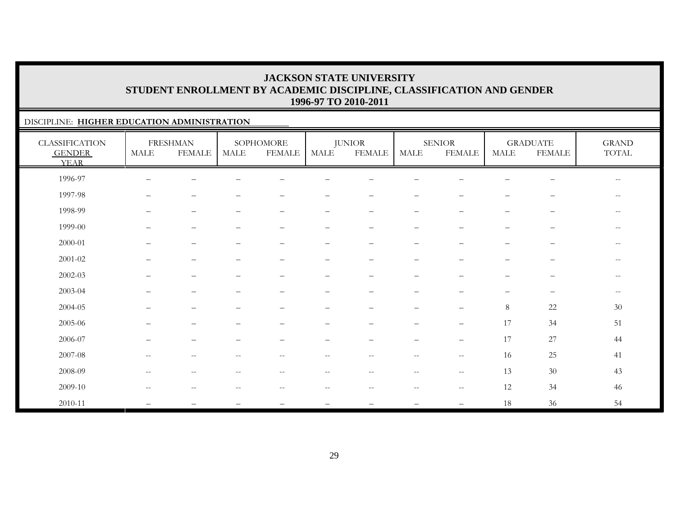### DISCIPLINE: **HIGHER EDUCATION ADMINISTRATION**

| <b>CLASSIFICATION</b><br><b>GENDER</b><br><b>YEAR</b> | MALE                                                | <b>FRESHMAN</b><br><b>FEMALE</b> | <b>MALE</b>                                         | SOPHOMORE<br><b>FEMALE</b> | MALE                     | <b>JUNIOR</b><br><b>FEMALE</b>                      | MALE                                           | <b>SENIOR</b><br><b>FEMALE</b>                      | MALE                     | <b>GRADUATE</b><br><b>FEMALE</b> | <b>GRAND</b><br>$\operatorname{TOTAL}$ |
|-------------------------------------------------------|-----------------------------------------------------|----------------------------------|-----------------------------------------------------|----------------------------|--------------------------|-----------------------------------------------------|------------------------------------------------|-----------------------------------------------------|--------------------------|----------------------------------|----------------------------------------|
| 1996-97                                               | $\overline{\phantom{0}}$                            | -                                |                                                     |                            |                          |                                                     |                                                |                                                     |                          |                                  | $\overline{\phantom{m}}$               |
| 1997-98                                               | $\qquad \qquad -$                                   | $\qquad \qquad -$                |                                                     |                            | -                        | $\overline{\phantom{m}}$                            | $\qquad \qquad -$                              | -                                                   | —                        | $\qquad \qquad -$                | $\overline{\phantom{m}}$               |
| 1998-99                                               | $\overline{\phantom{0}}$                            | $\qquad \qquad -$                | -                                                   | $\qquad \qquad -$          | —                        | $\overline{\phantom{m}}$                            | $\qquad \qquad -$                              | $\overline{\phantom{m}}$                            | $\overline{\phantom{0}}$ | $\overline{\phantom{m}}$         | --                                     |
| 1999-00                                               |                                                     | $\qquad \qquad -$                |                                                     |                            | -                        | $\qquad \qquad -$                                   | $\qquad \qquad -$                              |                                                     | —                        | $\qquad \qquad -$                | $- -$                                  |
| $2000 - 01$                                           |                                                     | $\qquad \qquad -$                |                                                     |                            | $\overline{\phantom{0}}$ | $\overline{\phantom{0}}$                            | $\overline{\phantom{0}}$                       |                                                     | $\overline{\phantom{0}}$ | $\overline{\phantom{0}}$         | $- -$                                  |
| $2001 - 02$                                           |                                                     | $\qquad \qquad -$                |                                                     |                            | $\overline{\phantom{0}}$ |                                                     | $\qquad \qquad -$                              |                                                     |                          | $\qquad \qquad -$                | $\qquad \qquad -$                      |
| 2002-03                                               |                                                     | $\qquad \qquad -$                |                                                     |                            | —                        |                                                     | $\qquad \qquad -$                              |                                                     | -                        | $\qquad \qquad -$                | $- -$                                  |
| 2003-04                                               |                                                     | $\qquad \qquad -$                |                                                     |                            | $\overline{\phantom{0}}$ |                                                     | —                                              |                                                     |                          | $\qquad \qquad -$                | $\qquad \qquad -$                      |
| 2004-05                                               |                                                     | -                                |                                                     |                            |                          |                                                     |                                                | $\qquad \qquad -$                                   | 8                        | 22                               | 30                                     |
| 2005-06                                               |                                                     |                                  |                                                     |                            |                          |                                                     |                                                | $\qquad \qquad -$                                   | 17                       | 34                               | 51                                     |
| 2006-07                                               | $\overline{\phantom{0}}$                            | $\overline{\phantom{0}}$         |                                                     |                            | —                        | $\overline{\phantom{0}}$                            | $\overline{\phantom{m}}$                       | $\overline{\phantom{m}}$                            | 17                       | 27                               | 44                                     |
| 2007-08                                               | $\hspace{0.05cm} -\hspace{0.05cm} -\hspace{0.05cm}$ | $\overline{\phantom{m}}$         | $\hspace{0.05cm} -\hspace{0.05cm} -\hspace{0.05cm}$ | $\overline{\phantom{m}}$   | $- -$                    | $\hspace{0.05cm} -\hspace{0.05cm} -\hspace{0.05cm}$ | $\hspace{0.1mm}-\hspace{0.1mm}-\hspace{0.1mm}$ | $\hspace{0.05cm} -\hspace{0.05cm} -\hspace{0.05cm}$ | 16                       | 25                               | 41                                     |
| 2008-09                                               | $\overline{\phantom{m}}$                            | $\qquad \qquad -$                | $-$                                                 | $- -$                      | $- -$                    | $\overline{\phantom{m}}$                            | $\overline{\phantom{m}}$                       | $\hspace{0.05cm} -\hspace{0.05cm} -\hspace{0.05cm}$ | 13                       | 30                               | 43                                     |
| 2009-10                                               | $-$                                                 |                                  |                                                     |                            | --                       |                                                     |                                                | $\sim$ $\sim$                                       | 12                       | 34                               | 46                                     |
| 2010-11                                               |                                                     |                                  |                                                     |                            |                          |                                                     |                                                | $\overline{\phantom{m}}$                            | 18                       | 36                               | 54                                     |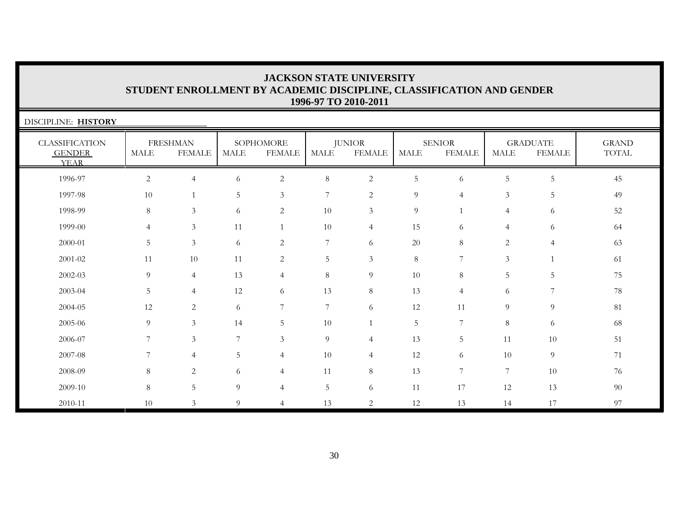| DISCIPLINE: HISTORY                                   |                |                                  |             |                            |                 |                                |             |                                |                       |                                  |                       |
|-------------------------------------------------------|----------------|----------------------------------|-------------|----------------------------|-----------------|--------------------------------|-------------|--------------------------------|-----------------------|----------------------------------|-----------------------|
| <b>CLASSIFICATION</b><br><b>GENDER</b><br><b>YEAR</b> | <b>MALE</b>    | <b>FRESHMAN</b><br><b>FEMALE</b> | <b>MALE</b> | SOPHOMORE<br><b>FEMALE</b> | MALE            | <b>JUNIOR</b><br><b>FEMALE</b> | <b>MALE</b> | <b>SENIOR</b><br><b>FEMALE</b> | $\operatorname{MALE}$ | <b>GRADUATE</b><br><b>FEMALE</b> | <b>GRAND</b><br>TOTAL |
| 1996-97                                               | 2              | $\overline{4}$                   | 6           | $\sqrt{2}$                 | $\,8\,$         | $\overline{c}$                 | 5           | 6                              | 5                     | 5                                | 45                    |
| 1997-98                                               | 10             |                                  | 5           | 3                          | 7               | $\overline{c}$                 | 9           | $\overline{4}$                 | 3                     | 5                                | 49                    |
| 1998-99                                               | 8              | $\mathfrak{Z}$                   | 6           | 2                          | 10              | $\mathfrak{Z}$                 | 9           | $\mathbf{1}$                   | $\overline{4}$        | 6                                | 52                    |
| 1999-00                                               | $\overline{4}$ | $\mathfrak{Z}$                   | 11          | $\mathbf{1}$               | 10              | $\overline{4}$                 | 15          | 6                              | $\overline{4}$        | 6                                | 64                    |
| 2000-01                                               | 5              | $\mathfrak{Z}$                   | 6           | $\sqrt{2}$                 | $\overline{7}$  | 6                              | 20          | 8                              | $\overline{c}$        | $\overline{4}$                   | 63                    |
| 2001-02                                               | 11             | 10                               | 11          | $\overline{c}$             | $\mathbf 5$     | $\mathfrak{Z}$                 | $\,8\,$     | $\overline{7}$                 | 3                     | $\mathbf{1}$                     | 61                    |
| 2002-03                                               | 9              | $\overline{4}$                   | 13          | $\overline{4}$             | $\,8\,$         | 9                              | 10          | 8                              | 5                     | 5                                | 75                    |
| 2003-04                                               | $\overline{5}$ | $\overline{4}$                   | $12\,$      | 6                          | 13              | 8                              | 13          | $\overline{4}$                 | 6                     | 7                                | 78                    |
| 2004-05                                               | 12             | 2                                | 6           | $\overline{7}$             | $7\phantom{.0}$ | 6                              | 12          | 11                             | 9                     | 9                                | 81                    |
| 2005-06                                               | 9              | 3                                | 14          | 5                          | 10              |                                | 5           | 7                              | 8                     | 6                                | 68                    |
| 2006-07                                               | 7              | 3                                | 7           | $\mathfrak{Z}$             | 9               | $\overline{4}$                 | 13          | 5                              | 11                    | 10                               | 51                    |
| 2007-08                                               | 7              | 4                                | 5           | $\overline{4}$             | 10              | $\overline{4}$                 | 12          | 6                              | 10                    | 9                                | 71                    |
| 2008-09                                               | 8              | 2                                | 6           | $\overline{4}$             | 11              | $8\,$                          | 13          | $\overline{7}$                 | $\overline{7}$        | 10                               | 76                    |
| 2009-10                                               | 8              | $\overline{5}$                   | 9           | 4                          | 5               | 6                              | 11          | 17                             | 12                    | 13                               | 90                    |
| 2010-11                                               | 10             | 3                                | 9           | $\overline{4}$             | 13              | $\overline{c}$                 | 12          | 13                             | 14                    | 17                               | 97                    |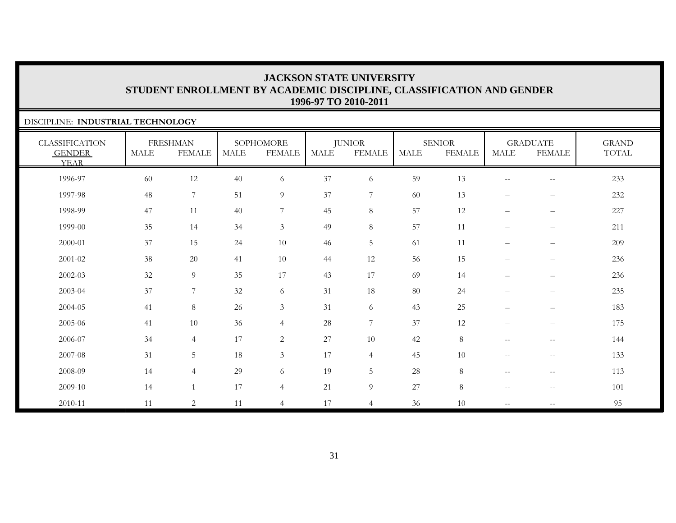### DISCIPLINE: **INDUSTRIAL TECHNOLOGY**

| <b>CLASSIFICATION</b><br><b>GENDER</b><br><b>YEAR</b> | $\operatorname{MALE}$ | <b>FRESHMAN</b><br><b>FEMALE</b> | <b>MALE</b> | SOPHOMORE<br><b>FEMALE</b> | MALE | <b>JUNIOR</b><br><b>FEMALE</b> | <b>MALE</b> | <b>SENIOR</b><br><b>FEMALE</b> | <b>MALE</b>              | <b>GRADUATE</b><br><b>FEMALE</b>                    | <b>GRAND</b><br>TOTAL |
|-------------------------------------------------------|-----------------------|----------------------------------|-------------|----------------------------|------|--------------------------------|-------------|--------------------------------|--------------------------|-----------------------------------------------------|-----------------------|
| 1996-97                                               | 60                    | 12                               | 40          | 6                          | 37   | 6                              | 59          | 13                             | $- -$                    | $\overline{\phantom{m}}$                            | 233                   |
| 1997-98                                               | 48                    | $\overline{7}$                   | 51          | 9                          | 37   | 7                              | 60          | 13                             | $\qquad \qquad -$        | $\qquad \qquad$                                     | 232                   |
| 1998-99                                               | 47                    | 11                               | 40          | $7\phantom{.0}$            | 45   | 8                              | 57          | 12                             | $\qquad \qquad -$        | $\overline{\phantom{m}}$                            | 227                   |
| 1999-00                                               | 35                    | 14                               | 34          | $\mathfrak{Z}$             | 49   | $8\,$                          | 57          | 11                             | $\overline{\phantom{0}}$ | $\overline{\phantom{m}}$                            | 211                   |
| 2000-01                                               | 37                    | 15                               | 24          | 10                         | 46   | $5\phantom{.}$                 | 61          | 11                             | $\qquad \qquad -$        | —                                                   | 209                   |
| $2001 - 02$                                           | 38                    | $20\,$                           | 41          | 10                         | 44   | 12                             | 56          | 15                             | $\qquad \qquad -$        | -                                                   | 236                   |
| 2002-03                                               | 32                    | $\overline{9}$                   | 35          | 17                         | 43   | 17                             | 69          | 14                             | $\overline{\phantom{0}}$ | —                                                   | 236                   |
| 2003-04                                               | 37                    | $\overline{7}$                   | $32\,$      | 6                          | 31   | 18                             | 80          | 24                             | $\overline{\phantom{0}}$ | $\qquad \qquad$                                     | 235                   |
| 2004-05                                               | 41                    | $\,8\,$                          | 26          | $\mathfrak{Z}$             | 31   | 6                              | 43          | 25                             | $\qquad \qquad -$        | —                                                   | 183                   |
| 2005-06                                               | 41                    | 10                               | 36          | $\overline{4}$             | 28   | $7\overline{ }$                | 37          | 12                             | $\qquad \qquad -$        | $\qquad \qquad$                                     | 175                   |
| 2006-07                                               | 34                    | $\overline{4}$                   | 17          | $\overline{c}$             | 27   | 10                             | 42          | 8                              | $\overline{\phantom{a}}$ | $\hspace{0.05cm} -\hspace{0.05cm} -\hspace{0.05cm}$ | 144                   |
| 2007-08                                               | 31                    | 5                                | 18          | $\mathfrak{Z}$             | 17   | $\overline{4}$                 | 45          | 10                             | $\overline{\phantom{a}}$ | $\hspace{0.05cm} -\hspace{0.05cm} -\hspace{0.05cm}$ | 133                   |
| 2008-09                                               | 14                    | $\overline{4}$                   | 29          | 6                          | 19   | 5                              | 28          | 8                              | $\qquad \qquad -$        | $-\,-$                                              | 113                   |
| 2009-10                                               | 14                    |                                  | 17          | $\overline{4}$             | 21   | $\overline{9}$                 | 27          | 8                              | $-$                      | $\overline{\phantom{m}}$                            | 101                   |
| 2010-11                                               | 11                    | 2                                | 11          | $\overline{4}$             | 17   | $\overline{4}$                 | 36          | 10                             | $\overline{\phantom{a}}$ | $\hspace{0.05cm} -\hspace{0.05cm} -\hspace{0.05cm}$ | 95                    |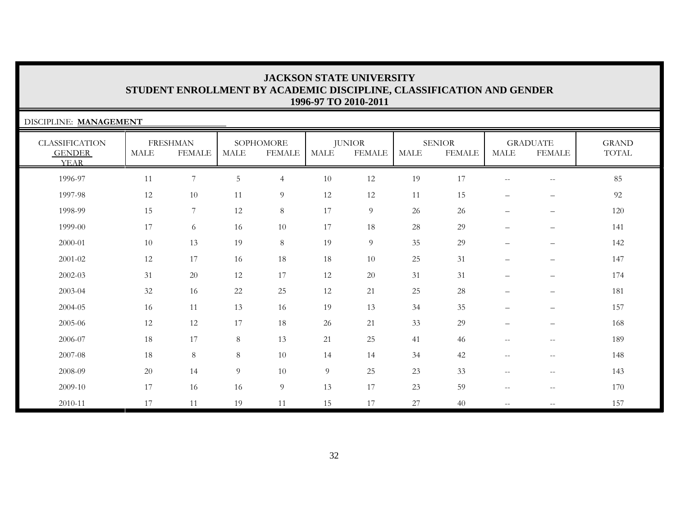| DISCIPLINE: MANAGEMENT                                |             |                                  |             |                            |             |                                |             |                                |                                                       |                                                     |                              |
|-------------------------------------------------------|-------------|----------------------------------|-------------|----------------------------|-------------|--------------------------------|-------------|--------------------------------|-------------------------------------------------------|-----------------------------------------------------|------------------------------|
| <b>CLASSIFICATION</b><br><b>GENDER</b><br><b>YEAR</b> | <b>MALE</b> | <b>FRESHMAN</b><br><b>FEMALE</b> | <b>MALE</b> | SOPHOMORE<br><b>FEMALE</b> | <b>MALE</b> | <b>JUNIOR</b><br><b>FEMALE</b> | <b>MALE</b> | <b>SENIOR</b><br><b>FEMALE</b> | <b>MALE</b>                                           | <b>GRADUATE</b><br><b>FEMALE</b>                    | <b>GRAND</b><br><b>TOTAL</b> |
| 1996-97                                               | 11          | $7\overline{ }$                  | $\mathbf 5$ | $\overline{4}$             | $10\,$      | 12                             | 19          | 17                             | $\overline{\phantom{m}}$                              | $\hspace{0.05cm} -\hspace{0.05cm} -\hspace{0.05cm}$ | 85                           |
| 1997-98                                               | 12          | 10                               | 11          | 9                          | 12          | 12                             | 11          | 15                             | $\qquad \qquad -$                                     | $\overline{\phantom{m}}$                            | 92                           |
| 1998-99                                               | 15          | 7                                | 12          | 8                          | 17          | 9                              | 26          | 26                             | $\overline{\phantom{m}}$                              | $\qquad \qquad -$                                   | 120                          |
| 1999-00                                               | 17          | 6                                | 16          | 10                         | 17          | 18                             | 28          | 29                             | $\overline{\phantom{0}}$                              | $\overline{\phantom{0}}$                            | 141                          |
| 2000-01                                               | 10          | 13                               | 19          | 8                          | 19          | $\overline{9}$                 | 35          | 29                             | $\qquad \qquad -$                                     | $\qquad \qquad -$                                   | 142                          |
| 2001-02                                               | 12          | 17                               | 16          | 18                         | 18          | 10                             | 25          | 31                             |                                                       | $\overline{\phantom{0}}$                            | 147                          |
| 2002-03                                               | 31          | 20                               | 12          | 17                         | 12          | 20                             | 31          | 31                             |                                                       | $\qquad \qquad -$                                   | 174                          |
| 2003-04                                               | 32          | 16                               | $22\,$      | 25                         | 12          | 21                             | 25          | 28                             |                                                       |                                                     | 181                          |
| 2004-05                                               | 16          | 11                               | 13          | 16                         | 19          | 13                             | 34          | 35                             | $\qquad \qquad -$                                     | $\qquad \qquad -$                                   | 157                          |
| 2005-06                                               | 12          | 12                               | 17          | 18                         | 26          | 21                             | 33          | 29                             | $\overline{\phantom{m}}$                              |                                                     | 168                          |
| 2006-07                                               | 18          | 17                               | $8\,$       | 13                         | 21          | 25                             | 41          | 46                             | $\mathbf{u}$                                          | $\mathbf{u}$                                        | 189                          |
| 2007-08                                               | 18          | $8\,$                            | $8\,$       | 10                         | 14          | 14                             | 34          | 42                             | $\overline{\phantom{m}}$                              | $\hspace{0.05cm} -\hspace{0.05cm} -\hspace{0.05cm}$ | 148                          |
| 2008-09                                               | 20          | 14                               | 9           | 10                         | 9           | 25                             | 23          | 33                             | $\hspace{0.05cm} - \hspace{0.05cm} - \hspace{0.05cm}$ | $\hspace{0.05cm}$ – $\hspace{0.05cm}$               | 143                          |
| 2009-10                                               | 17          | 16                               | 16          | 9                          | 13          | 17                             | 23          | 59                             | $--$                                                  | $\overline{\phantom{m}}$                            | 170                          |
| 2010-11                                               | 17          | 11                               | 19          | 11                         | 15          | 17                             | 27          | 40                             | $ -$                                                  |                                                     | 157                          |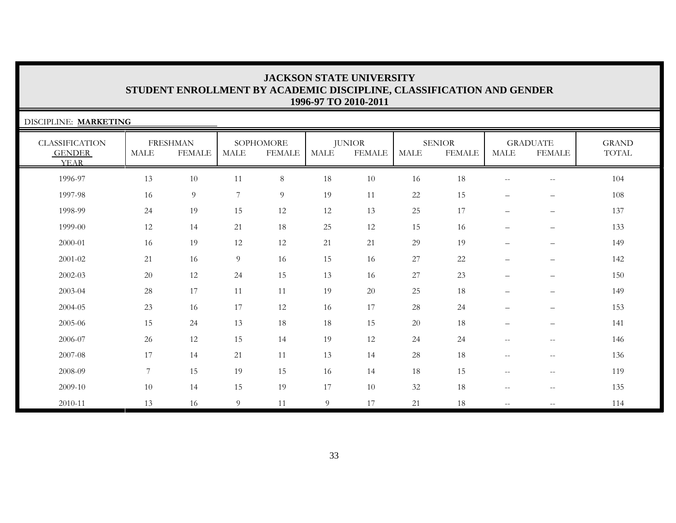| DISCIPLINE: MARKETING                                 |             |                                  |             |                            |                |                                |             |                                |                          |                                                     |                       |
|-------------------------------------------------------|-------------|----------------------------------|-------------|----------------------------|----------------|--------------------------------|-------------|--------------------------------|--------------------------|-----------------------------------------------------|-----------------------|
| <b>CLASSIFICATION</b><br><b>GENDER</b><br><b>YEAR</b> | <b>MALE</b> | <b>FRESHMAN</b><br><b>FEMALE</b> | <b>MALE</b> | SOPHOMORE<br><b>FEMALE</b> | <b>MALE</b>    | <b>JUNIOR</b><br><b>FEMALE</b> | <b>MALE</b> | <b>SENIOR</b><br><b>FEMALE</b> | <b>MALE</b>              | <b>GRADUATE</b><br><b>FEMALE</b>                    | <b>GRAND</b><br>TOTAL |
| 1996-97                                               | 13          | 10                               | 11          | $8\,$                      | 18             | 10                             | 16          | 18                             | $\overline{\phantom{m}}$ | $\overline{\phantom{m}}$                            | 104                   |
| 1997-98                                               | 16          | 9                                | 7           | 9                          | 19             | 11                             | 22          | 15                             | $\overline{\phantom{m}}$ | $\qquad \qquad -$                                   | 108                   |
| 1998-99                                               | 24          | 19                               | 15          | 12                         | 12             | 13                             | 25          | 17                             | $\qquad \qquad -$        | $\overline{\phantom{m}}$                            | 137                   |
| 1999-00                                               | 12          | 14                               | 21          | 18                         | 25             | 12                             | 15          | 16                             | $\qquad \qquad -$        | $\qquad \qquad -$                                   | 133                   |
| 2000-01                                               | 16          | 19                               | 12          | 12                         | 21             | 21                             | 29          | 19                             | $\qquad \qquad -$        | $\qquad \qquad -$                                   | 149                   |
| 2001-02                                               | 21          | 16                               | 9           | 16                         | 15             | 16                             | 27          | 22                             | $\overline{\phantom{0}}$ | $\qquad \qquad -$                                   | 142                   |
| 2002-03                                               | 20          | 12                               | 24          | 15                         | 13             | 16                             | 27          | 23                             |                          | $\qquad \qquad -$                                   | 150                   |
| 2003-04                                               | 28          | 17                               | 11          | 11                         | 19             | 20                             | 25          | 18                             |                          | $\qquad \qquad -$                                   | 149                   |
| 2004-05                                               | 23          | 16                               | 17          | 12                         | 16             | 17                             | 28          | 24                             | $\qquad \qquad -$        | $\qquad \qquad -$                                   | 153                   |
| 2005-06                                               | 15          | 24                               | 13          | 18                         | 18             | 15                             | 20          | 18                             | $\qquad \qquad -$        | $\overline{\phantom{m}}$                            | 141                   |
| 2006-07                                               | 26          | 12                               | 15          | 14                         | 19             | 12                             | 24          | 24                             | $\overline{\phantom{m}}$ | $\hspace{0.05cm}$ – $\hspace{0.05cm}$               | 146                   |
| 2007-08                                               | 17          | 14                               | 21          | 11                         | 13             | 14                             | 28          | 18                             | $--$                     | $\mathbf{u}$                                        | 136                   |
| 2008-09                                               | 7           | 15                               | 19          | 15                         | 16             | 14                             | 18          | 15                             | $\overline{\phantom{m}}$ | $\hspace{0.05cm}$ – $\hspace{0.05cm}$               | 119                   |
| 2009-10                                               | 10          | 14                               | 15          | 19                         | 17             | 10                             | 32          | 18                             | $--$                     | $\hspace{0.05cm} -\hspace{0.05cm} -\hspace{0.05cm}$ | 135                   |
| 2010-11                                               | 13          | 16                               | 9           | 11                         | $\overline{9}$ | 17                             | 21          | 18                             | $\mathbf{u}$             | $\hspace{0.05cm} -\hspace{0.05cm} -\hspace{0.05cm}$ | 114                   |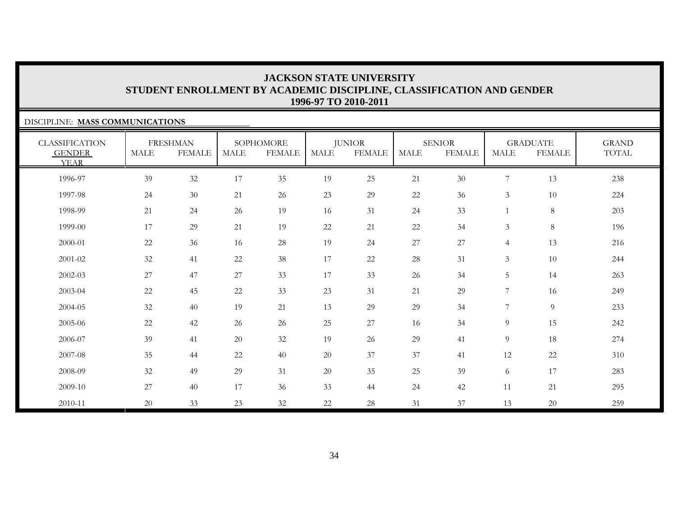### DISCIPLINE: **MASS COMMUNICATIONS**

| <b>CLASSIFICATION</b><br><b>GENDER</b><br><b>YEAR</b> | <b>MALE</b> | <b>FRESHMAN</b><br><b>FEMALE</b> | <b>MALE</b> | SOPHOMORE<br><b>FEMALE</b> | MALE | <b>JUNIOR</b><br><b>FEMALE</b> | MALE   | <b>SENIOR</b><br><b>FEMALE</b> | MALE           | <b>GRADUATE</b><br><b>FEMALE</b> | <b>GRAND</b><br>TOTAL |
|-------------------------------------------------------|-------------|----------------------------------|-------------|----------------------------|------|--------------------------------|--------|--------------------------------|----------------|----------------------------------|-----------------------|
| 1996-97                                               | 39          | 32                               | $17\,$      | 35                         | 19   | 25                             | 21     | $30\,$                         | $\overline{7}$ | 13                               | 238                   |
| 1997-98                                               | 24          | 30                               | 21          | 26                         | 23   | 29                             | $22\,$ | 36                             | 3              | 10                               | 224                   |
| 1998-99                                               | 21          | 24                               | 26          | 19                         | 16   | 31                             | 24     | 33                             |                | $\,8\,$                          | 203                   |
| 1999-00                                               | 17          | 29                               | 21          | 19                         | 22   | 21                             | 22     | 34                             | 3              | $\,8\,$                          | 196                   |
| 2000-01                                               | $22\,$      | 36                               | 16          | 28                         | 19   | 24                             | 27     | 27                             | $\overline{4}$ | 13                               | 216                   |
| 2001-02                                               | 32          | 41                               | 22          | 38                         | 17   | 22                             | $28\,$ | 31                             | 3              | 10                               | 244                   |
| 2002-03                                               | 27          | 47                               | 27          | 33                         | 17   | 33                             | 26     | 34                             | 5              | 14                               | 263                   |
| 2003-04                                               | 22          | 45                               | 22          | 33                         | 23   | 31                             | 21     | 29                             | 7              | 16                               | 249                   |
| 2004-05                                               | 32          | 40                               | 19          | 21                         | 13   | 29                             | 29     | 34                             | 7              | 9                                | 233                   |
| 2005-06                                               | $22\,$      | 42                               | 26          | 26                         | 25   | 27                             | 16     | 34                             | 9              | 15                               | 242                   |
| 2006-07                                               | 39          | 41                               | 20          | 32                         | 19   | 26                             | 29     | 41                             | 9              | 18                               | 274                   |
| 2007-08                                               | 35          | 44                               | 22          | 40                         | 20   | 37                             | 37     | 41                             | 12             | 22                               | 310                   |
| 2008-09                                               | 32          | 49                               | 29          | 31                         | 20   | 35                             | 25     | 39                             | 6              | 17                               | 283                   |
| 2009-10                                               | 27          | 40                               | 17          | 36                         | 33   | 44                             | 24     | 42                             | 11             | 21                               | 295                   |
| 2010-11                                               | 20          | 33                               | 23          | 32                         | 22   | 28                             | 31     | 37                             | 13             | 20                               | 259                   |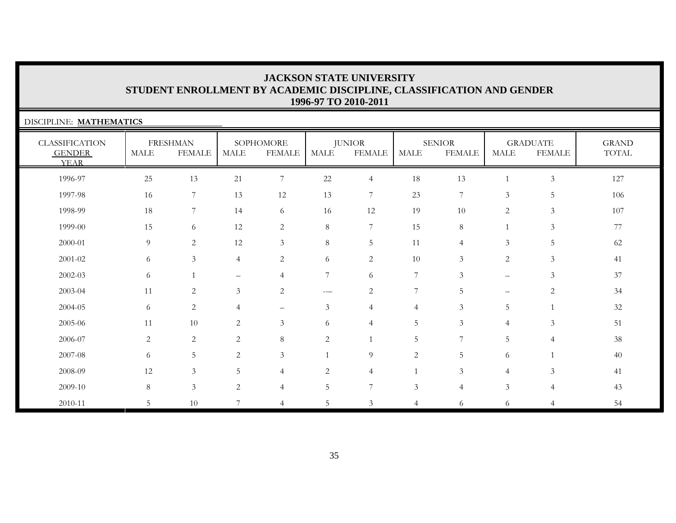| DISCIPLINE: MATHEMATICS                               |                |                                  |                |                            |                |                                |                |                                |                |                                  |                       |
|-------------------------------------------------------|----------------|----------------------------------|----------------|----------------------------|----------------|--------------------------------|----------------|--------------------------------|----------------|----------------------------------|-----------------------|
| <b>CLASSIFICATION</b><br><b>GENDER</b><br><b>YEAR</b> | <b>MALE</b>    | <b>FRESHMAN</b><br><b>FEMALE</b> | <b>MALE</b>    | SOPHOMORE<br><b>FEMALE</b> | <b>MALE</b>    | <b>JUNIOR</b><br><b>FEMALE</b> | <b>MALE</b>    | <b>SENIOR</b><br><b>FEMALE</b> | <b>MALE</b>    | <b>GRADUATE</b><br><b>FEMALE</b> | <b>GRAND</b><br>TOTAL |
| 1996-97                                               | 25             | 13                               | 21             | $\overline{7}$             | $22\,$         | $\overline{4}$                 | 18             | 13                             |                | $\mathfrak{Z}$                   | 127                   |
| 1997-98                                               | 16             | $7\overline{ }$                  | 13             | 12                         | 13             | 7                              | 23             | 7                              | $\mathfrak{Z}$ | 5                                | 106                   |
| 1998-99                                               | 18             | 7                                | 14             | 6                          | 16             | 12                             | 19             | 10                             | $\mathbf{2}$   | 3                                | 107                   |
| 1999-00                                               | 15             | 6                                | 12             | 2                          | 8              | 7                              | 15             | 8                              | $\mathbf{1}$   | 3                                | 77                    |
| 2000-01                                               | 9              | 2                                | 12             | $\mathfrak{Z}$             | $8\,$          | 5                              | 11             | $\overline{4}$                 | $\mathfrak{Z}$ | 5                                | 62                    |
| 2001-02                                               | 6              | $\mathfrak{Z}$                   | $\overline{4}$ | $\overline{2}$             | 6              | $\overline{2}$                 | 10             | $\mathfrak{Z}$                 | $\overline{2}$ | $\mathfrak{Z}$                   | 41                    |
| $2002 - 03$                                           | 6              |                                  | -              | $\overline{4}$             | $\overline{7}$ | 6                              | $\overline{7}$ | $\mathfrak{Z}$                 | -              | 3                                | 37                    |
| 2003-04                                               | 11             | $\overline{2}$                   | $\mathfrak{Z}$ | $\overline{2}$             | ---            | $\sqrt{2}$                     | 7              | $\overline{5}$                 |                | $\overline{2}$                   | 34                    |
| 2004-05                                               | 6              | 2                                | 4              | $\overline{\phantom{0}}$   | $\mathfrak{Z}$ | $\overline{4}$                 | 4              | 3                              | 5              |                                  | 32                    |
| 2005-06                                               | 11             | 10                               | $\overline{2}$ | $\mathfrak{Z}$             | 6              | $\overline{4}$                 | 5              | 3                              | 4              | 3                                | 51                    |
| 2006-07                                               | $\overline{2}$ | $\mathbf{2}$                     | $\overline{2}$ | $\,8\,$                    | $\overline{2}$ |                                | 5              | 7                              | 5              | 4                                | 38                    |
| 2007-08                                               | 6              | 5                                | 2              | $\mathfrak{Z}$             | $\mathbf{1}$   | 9                              | 2              | 5                              | 6              |                                  | 40                    |
| 2008-09                                               | 12             | $\mathfrak{Z}$                   | 5              | $\overline{4}$             | $\overline{c}$ | $\overline{4}$                 |                | $\mathfrak{Z}$                 | $\overline{4}$ | 3                                | 41                    |
| 2009-10                                               | 8              | $\mathfrak{Z}$                   | $\overline{2}$ | $\overline{4}$             | 5              | $\overline{7}$                 | $\mathfrak{Z}$ | $\overline{4}$                 | $\mathfrak{Z}$ | 4                                | 43                    |
| 2010-11                                               | 5              | 10                               | 7              | $\overline{4}$             | 5              | 3                              | $\overline{4}$ | 6                              | 6              | 4                                | 54                    |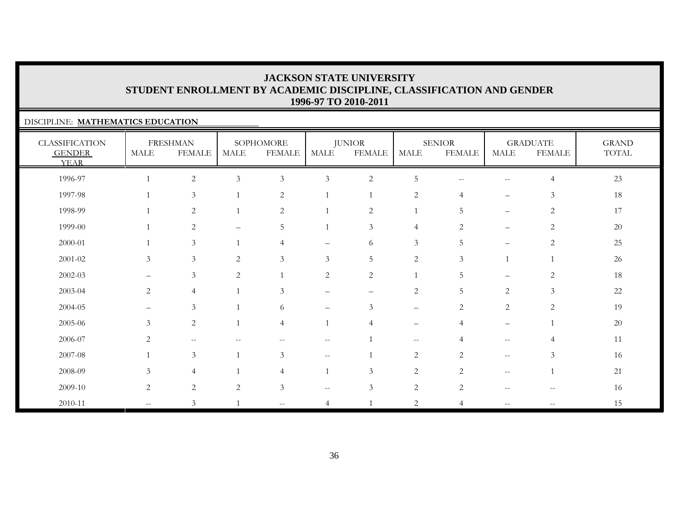### DISCIPLINE: **MATHEMATICS EDUCATION**

| <b>CLASSIFICATION</b><br><b>GENDER</b><br><b>YEAR</b> | MALE                     | <b>FRESHMAN</b><br><b>FEMALE</b> | <b>MALE</b>              | SOPHOMORE<br><b>FEMALE</b> | MALE                     | <b>JUNIOR</b><br><b>FEMALE</b> | <b>MALE</b>              | <b>SENIOR</b><br><b>FEMALE</b> | MALE                                                | <b>GRADUATE</b><br><b>FEMALE</b> | <b>GRAND</b><br>TOTAL |
|-------------------------------------------------------|--------------------------|----------------------------------|--------------------------|----------------------------|--------------------------|--------------------------------|--------------------------|--------------------------------|-----------------------------------------------------|----------------------------------|-----------------------|
| 1996-97                                               |                          | $\sqrt{2}$                       | $\mathfrak{Z}$           | $\mathfrak{Z}$             | $\mathfrak{Z}$           | $\overline{2}$                 | $\overline{5}$           | $-$                            | $\hspace{0.05cm} -\hspace{0.05cm} -\hspace{0.05cm}$ | $\overline{4}$                   | 23                    |
| 1997-98                                               | $\mathbf{1}$             | $\mathfrak{Z}$                   |                          | $\overline{2}$             |                          |                                | $\overline{c}$           | $\overline{4}$                 | $\qquad \qquad -$                                   | $\mathfrak{Z}$                   | 18                    |
| 1998-99                                               | $\mathbf{1}$             | $\sqrt{2}$                       |                          | $\overline{2}$             |                          | $\sqrt{2}$                     |                          | 5                              | $\qquad \qquad -$                                   | $\overline{2}$                   | 17                    |
| 1999-00                                               | $\mathbf{1}$             | $\sqrt{2}$                       | $\overline{\phantom{m}}$ | 5                          |                          | $\mathfrak{Z}$                 | $\overline{4}$           | $\overline{c}$                 | $\qquad \qquad -$                                   | $\sqrt{2}$                       | 20                    |
| 2000-01                                               |                          | $\mathfrak{Z}$                   |                          | $\overline{4}$             | $\overline{\phantom{0}}$ | 6                              | $\mathfrak{Z}$           | 5                              | $\qquad \qquad -$                                   | 2                                | $25\,$                |
| $2001 - 02$                                           | $\mathfrak{Z}$           | $\mathfrak{Z}$                   | $\overline{c}$           | 3                          | 3                        | 5                              | $\overline{c}$           | $\mathfrak{Z}$                 |                                                     |                                  | 26                    |
| $2002 - 03$                                           | $\qquad \qquad -$        | $\mathfrak{Z}$                   | 2                        |                            | $\sqrt{2}$               | $\sqrt{2}$                     |                          | 5                              | $\overline{\phantom{m}}$                            | 2                                | 18                    |
| 2003-04                                               | $\overline{c}$           | $\overline{4}$                   |                          | $\mathfrak{Z}$             | $\overline{\phantom{0}}$ | $\qquad \qquad -$              | $\mathbf{2}$             | 5                              | 2                                                   | $\mathfrak{Z}$                   | 22                    |
| 2004-05                                               | $\qquad \qquad$          | $\mathfrak{Z}$                   |                          | 6                          | $\overline{\phantom{0}}$ | 3                              | $\qquad \qquad -$        | $\overline{2}$                 | 2                                                   | $\overline{2}$                   | 19                    |
| 2005-06                                               | 3                        | $\overline{2}$                   |                          | $\overline{4}$             |                          | $\overline{4}$                 | $\overline{\phantom{m}}$ | $\overline{4}$                 | $\qquad \qquad -$                                   |                                  | 20                    |
| 2006-07                                               | 2                        | $-\,-$                           |                          | $\overline{\phantom{m}}$   | $-\,-$                   |                                | $--$                     | $\overline{4}$                 | $\hspace{0.05cm} -\hspace{0.05cm} -\hspace{0.05cm}$ | 4                                | 11                    |
| 2007-08                                               | $\mathbf{1}$             | $\mathfrak{Z}$                   |                          | 3                          | $- -$                    |                                | $\overline{c}$           | $\overline{2}$                 | $--$                                                | $\mathfrak{Z}$                   | 16                    |
| 2008-09                                               | 3                        | $\overline{4}$                   |                          | 4                          |                          | $\mathfrak{Z}$                 | $\sqrt{2}$               | $\overline{2}$                 | $\mathbf{u}$                                        |                                  | 21                    |
| 2009-10                                               | $\sqrt{2}$               | $\sqrt{2}$                       | 2                        | 3                          | $- -$                    | 3                              | $\sqrt{2}$               | $\overline{2}$                 | $--$                                                | $\hspace{0.05cm} -$              | 16                    |
| 2010-11                                               | $\overline{\phantom{a}}$ | $\mathfrak{Z}$                   |                          | $\overline{\phantom{a}}$   | 4                        |                                | $\sqrt{2}$               | $\overline{4}$                 | $\frac{1}{2}$                                       |                                  | 15                    |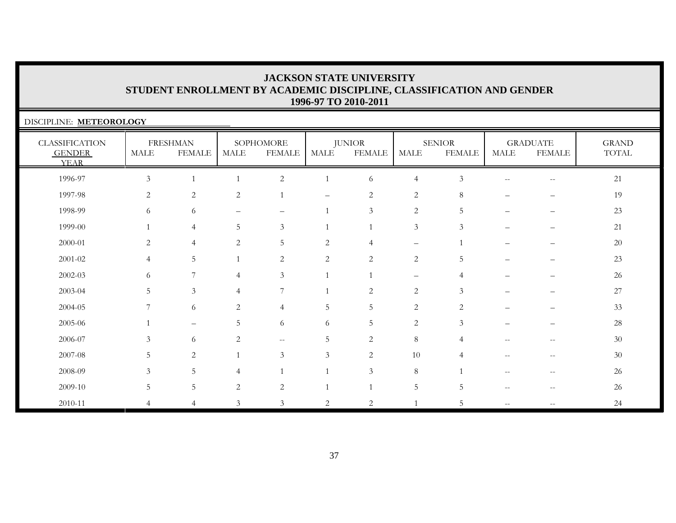| DISCIPLINE: METEOROLOGY                               |                |                                  |                |                            |                |                                |                          |                          |                                                       |                                  |                       |
|-------------------------------------------------------|----------------|----------------------------------|----------------|----------------------------|----------------|--------------------------------|--------------------------|--------------------------|-------------------------------------------------------|----------------------------------|-----------------------|
| <b>CLASSIFICATION</b><br><b>GENDER</b><br><b>YEAR</b> | MALE           | <b>FRESHMAN</b><br><b>FEMALE</b> | MALE           | SOPHOMORE<br><b>FEMALE</b> | MALE           | <b>JUNIOR</b><br><b>FEMALE</b> | MALE                     | <b>SENIOR</b><br>FEMALE  | MALE                                                  | <b>GRADUATE</b><br><b>FEMALE</b> | <b>GRAND</b><br>TOTAL |
| 1996-97                                               | 3              |                                  |                | $\overline{2}$             | $\mathbf{1}$   | 6                              | $\overline{4}$           | 3                        | $\hspace{0.05cm} -\hspace{0.05cm} -\hspace{0.05cm}$   | $\overline{\phantom{m}}$         | 21                    |
| 1997-98                                               | 2              | 2                                | 2              | 1                          |                | 2                              | 2                        | 8                        |                                                       |                                  | 19                    |
| 1998-99                                               | 6              | 6                                | -              | $\overline{\phantom{0}}$   | $\mathbf{1}$   | 3                              | $\mathbf{2}$             | 5                        | $\overline{\phantom{0}}$                              | $\overline{\phantom{0}}$         | 23                    |
| 1999-00                                               |                | $\overline{4}$                   | 5              | $\mathfrak{Z}$             | $\mathbf{1}$   | $\mathbf 1$                    | 3                        | 3                        |                                                       |                                  | 21                    |
| 2000-01                                               | $\overline{2}$ | $\overline{4}$                   | 2              | 5                          | $\sqrt{2}$     | 4                              | $\overline{\phantom{m}}$ |                          |                                                       |                                  | 20                    |
| 2001-02                                               | $\overline{4}$ | 5                                |                | 2                          | $\overline{2}$ | $\overline{2}$                 | $\overline{2}$           | 5                        |                                                       |                                  | 23                    |
| 2002-03                                               | 6              | $\overline{7}$                   | $\overline{4}$ | 3                          | 1              |                                | $\overline{\phantom{0}}$ | 4                        |                                                       |                                  | 26                    |
| 2003-04                                               | 5              | 3                                | 4              | 7                          |                | 2                              | 2                        | $\mathcal{Z}$            |                                                       |                                  | 27                    |
| 2004-05                                               | 7              | 6                                | $\overline{2}$ | $\overline{4}$             | 5              | 5                              | $\overline{2}$           | 2                        |                                                       |                                  | 33                    |
| 2005-06                                               |                | $\equiv$                         | 5              | 6                          | 6              | 5                              | $\mathbf{2}$             | 3                        |                                                       |                                  | 28                    |
| 2006-07                                               | 3              | 6                                | 2              | $\overline{\phantom{m}}$   | 5              | $\overline{2}$                 | $\,8\,$                  | 4                        |                                                       | $- -$                            | 30                    |
| 2007-08                                               | 5              | 2                                |                | 3                          | 3              | 2                              | 10                       | $\boldsymbol{\varDelta}$ | $-$                                                   | $\qquad \qquad -$                | 30                    |
| 2008-09                                               | 3              | 5 <sub>1</sub>                   | 4              |                            | 1              | $\mathfrak{Z}$                 | $\,8\,$                  |                          | $-$                                                   | $\qquad \qquad -$                | 26                    |
| 2009-10                                               | 5              | 5                                | $\overline{2}$ | $\overline{2}$             |                |                                | $\mathbf 5$              | 5                        | $\hspace{0.05cm} - \hspace{0.05cm} - \hspace{0.05cm}$ | $-$                              | 26                    |
| 2010-11                                               |                | $\overline{4}$                   | 3              | $\mathfrak{Z}$             | 2              | 2                              | $\overline{1}$           | 5                        | $--$                                                  | $- -$                            | 24                    |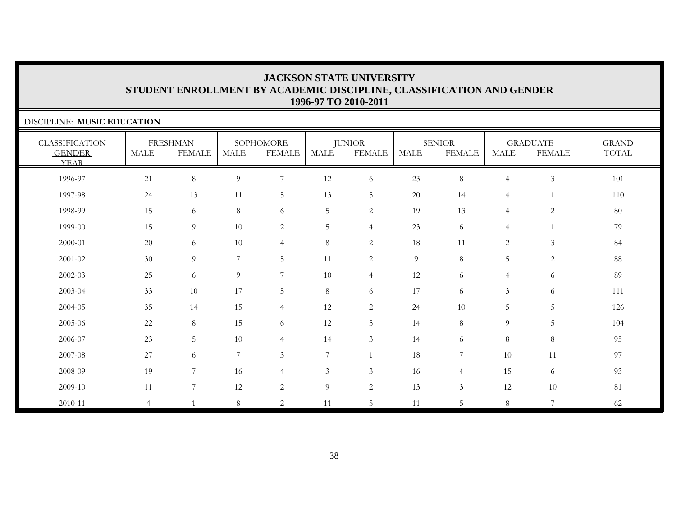| DISCIPLINE: MUSIC EDUCATION                           |                |                                  |                |                            |                 |                         |             |                                |                |                                  |                                        |
|-------------------------------------------------------|----------------|----------------------------------|----------------|----------------------------|-----------------|-------------------------|-------------|--------------------------------|----------------|----------------------------------|----------------------------------------|
| <b>CLASSIFICATION</b><br><b>GENDER</b><br><b>YEAR</b> | MALE           | <b>FRESHMAN</b><br><b>FEMALE</b> | MALE           | SOPHOMORE<br><b>FEMALE</b> | <b>MALE</b>     | <b>JUNIOR</b><br>FEMALE | <b>MALE</b> | <b>SENIOR</b><br><b>FEMALE</b> | MALE           | <b>GRADUATE</b><br><b>FEMALE</b> | <b>GRAND</b><br>$\operatorname{TOTAL}$ |
| 1996-97                                               | 21             | 8                                | 9              | $\overline{7}$             | 12              | 6                       | 23          | 8                              | $\overline{4}$ | $\mathfrak{Z}$                   | 101                                    |
| 1997-98                                               | 24             | 13                               | 11             | $5\phantom{.0}$            | 13              | 5                       | 20          | 14                             | $\overline{4}$ |                                  | 110                                    |
| 1998-99                                               | 15             | 6                                | $8\,$          | 6                          | 5               | 2                       | 19          | 13                             | $\overline{4}$ | 2                                | 80                                     |
| 1999-00                                               | 15             | 9                                | 10             | 2                          | $5\phantom{.0}$ | $\overline{4}$          | 23          | 6                              | $\overline{4}$ |                                  | 79                                     |
| 2000-01                                               | 20             | 6                                | $10\,$         | $\overline{4}$             | 8               | $\overline{c}$          | 18          | 11                             | 2              | $\mathfrak{Z}$                   | 84                                     |
| 2001-02                                               | 30             | 9                                | 7              | 5                          | 11              | 2                       | 9           | 8                              | $5\phantom{.}$ | 2                                | 88                                     |
| $2002 - 03$                                           | 25             | 6                                | 9              | $7\phantom{.0}$            | 10              | $\overline{4}$          | 12          | 6                              | $\overline{4}$ | 6                                | 89                                     |
| 2003-04                                               | 33             | 10                               | 17             | 5                          | $8\,$           | 6                       | 17          | 6                              | $\mathfrak{Z}$ | 6                                | 111                                    |
| 2004-05                                               | 35             | 14                               | 15             | $\overline{4}$             | 12              | $\sqrt{2}$              | 24          | 10                             | 5              | 5                                | 126                                    |
| 2005-06                                               | 22             | $8\,$                            | 15             | 6                          | 12              | $\overline{5}$          | 14          | 8 <sup>°</sup>                 | 9              | 5                                | 104                                    |
| 2006-07                                               | 23             | 5                                | 10             | $\overline{4}$             | 14              | $\mathfrak{Z}$          | 14          | 6                              | $8\,$          | $8\,$                            | 95                                     |
| 2007-08                                               | 27             | 6                                | $\overline{7}$ | $\mathfrak{Z}$             | $\overline{7}$  |                         | 18          | 7                              | 10             | 11                               | 97                                     |
| 2008-09                                               | 19             | $\overline{7}$                   | 16             | $\overline{4}$             | $\mathfrak{Z}$  | $\mathfrak{Z}$          | 16          | $\overline{4}$                 | 15             | 6                                | 93                                     |
| 2009-10                                               | 11             | $\overline{7}$                   | 12             | $\sqrt{2}$                 | $\overline{9}$  | $\sqrt{2}$              | 13          | $\mathfrak{Z}$                 | 12             | 10                               | 81                                     |
| 2010-11                                               | $\overline{4}$ |                                  | 8              | $\overline{2}$             | 11              | 5                       | 11          | 5                              | $8\,$          | $\overline{7}$                   | 62                                     |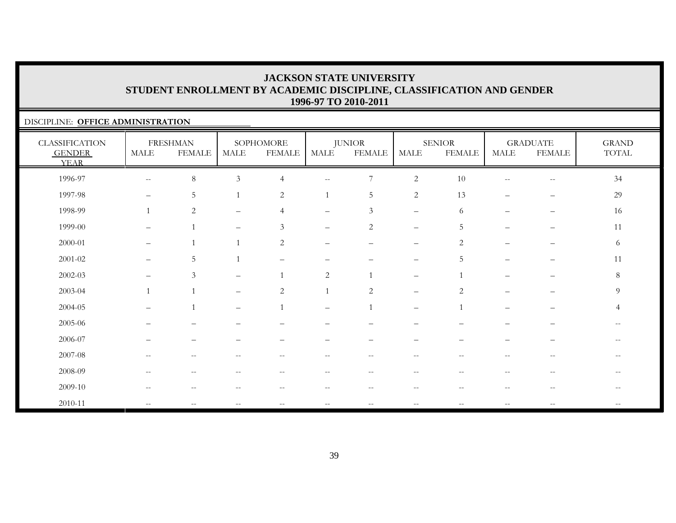### DISCIPLINE: **OFFICE ADMINISTRATION**

| <b>CLASSIFICATION</b><br><b>GENDER</b><br><b>YEAR</b> | <b>MALE</b>                                         | <b>FRESHMAN</b><br><b>FEMALE</b> | <b>MALE</b>                                           | SOPHOMORE<br><b>FEMALE</b> | MALE                                                  | <b>JUNIOR</b><br><b>FEMALE</b> | <b>MALE</b>                                           | <b>SENIOR</b><br><b>FEMALE</b>                      | MALE                     | <b>GRADUATE</b><br><b>FEMALE</b>                    | <b>GRAND</b><br>TOTAL |
|-------------------------------------------------------|-----------------------------------------------------|----------------------------------|-------------------------------------------------------|----------------------------|-------------------------------------------------------|--------------------------------|-------------------------------------------------------|-----------------------------------------------------|--------------------------|-----------------------------------------------------|-----------------------|
| 1996-97                                               | $\hspace{0.05cm} -\hspace{0.05cm} -\hspace{0.05cm}$ | $\,8\,$                          | $\mathfrak{Z}$                                        | $\overline{4}$             | $\sim$ $\sim$                                         | 7                              | $\overline{c}$                                        | 10                                                  | $\overline{\phantom{m}}$ | $\sim$                                              | 34                    |
| 1997-98                                               |                                                     | $\mathbf 5$                      |                                                       | $\overline{2}$             |                                                       | $\mathbf 5$                    | $\overline{2}$                                        | 13                                                  |                          | $\overline{\phantom{0}}$                            | 29                    |
| 1998-99                                               | $\overline{1}$                                      | $\mathbf{2}$                     | $\overline{\phantom{m}}$                              | $\overline{4}$             | $\overline{\phantom{m}}$                              | 3                              | $\overline{\phantom{m}}$                              | 6                                                   | $\qquad \qquad -$        | $\overline{\phantom{m}}$                            | 16                    |
| 1999-00                                               | $\overline{\phantom{m}}$                            | $\overline{1}$                   | $\qquad \qquad -$                                     | $\mathfrak{Z}$             | $\qquad \qquad -$                                     | $\sqrt{2}$                     | $\overline{\phantom{m}}$                              | 5                                                   | $\overline{\phantom{m}}$ | $\overline{\phantom{m}}$                            | 11                    |
| 2000-01                                               | $\overline{\phantom{m}}$                            | $\mathbf{1}$                     | $\mathbf{1}$                                          | 2                          | $\qquad \qquad -$                                     | $\overline{\phantom{m}}$       | $\overline{\phantom{0}}$                              | 2                                                   | $\overline{\phantom{0}}$ | —                                                   | 6                     |
| $2001 - 02$                                           | $-$                                                 | $\mathbf 5$                      |                                                       |                            |                                                       |                                | $\overline{\phantom{m}}$                              | 5                                                   | -                        |                                                     | 11                    |
| $2002 - 03$                                           |                                                     | $\mathfrak{Z}$                   |                                                       | $\overline{1}$             | $\overline{2}$                                        |                                | $\overline{\phantom{m}}$                              |                                                     |                          |                                                     | 8                     |
| 2003-04                                               | $\overline{1}$                                      | $\overline{1}$                   |                                                       | 2                          |                                                       | $\overline{2}$                 | $\qquad \qquad -$                                     | 2                                                   | —                        | —                                                   | 9                     |
| 2004-05                                               |                                                     | $\overline{1}$                   | $\qquad \qquad -$                                     | $\overline{1}$             | $\qquad \qquad -$                                     |                                | $\overline{\phantom{m}}$                              | $\mathbf{1}$                                        |                          |                                                     | $\overline{4}$        |
| 2005-06                                               |                                                     |                                  |                                                       |                            |                                                       |                                |                                                       |                                                     |                          |                                                     |                       |
| 2006-07                                               |                                                     |                                  |                                                       |                            |                                                       |                                |                                                       |                                                     |                          |                                                     | $- -$                 |
| 2007-08                                               | $\overline{\phantom{m}}$                            | $-\,-$                           | $\hspace{0.05cm} - \hspace{0.05cm} - \hspace{0.05cm}$ | $\overline{\phantom{m}}$   | $-\,-$                                                | $--$                           | $\overline{\phantom{m}}$                              | $-\,-$                                              | $\overline{\phantom{m}}$ | $\hspace{0.1mm}-\hspace{0.1mm}-\hspace{0.1mm}$      | $- -$                 |
| 2008-09                                               | $\qquad \qquad -$                                   | $-$                              |                                                       | --                         | --                                                    | $-$                            | $ -$                                                  |                                                     | $\qquad \qquad -$        | $\hspace{0.05cm} -$                                 | --                    |
| 2009-10                                               | $\hspace{0.05cm} -\hspace{0.05cm} -\hspace{0.05cm}$ | $\overline{\phantom{m}}$         | $\hspace{0.05cm} - \hspace{0.05cm} - \hspace{0.05cm}$ | $\overline{\phantom{m}}$   | $\hspace{0.05cm} - \hspace{0.05cm} - \hspace{0.05cm}$ | $\overline{\phantom{m}}$       | $--$                                                  | $\hspace{0.05cm} -\hspace{0.05cm} -\hspace{0.05cm}$ | $\overline{\phantom{m}}$ | $\hspace{0.05cm} -\hspace{0.05cm} -\hspace{0.05cm}$ | $--$                  |
| $2010 - 11$                                           | $\hspace{0.05cm} -\hspace{0.05cm} -\hspace{0.05cm}$ |                                  |                                                       | $- -$                      | $\qquad \qquad -$                                     | $\overline{\phantom{m}}$       | $\hspace{0.05cm} - \hspace{0.05cm} - \hspace{0.05cm}$ |                                                     | $\overline{\phantom{m}}$ | $\hspace{0.05cm} -\hspace{0.05cm} -\hspace{0.05cm}$ |                       |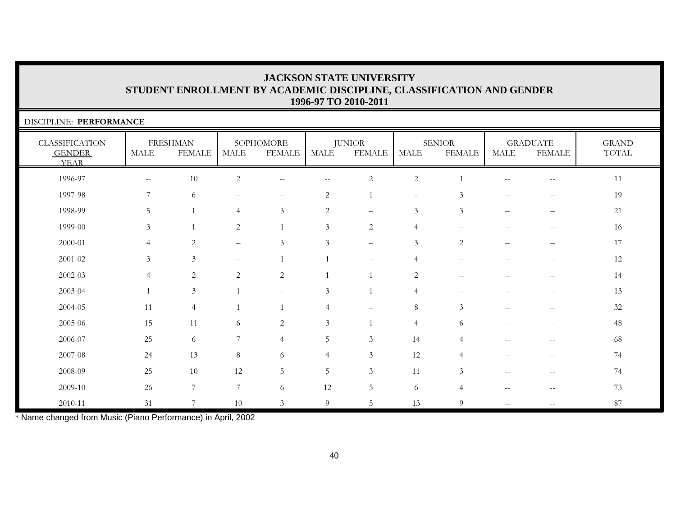| DISCIPLINE: PERFORMANCE                               |                |                                  |                   |                            |                          |                                |                          |                                |                                                       |                                  |                       |
|-------------------------------------------------------|----------------|----------------------------------|-------------------|----------------------------|--------------------------|--------------------------------|--------------------------|--------------------------------|-------------------------------------------------------|----------------------------------|-----------------------|
| <b>CLASSIFICATION</b><br><b>GENDER</b><br><b>YEAR</b> | <b>MALE</b>    | <b>FRESHMAN</b><br><b>FEMALE</b> | <b>MALE</b>       | SOPHOMORE<br><b>FEMALE</b> | <b>MALE</b>              | <b>JUNIOR</b><br><b>FEMALE</b> | <b>MALE</b>              | <b>SENIOR</b><br><b>FEMALE</b> | <b>MALE</b>                                           | <b>GRADUATE</b><br><b>FEMALE</b> | <b>GRAND</b><br>TOTAL |
| 1996-97                                               | $-\,-$         | 10                               | $\overline{2}$    | $\overline{\phantom{m}}$   | $\overline{\phantom{m}}$ | $\sqrt{2}$                     | $\sqrt{2}$               | $\overline{1}$                 | $\qquad \qquad -$                                     | $-\,-$                           | 11                    |
| 1997-98                                               | 7              | 6                                | -                 | $\qquad \qquad -$          | 2                        | $\mathbf{1}$                   | $\overline{\phantom{m}}$ | 3                              |                                                       |                                  | 19                    |
| 1998-99                                               | 5              |                                  | 4                 | $\mathfrak{Z}$             | $\overline{2}$           | $\qquad \qquad -$              | $\mathfrak{Z}$           | $\mathfrak{Z}$                 | $\overline{\phantom{0}}$                              | —                                | 21                    |
| 1999-00                                               | 3              |                                  | 2                 |                            | 3                        | 2                              | $\overline{4}$           |                                |                                                       |                                  | 16                    |
| 2000-01                                               | $\overline{4}$ | 2                                | $\qquad \qquad -$ | 3                          | 3                        | $\qquad \qquad -$              | 3                        | 2                              | $\overline{\phantom{0}}$                              |                                  | 17                    |
| 2001-02                                               | 3              | $\mathfrak{Z}$                   | —                 | $\mathbf{1}$               | $\mathbf{1}$             | $\overline{\phantom{0}}$       | $\overline{4}$           |                                |                                                       |                                  | 12                    |
| $2002 - 03$                                           | $\overline{4}$ | $\overline{c}$                   | $\overline{2}$    | $\overline{2}$             | $\mathbf{1}$             | $\mathbf{1}$                   | $\overline{2}$           |                                |                                                       |                                  | 14                    |
| 2003-04                                               |                | $\mathfrak{Z}$                   |                   | $\qquad \qquad -$          | $\mathfrak{Z}$           | $\mathbf{1}$                   | $\overline{4}$           |                                |                                                       |                                  | 13                    |
| $2004 - 05$                                           | 11             | $\overline{4}$                   |                   |                            | $\overline{4}$           | $\overline{\phantom{0}}$       | $\,8\,$                  | $\mathfrak{Z}$                 |                                                       |                                  | 32                    |
| 2005-06                                               | 15             | 11                               | 6                 | 2                          | 3                        | $\mathbf{1}$                   | $\overline{4}$           | 6                              |                                                       |                                  | 48                    |
| 2006-07                                               | 25             | 6                                | 7                 | $\overline{4}$             | 5                        | 3                              | 14                       | 4                              |                                                       | --                               | 68                    |
| 2007-08                                               | 24             | 13                               | 8                 | 6                          | $\overline{4}$           | $\mathfrak{Z}$                 | 12                       | 4                              | $\mathrel{{-}{-}}$                                    | $-\,-$                           | 74                    |
| 2008-09                                               | 25             | 10                               | 12                | 5                          | 5                        | 3                              | 11                       | 3                              | $\mathrel{{-}{-}}$                                    | $ -$                             | 74                    |
| 2009-10                                               | 26             | 7                                | 7                 | 6                          | 12                       | 5                              | 6                        | 4                              | $\hspace{0.05cm} - \hspace{0.05cm} - \hspace{0.05cm}$ | $-\,-$                           | 73                    |
| 2010-11                                               | 31             | $\overline{ }$                   | 10                | 3                          | 9                        | 5                              | 13                       | 9                              | $\qquad \qquad -$                                     |                                  | 87                    |

\* Name changed from Music (Piano Performance) in April, 2002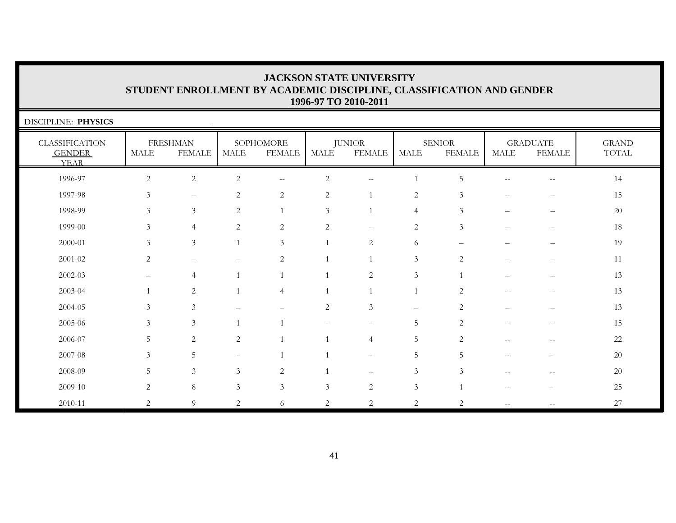| DISCIPLINE: PHYSICS                                   |                |                                  |                |                            |                |                                |                          |                                |                          |                                       |                       |
|-------------------------------------------------------|----------------|----------------------------------|----------------|----------------------------|----------------|--------------------------------|--------------------------|--------------------------------|--------------------------|---------------------------------------|-----------------------|
| <b>CLASSIFICATION</b><br><b>GENDER</b><br><b>YEAR</b> | <b>MALE</b>    | <b>FRESHMAN</b><br><b>FEMALE</b> | <b>MALE</b>    | SOPHOMORE<br><b>FEMALE</b> | MALE           | <b>JUNIOR</b><br><b>FEMALE</b> | <b>MALE</b>              | <b>SENIOR</b><br><b>FEMALE</b> | <b>MALE</b>              | <b>GRADUATE</b><br><b>FEMALE</b>      | <b>GRAND</b><br>TOTAL |
| 1996-97                                               | $\overline{2}$ | $\overline{c}$                   | $\overline{c}$ | $\overline{\phantom{m}}$   | $\overline{c}$ | $- -$                          | $\mathbf{1}$             | 5                              | $\overline{\phantom{m}}$ | $\hspace{0.05cm}$ – $\hspace{0.05cm}$ | 14                    |
| 1997-98                                               | $\mathfrak{Z}$ |                                  | $\mathbf{2}$   | $\sqrt{2}$                 | $\sqrt{2}$     |                                | $\sqrt{2}$               | $\mathfrak{Z}$                 |                          |                                       | 15                    |
| 1998-99                                               | 3              | $\mathfrak{Z}$                   | 2              |                            | 3              |                                | $\overline{4}$           | 3                              | $\overline{\phantom{0}}$ | —                                     | 20                    |
| 1999-00                                               | 3              | $\overline{4}$                   | 2              | $\sqrt{2}$                 | $\overline{2}$ | $\qquad \qquad -$              | $\mathbf{2}$             | 3                              |                          |                                       | 18                    |
| 2000-01                                               | 3              | $\mathfrak{Z}$                   | $\mathbf{1}$   | 3                          | $\mathbf{1}$   | 2                              | 6                        |                                |                          | $\overline{\phantom{0}}$              | 19                    |
| $2001 - 02$                                           | 2              | $\overline{\phantom{0}}$         |                | $\sqrt{2}$                 | $\mathbf{1}$   |                                | $\mathfrak{Z}$           | 2                              |                          |                                       | 11                    |
| $2002 - 03$                                           |                | $\overline{4}$                   |                |                            | $\mathbf{1}$   | $\sqrt{2}$                     | $\mathfrak{Z}$           | $\overline{1}$                 |                          |                                       | 13                    |
| 2003-04                                               |                | 2                                |                | $\overline{4}$             |                |                                | $\overline{1}$           | 2                              |                          |                                       | 13                    |
| 2004-05                                               | 3              | 3                                |                |                            | $\overline{2}$ | $\mathfrak{Z}$                 | $\overline{\phantom{0}}$ | 2                              |                          | —                                     | 13                    |
| 2005-06                                               | 3              | 3                                |                |                            |                | $\qquad \qquad -$              | 5                        | $\overline{2}$                 |                          | $\overline{\phantom{0}}$              | 15                    |
| 2006-07                                               | 5              | 2                                | $\overline{c}$ |                            | $\mathbf{1}$   | $\overline{4}$                 | 5                        | 2                              | $\qquad \qquad -$        | $\qquad \qquad -$                     | 22                    |
| 2007-08                                               | 3              | 5                                | $- -$          |                            |                | $\mathbf{u}$                   | 5                        | 5                              | $\qquad \qquad -$        | $- -$                                 | 20                    |
| 2008-09                                               | 5              | $\mathfrak{Z}$                   | 3              | $\sqrt{2}$                 |                | $\overline{\phantom{m}}$       | $\mathfrak{Z}$           | 3                              | $-$                      | $\qquad \qquad -$                     | 20                    |
| 2009-10                                               | 2              | $8\,$                            | $\mathfrak{Z}$ | 3                          | $\mathfrak{Z}$ | $\mathbf{2}$                   | $\mathfrak{Z}$           |                                |                          | $-$                                   | 25                    |
| 2010-11                                               | 2              | 9                                | $\overline{c}$ | 6                          | $\overline{2}$ | $\overline{2}$                 | $\overline{2}$           | 2                              | $\overline{\phantom{m}}$ | $- -$                                 | 27                    |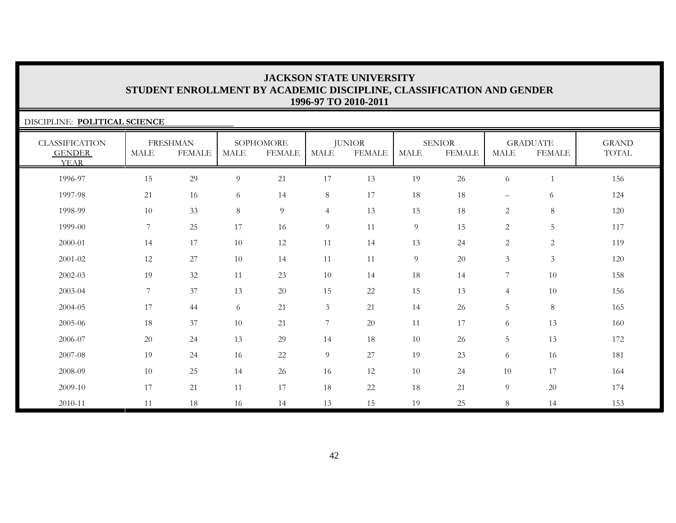| DISCIPLINE: POLITICAL SCIENCE                  |                |                                  |      |                            |                |                                |             |                                |                   |                                  |                       |
|------------------------------------------------|----------------|----------------------------------|------|----------------------------|----------------|--------------------------------|-------------|--------------------------------|-------------------|----------------------------------|-----------------------|
| CLASSIFICATION<br><b>GENDER</b><br><b>YEAR</b> | MALE           | <b>FRESHMAN</b><br><b>FEMALE</b> | MALE | SOPHOMORE<br><b>FEMALE</b> | <b>MALE</b>    | <b>JUNIOR</b><br><b>FEMALE</b> | <b>MALE</b> | <b>SENIOR</b><br><b>FEMALE</b> | MALE              | <b>GRADUATE</b><br><b>FEMALE</b> | <b>GRAND</b><br>TOTAL |
| 1996-97                                        | 15             | 29                               | 9    | 21                         | 17             | 13                             | 19          | 26                             | 6                 |                                  | 156                   |
| 1997-98                                        | 21             | 16                               | 6    | 14                         | 8              | 17                             | 18          | 18                             | $\qquad \qquad -$ | 6                                | 124                   |
| 1998-99                                        | 10             | 33                               | 8    | 9                          | $\overline{4}$ | 13                             | 15          | 18                             | $\mathbf{2}$      | $8\,$                            | 120                   |
| 1999-00                                        | 7              | 25                               | 17   | 16                         | 9              | 11                             | 9           | 15                             | 2                 | 5                                | 117                   |
| 2000-01                                        | 14             | 17                               | 10   | 12                         | 11             | 14                             | 13          | 24                             | 2                 | 2                                | 119                   |
| $2001 - 02$                                    | 12             | 27                               | 10   | 14                         | $11\,$         | 11                             | 9           | 20                             | $\mathfrak{Z}$    | $\mathfrak{Z}$                   | 120                   |
| $2002 - 03$                                    | 19             | 32                               | 11   | 23                         | $10\,$         | 14                             | 18          | 14                             | 7                 | 10                               | 158                   |
| 2003-04                                        | $\overline{7}$ | 37                               | 13   | 20                         | 15             | 22                             | 15          | 13                             | $\overline{4}$    | 10                               | 156                   |
| 2004-05                                        | 17             | 44                               | 6    | 21                         | $\mathfrak{Z}$ | 21                             | 14          | 26                             | 5                 | $8\,$                            | 165                   |
| 2005-06                                        | 18             | 37                               | 10   | 21                         | $\overline{7}$ | 20                             | 11          | 17                             | 6                 | 13                               | 160                   |
| 2006-07                                        | 20             | 24                               | 13   | 29                         | 14             | 18                             | 10          | 26                             | 5                 | 13                               | 172                   |
| 2007-08                                        | 19             | 24                               | 16   | 22                         | 9              | 27                             | 19          | 23                             | 6                 | 16                               | 181                   |
| 2008-09                                        | 10             | 25                               | 14   | 26                         | 16             | 12                             | 10          | 24                             | 10                | 17                               | 164                   |
| 2009-10                                        | 17             | 21                               | 11   | 17                         | 18             | 22                             | 18          | 21                             | $\overline{9}$    | 20                               | 174                   |
| 2010-11                                        | 11             | 18                               | 16   | 14                         | 13             | 15                             | 19          | 25                             | 8                 | 14                               | 153                   |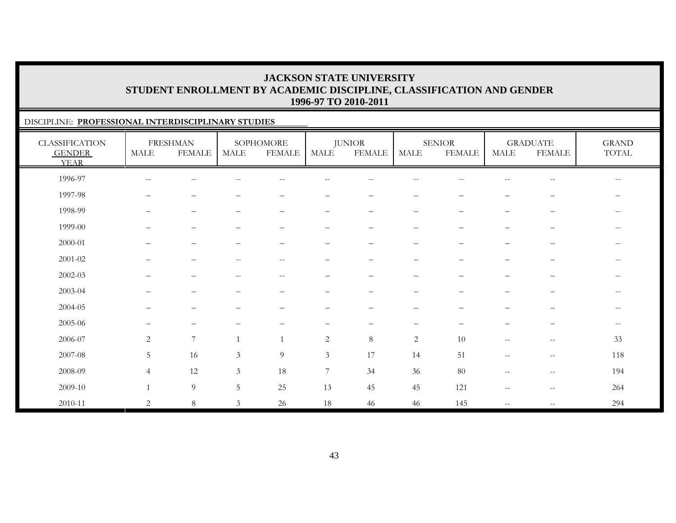### DISCIPLINE: **PROFESSIONAL INTERDISCIPLINARY STUDIES**

| <b>CLASSIFICATION</b><br><b>GENDER</b><br><b>YEAR</b> | MALE                     | <b>FRESHMAN</b><br><b>FEMALE</b> | MALE                                                  | SOPHOMORE<br><b>FEMALE</b> | MALE                     | <b>JUNIOR</b><br><b>FEMALE</b> | MALE                     | <b>SENIOR</b><br><b>FEMALE</b> | <b>MALE</b>              | <b>GRADUATE</b><br><b>FEMALE</b>                    | <b>GRAND</b><br>$\operatorname{TOTAL}$ |
|-------------------------------------------------------|--------------------------|----------------------------------|-------------------------------------------------------|----------------------------|--------------------------|--------------------------------|--------------------------|--------------------------------|--------------------------|-----------------------------------------------------|----------------------------------------|
| 1996-97                                               | $\overline{\phantom{m}}$ | $-\,-$                           | $\hspace{0.05cm} - \hspace{0.05cm} - \hspace{0.05cm}$ | $\overline{\phantom{m}}$   | --                       | $-\,-$                         | $-\,-$                   | $\sim$ $\sim$                  | $\overline{\phantom{m}}$ | $\overline{\phantom{m}}$                            | $--$                                   |
| 1997-98                                               | $\qquad \qquad -$        | -                                |                                                       |                            |                          |                                |                          |                                |                          | —                                                   |                                        |
| 1998-99                                               |                          | -                                |                                                       |                            |                          | $\qquad \qquad -$              | $\qquad \qquad -$        |                                | —                        | $\qquad \qquad -$                                   | $\qquad \qquad -$                      |
| 1999-00                                               |                          | $\overline{\phantom{0}}$         |                                                       |                            | -                        | $\qquad \qquad -$              | $\qquad \qquad -$        |                                | $\overline{\phantom{0}}$ |                                                     | $\overline{\phantom{a}}$               |
| 2000-01                                               |                          | -                                |                                                       |                            | -                        |                                | —                        |                                |                          |                                                     | $--$                                   |
| $2001 - 02$                                           |                          | $\overline{\phantom{m}}$         | $ -$                                                  | $\overline{\phantom{a}}$   | $\qquad \qquad$          |                                | $\qquad \qquad -$        |                                | $\qquad \qquad -$        | $\qquad \qquad -$                                   | $--$                                   |
| $2002 - 03$                                           |                          | $\overline{\phantom{0}}$         | $ -$                                                  | $\overline{\phantom{m}}$   |                          |                                | $\qquad \qquad -$        |                                |                          | —                                                   | $--$                                   |
| 2003-04                                               |                          |                                  |                                                       |                            |                          |                                |                          |                                |                          |                                                     | $- -$                                  |
| 2004-05                                               |                          |                                  |                                                       |                            |                          |                                |                          |                                |                          |                                                     | $- -$                                  |
| 2005-06                                               | $\overline{\phantom{0}}$ | $\qquad \qquad -$                |                                                       |                            | $\overline{\phantom{0}}$ | $\overline{\phantom{0}}$       | $\overline{\phantom{m}}$ | $\overline{\phantom{m}}$       | $\overline{\phantom{0}}$ | $\overline{\phantom{0}}$                            | $--$                                   |
| 2006-07                                               | 2                        | $\overline{7}$                   |                                                       | $\mathbf{1}$               | 2                        | 8                              | 2                        | 10                             | $\overline{\phantom{m}}$ | $\overline{\phantom{m}}$                            | 33                                     |
| 2007-08                                               | 5                        | 16                               | 3                                                     | $\overline{9}$             | $\mathfrak{Z}$           | 17                             | 14                       | 51                             | $\overline{\phantom{m}}$ | $\hspace{0.05cm} -\hspace{0.05cm} -\hspace{0.05cm}$ | 118                                    |
| 2008-09                                               | $\overline{4}$           | 12                               | 3                                                     | 18                         | 7                        | 34                             | 36                       | 80                             | $\qquad \qquad -$        | $\hspace{0.05cm} -\hspace{0.05cm} -\hspace{0.05cm}$ | 194                                    |
| 2009-10                                               | $\overline{1}$           | $\overline{9}$                   | 5                                                     | 25                         | 13                       | 45                             | 45                       | 121                            | $\qquad \qquad -$        | $-\,-$                                              | 264                                    |
| 2010-11                                               | $\mathbf{2}$             | $\,8\,$                          | $\mathfrak{Z}$                                        | 26                         | 18                       | 46                             | 46                       | 145                            | $\overline{\phantom{m}}$ | $-\,-$                                              | 294                                    |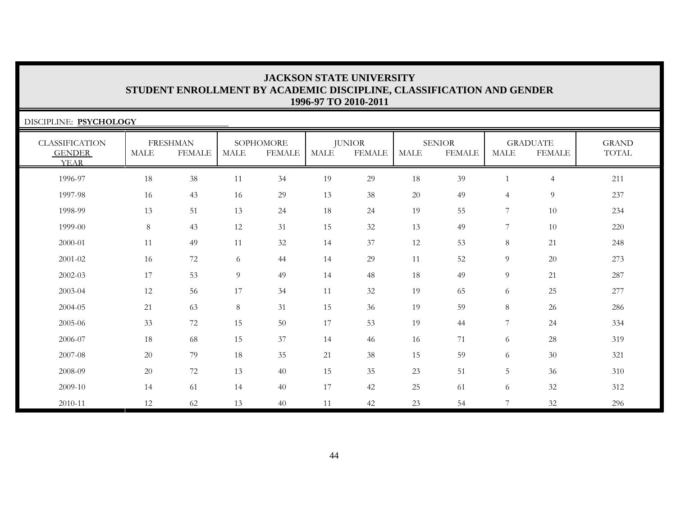| DISCIPLINE: PSYCHOLOGY                                |             |                                  |             |                            |             |                                |             |                                |                |                                  |                              |
|-------------------------------------------------------|-------------|----------------------------------|-------------|----------------------------|-------------|--------------------------------|-------------|--------------------------------|----------------|----------------------------------|------------------------------|
| <b>CLASSIFICATION</b><br><b>GENDER</b><br><b>YEAR</b> | <b>MALE</b> | <b>FRESHMAN</b><br><b>FEMALE</b> | <b>MALE</b> | SOPHOMORE<br><b>FEMALE</b> | <b>MALE</b> | <b>JUNIOR</b><br><b>FEMALE</b> | <b>MALE</b> | <b>SENIOR</b><br><b>FEMALE</b> | <b>MALE</b>    | <b>GRADUATE</b><br><b>FEMALE</b> | <b>GRAND</b><br><b>TOTAL</b> |
| 1996-97                                               | 18          | 38                               | 11          | 34                         | 19          | 29                             | 18          | 39                             | $\mathbf{1}$   | $\overline{4}$                   | 211                          |
| 1997-98                                               | 16          | 43                               | 16          | 29                         | 13          | 38                             | 20          | 49                             | $\overline{4}$ | 9                                | 237                          |
| 1998-99                                               | 13          | 51                               | 13          | 24                         | $18\,$      | 24                             | 19          | 55                             | 7              | 10                               | 234                          |
| 1999-00                                               | 8           | 43                               | 12          | 31                         | 15          | 32                             | 13          | 49                             | 7              | 10                               | 220                          |
| 2000-01                                               | 11          | 49                               | 11          | 32                         | 14          | 37                             | 12          | 53                             | $\,8\,$        | 21                               | 248                          |
| 2001-02                                               | 16          | 72                               | 6           | 44                         | 14          | 29                             | 11          | 52                             | 9              | 20                               | 273                          |
| 2002-03                                               | 17          | 53                               | 9           | 49                         | 14          | 48                             | 18          | 49                             | 9              | 21                               | 287                          |
| 2003-04                                               | 12          | 56                               | 17          | 34                         | 11          | 32                             | 19          | 65                             | 6              | 25                               | 277                          |
| 2004-05                                               | 21          | 63                               | 8           | 31                         | 15          | 36                             | 19          | 59                             | 8              | 26                               | 286                          |
| 2005-06                                               | 33          | 72                               | 15          | 50                         | 17          | 53                             | 19          | 44                             | 7              | 24                               | 334                          |
| 2006-07                                               | 18          | 68                               | 15          | 37                         | 14          | 46                             | 16          | 71                             | 6              | $28\,$                           | 319                          |
| 2007-08                                               | 20          | 79                               | 18          | 35                         | $21\,$      | 38                             | 15          | 59                             | 6              | 30                               | 321                          |
| 2008-09                                               | 20          | 72                               | 13          | 40                         | 15          | 35                             | 23          | 51                             | 5              | 36                               | 310                          |
| 2009-10                                               | 14          | 61                               | 14          | 40                         | 17          | 42                             | 25          | 61                             | 6              | 32                               | 312                          |
| 2010-11                                               | 12          | 62                               | 13          | 40                         | 11          | 42                             | 23          | 54                             | 7              | 32                               | 296                          |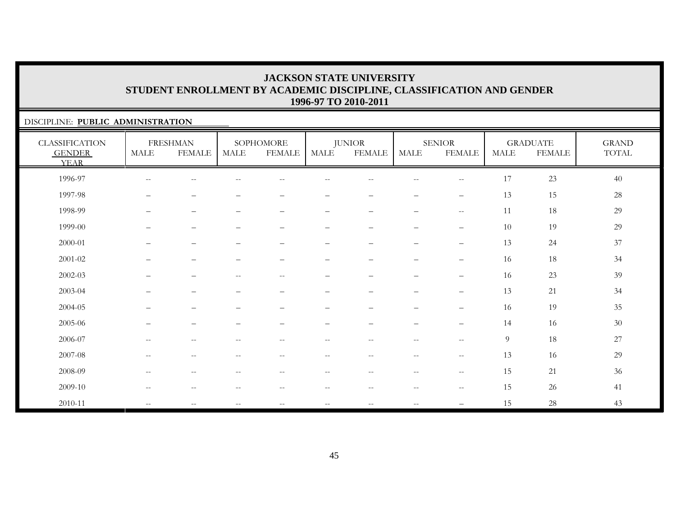### DISCIPLINE: **PUBLIC ADMINISTRATION**

| <b>CLASSIFICATION</b><br><b>GENDER</b><br><b>YEAR</b> | MALE                     | <b>FRESHMAN</b><br><b>FEMALE</b> | MALE                                                  | SOPHOMORE<br><b>FEMALE</b> | MALE                     | <b>JUNIOR</b><br><b>FEMALE</b> | MALE                     | <b>SENIOR</b><br><b>FEMALE</b>                      | MALE | <b>GRADUATE</b><br><b>FEMALE</b> | <b>GRAND</b><br>$\operatorname{TOTAL}$ |
|-------------------------------------------------------|--------------------------|----------------------------------|-------------------------------------------------------|----------------------------|--------------------------|--------------------------------|--------------------------|-----------------------------------------------------|------|----------------------------------|----------------------------------------|
| 1996-97                                               | $\overline{\phantom{m}}$ | Ξ.                               |                                                       |                            |                          |                                |                          | $\hspace{0.05cm} -\hspace{0.05cm} -\hspace{0.05cm}$ | 17   | 23                               | 40                                     |
| 1997-98                                               |                          | $\overline{\phantom{0}}$         |                                                       |                            |                          |                                | $\qquad \qquad$          | $\overline{\phantom{m}}$                            | 13   | 15                               | $28\,$                                 |
| 1998-99                                               | $\overline{\phantom{m}}$ | $\overline{\phantom{m}}$         | $\overline{\phantom{m}}$                              | $\qquad \qquad -$          | $\qquad \qquad -$        | $\overline{\phantom{m}}$       | $\overline{\phantom{m}}$ | $\hspace{0.05cm} -\hspace{0.05cm} -\hspace{0.05cm}$ | 11   | 18                               | 29                                     |
| 1999-00                                               | $\equiv$                 | $\qquad \qquad -$                |                                                       | $\qquad \qquad -$          | $\qquad \qquad -$        | $\overline{\phantom{m}}$       | $\overline{\phantom{0}}$ | $\qquad \qquad -$                                   | 10   | 19                               | 29                                     |
| 2000-01                                               | $\overline{\phantom{0}}$ | $\qquad \qquad -$                |                                                       | $\overline{\phantom{0}}$   | $\overline{\phantom{0}}$ | $\overline{\phantom{m}}$       | $\overline{\phantom{m}}$ | $\qquad \qquad -$                                   | 13   | 24                               | 37                                     |
| $2001 - 02$                                           | $-$                      | $\overbrace{\phantom{1232211}}$  |                                                       | $\overline{\phantom{0}}$   | $\overline{\phantom{0}}$ | $\overline{\phantom{0}}$       | $\overline{\phantom{m}}$ |                                                     | 16   | 18                               | 34                                     |
| 2002-03                                               | $\qquad \qquad -$        | $\overline{\phantom{m}}$         | $\hspace{0.05cm} -\hspace{0.05cm} -\hspace{0.05cm}$   | $\overline{\phantom{m}}$   | $\qquad \qquad -$        | $\overline{\phantom{m}}$       | $\overline{\phantom{m}}$ | $\overline{\phantom{m}}$                            | 16   | $23\,$                           | 39                                     |
| 2003-04                                               | $\overline{\phantom{0}}$ | $\overbrace{\phantom{1232211}}$  | -                                                     | $\overline{\phantom{0}}$   | $\qquad \qquad -$        | $\qquad \qquad -$              | $\overline{\phantom{0}}$ | $\overline{\phantom{m}}$                            | 13   | 21                               | 34                                     |
| 2004-05                                               | $\overline{\phantom{0}}$ | $\overbrace{\phantom{1232211}}$  |                                                       | $\overline{\phantom{0}}$   | $\qquad \qquad -$        | $\overline{\phantom{m}}$       | $\overline{\phantom{m}}$ | $\qquad \qquad -$                                   | 16   | 19                               | 35                                     |
| 2005-06                                               |                          | $\overline{\phantom{0}}$         |                                                       |                            |                          |                                | $\overline{\phantom{0}}$ | $\qquad \qquad -$                                   | 14   | 16                               | 30                                     |
| 2006-07                                               | $\overline{\phantom{m}}$ | $\overline{\phantom{m}}$         | $\hspace{0.1mm}-\hspace{0.1mm}-\hspace{0.1mm}$        | $\overline{\phantom{m}}$   | $\overline{\phantom{m}}$ | $--$                           | $\overline{\phantom{m}}$ | $-\,-$                                              | 9    | 18                               | 27                                     |
| 2007-08                                               | $\overline{\phantom{m}}$ | $\overline{\phantom{m}}$         | $\hspace{0.1mm}-\hspace{0.1mm}-\hspace{0.1mm}$        | $\overline{\phantom{m}}$   | $\overline{\phantom{m}}$ | $--$                           | $--$                     | $\hspace{0.05cm} -\hspace{0.05cm} -\hspace{0.05cm}$ | 13   | 16                               | 29                                     |
| 2008-09                                               | $\overline{\phantom{m}}$ | $-\,-$                           | $\hspace{0.05cm} - \hspace{0.05cm} - \hspace{0.05cm}$ | $-\,-$                     | $-\,-$                   | $\overline{\phantom{m}}$       | $-\,-$                   | $\hspace{0.05cm}$ – $\hspace{0.05cm}$               | 15   | 21                               | 36                                     |
| 2009-10                                               | $\frac{1}{2}$            | $-$                              |                                                       | --                         | --                       | $\overline{\phantom{m}}$       | $ -$                     | $-\,-$                                              | 15   | 26                               | 41                                     |
| 2010-11                                               | $\overline{\phantom{m}}$ | $\overline{\phantom{m}}$         | $\hspace{0.05cm} -\hspace{0.05cm} -\hspace{0.05cm}$   | $--$                       | $\overline{\phantom{m}}$ | $\overline{\phantom{m}}$       | $\mathbf{u}$             | $\qquad \qquad -$                                   | 15   | 28                               | 43                                     |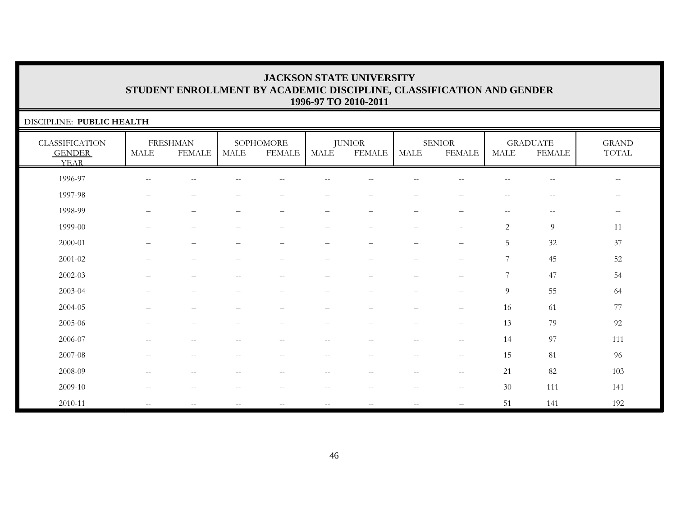| DISCIPLINE: PUBLIC HEALTH                             |                          |                                  |                   |                            |                          |                                |                          |                                |                                                     |                                  |                                                     |
|-------------------------------------------------------|--------------------------|----------------------------------|-------------------|----------------------------|--------------------------|--------------------------------|--------------------------|--------------------------------|-----------------------------------------------------|----------------------------------|-----------------------------------------------------|
| <b>CLASSIFICATION</b><br><b>GENDER</b><br><b>YEAR</b> | $\operatorname{MALE}$    | <b>FRESHMAN</b><br><b>FEMALE</b> | MALE              | SOPHOMORE<br><b>FEMALE</b> | <b>MALE</b>              | <b>JUNIOR</b><br><b>FEMALE</b> | <b>MALE</b>              | <b>SENIOR</b><br><b>FEMALE</b> | <b>MALE</b>                                         | <b>GRADUATE</b><br><b>FEMALE</b> | <b>GRAND</b><br>TOTAL                               |
| 1996-97                                               | --                       |                                  |                   |                            |                          |                                |                          |                                |                                                     |                                  | $- -$                                               |
| 1997-98                                               |                          |                                  |                   |                            |                          |                                |                          |                                |                                                     |                                  | $\overline{\phantom{m}}$                            |
| 1998-99                                               |                          |                                  |                   |                            | -                        |                                |                          |                                | $\hspace{0.05cm} -\hspace{0.05cm} -\hspace{0.05cm}$ | $\overline{\phantom{m}}$         | $\hspace{0.05cm} -\hspace{0.05cm} -\hspace{0.05cm}$ |
| 1999-00                                               |                          | -                                |                   | $\overline{\phantom{0}}$   | -                        | -                              | $\overline{\phantom{0}}$ | $\sim$                         | 2                                                   | 9                                | 11                                                  |
| 2000-01                                               |                          |                                  |                   | $\overline{\phantom{0}}$   | $\qquad \qquad -$        | $\qquad \qquad$                |                          | $\qquad \qquad -$              | $5\phantom{.0}$                                     | 32                               | 37                                                  |
| 2001-02                                               |                          | $\overline{\phantom{0}}$         | —                 | $\qquad \qquad -$          | $\qquad \qquad -$        | $\overline{\phantom{0}}$       | $\overline{\phantom{0}}$ |                                | 7                                                   | 45                               | 52                                                  |
| $2002 - 03$                                           |                          |                                  | $-$               | $-$                        |                          |                                |                          | $\overline{\phantom{0}}$       | $7\phantom{.0}$                                     | 47                               | 54                                                  |
| 2003-04                                               |                          | $\overline{\phantom{0}}$         | ▃                 | $\qquad \qquad -$          | –                        | $\equiv$                       | $\sim$                   | $\overline{\phantom{0}}$       | $\overline{9}$                                      | 55                               | 64                                                  |
| 2004-05                                               |                          |                                  |                   |                            |                          |                                |                          |                                | 16                                                  | 61                               | 77                                                  |
| 2005-06                                               |                          |                                  |                   |                            |                          |                                |                          |                                | 13                                                  | 79                               | 92                                                  |
| 2006-07                                               | $-$                      | $\qquad \qquad -$                | --                | $-$                        | $\overline{\phantom{m}}$ | $- -$                          | $\sim$                   | $--$                           | 14                                                  | 97                               | 111                                                 |
| 2007-08                                               | $-$                      |                                  |                   | $-$                        | $- -$                    |                                | $\sim$ $\sim$            | $--$                           | 15                                                  | 81                               | 96                                                  |
| 2008-09                                               | $\overline{\phantom{m}}$ | $\frac{1}{2}$                    | $\qquad \qquad -$ | $\qquad \qquad -$          | $--$                     | $- -$                          | $\overline{\phantom{m}}$ | $\sim$ $\sim$                  | 21                                                  | 82                               | 103                                                 |
| 2009-10                                               | $\sim$ $-$               | $\qquad \qquad -$                | $\qquad \qquad -$ | $\qquad \qquad -$          | $\overline{\phantom{m}}$ | $\overline{\phantom{m}}$       | $-\,-$                   | $\overline{\phantom{m}}$       | 30                                                  | 111                              | 141                                                 |
| 2010-11                                               | $-$                      | $\overline{\phantom{a}}$         | $\qquad \qquad -$ | $\qquad \qquad -$          | $- -$                    | $- -$                          | $\mathrel{{-}{-}}$       | —                              | 51                                                  | 141                              | 192                                                 |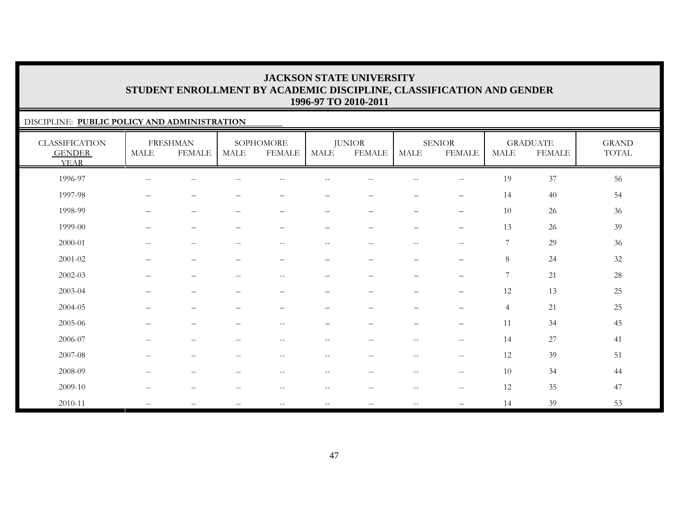### DISCIPLINE: **PUBLIC POLICY AND ADMINISTRATION**

| <b>CLASSIFICATION</b><br><b>GENDER</b><br><b>YEAR</b> | MALE                                                  | <b>FRESHMAN</b><br><b>FEMALE</b>                    | <b>MALE</b>                                         | SOPHOMORE<br><b>FEMALE</b>                            | <b>MALE</b>                                         | <b>JUNIOR</b><br><b>FEMALE</b> | MALE                     | <b>SENIOR</b><br><b>FEMALE</b>        | MALE           | <b>GRADUATE</b><br><b>FEMALE</b> | <b>GRAND</b><br>TOTAL |
|-------------------------------------------------------|-------------------------------------------------------|-----------------------------------------------------|-----------------------------------------------------|-------------------------------------------------------|-----------------------------------------------------|--------------------------------|--------------------------|---------------------------------------|----------------|----------------------------------|-----------------------|
| 1996-97                                               |                                                       |                                                     |                                                     |                                                       |                                                     |                                |                          | $-$                                   | 19             | 37                               | 56                    |
| 1997-98                                               |                                                       | —                                                   |                                                     |                                                       |                                                     | -                              | -                        | $\overline{\phantom{m}}$              | 14             | 40                               | 54                    |
| 1998-99                                               | $\overline{\phantom{m}}$                              | $\overline{\phantom{m}}$                            | $\qquad \qquad -$                                   | $\qquad \qquad -$                                     | $\qquad \qquad -$                                   | $\qquad \qquad -$              | $\qquad \qquad -$        | $\qquad \qquad -$                     | 10             | 26                               | $36\,$                |
| 1999-00                                               | $\overline{\phantom{m}}$                              | $\overline{\phantom{m}}$                            | $\overline{\phantom{m}}$                            | $\overline{\phantom{m}}$                              | —                                                   | $\qquad \qquad -$              | $\qquad \qquad -$        | $\qquad \qquad -$                     | 13             | 26                               | 39                    |
| 2000-01                                               | $\sim$ $\sim$                                         | $\sim$ $-$                                          | $- -$                                               | $\hspace{0.1mm}-\hspace{0.1mm}-\hspace{0.1mm}$        | $\sim$ $\sim$                                       | $- -$                          | $\overline{\phantom{a}}$ | $\overline{\phantom{a}}$              | 7              | 29                               | 36                    |
| 2001-02                                               |                                                       | $\qquad \qquad -$                                   | $\overline{\phantom{m}}$                            | $\overline{\phantom{m}}$                              | $\overline{\phantom{0}}$                            | $\overline{\phantom{0}}$       | $\overline{\phantom{0}}$ | $\overline{\phantom{m}}$              | 8              | 24                               | $32\,$                |
| 2002-03                                               | $\qquad \qquad -$                                     | $\qquad \qquad -$                                   | $\overline{\phantom{m}}$                            | $\hspace{0.1mm}-\hspace{0.1mm}-\hspace{0.1mm}$        | $\overline{\phantom{0}}$                            | $\overline{\phantom{0}}$       | $\qquad \qquad -$        | $\overline{\phantom{m}}$              | $\overline{7}$ | 21                               | 28                    |
| 2003-04                                               |                                                       | $\qquad \qquad -$                                   | $\overbrace{\phantom{1232211}}$                     | $\qquad \qquad -$                                     | $\overline{\phantom{0}}$                            | $\overline{\phantom{0}}$       | $\qquad \qquad -$        | $\overline{\phantom{m}}$              | 12             | 13                               | $25\,$                |
| 2004-05                                               | $\qquad \qquad -$                                     | $\qquad \qquad -$                                   | $\overbrace{\phantom{1232211}}$                     | $\qquad \qquad -$                                     | $\overline{\phantom{0}}$                            | $\overline{\phantom{0}}$       | $\qquad \qquad -$        | $\qquad \qquad -$                     | $\overline{4}$ | 21                               | $25\,$                |
| 2005-06                                               |                                                       | $\overline{\phantom{0}}$                            |                                                     | $\hspace{0.1mm}-\hspace{0.1mm}-\hspace{0.1mm}$        |                                                     |                                | -                        | $\overline{\phantom{m}}$              | 11             | 34                               | 45                    |
| 2006-07                                               | $\hspace{0.05cm} - \hspace{0.05cm} - \hspace{0.05cm}$ | $\qquad \qquad -$                                   | $-$                                                 | $\hspace{0.05cm} - \hspace{0.05cm} - \hspace{0.05cm}$ | $- -$                                               | $-$                            | $-\,-$                   | $-\,-$                                | 14             | 27                               | 41                    |
| 2007-08                                               | $\hspace{0.05cm} -\hspace{0.05cm} -\hspace{0.05cm}$   | $\hspace{0.1mm}-\hspace{0.1mm}-\hspace{0.1mm}$      | $\overline{\phantom{m}}$                            | $\hspace{0.1mm}-\hspace{0.1mm}-\hspace{0.1mm}$        | $\hspace{0.05cm} -\hspace{0.05cm} -\hspace{0.05cm}$ | $- -$                          | $\overline{\phantom{a}}$ | $\hspace{0.05cm}$ – $\hspace{0.05cm}$ | 12             | 39                               | 51                    |
| 2008-09                                               | $\mathcal{L}=\mathcal{L}$                             | $\hspace{0.05cm} -\hspace{0.05cm} -\hspace{0.05cm}$ | $\hspace{0.05cm} -\hspace{0.05cm} -\hspace{0.05cm}$ | $\hspace{0.1mm}-\hspace{0.1mm}-\hspace{0.1mm}$        | $\overline{\phantom{m}}$                            | $- -$                          | $- -$                    | $ -$                                  | 10             | 34                               | 44                    |
| 2009-10                                               | $\hspace{0.05cm} -\hspace{0.05cm} -\hspace{0.05cm}$   | $\overline{\phantom{m}}$                            | $\hspace{0.05cm} -\hspace{0.05cm} -\hspace{0.05cm}$ | $--$                                                  | $\hspace{0.05cm} -\hspace{0.05cm} -\hspace{0.05cm}$ | $- -$                          | $\overline{\phantom{m}}$ | $-\,-$                                | 12             | 35                               | 47                    |
| 2010-11                                               | $\sim$ $\sim$                                         |                                                     | $-$                                                 | $\overline{\phantom{m}}$                              | --                                                  | $-$                            |                          |                                       | 14             | 39                               | 53                    |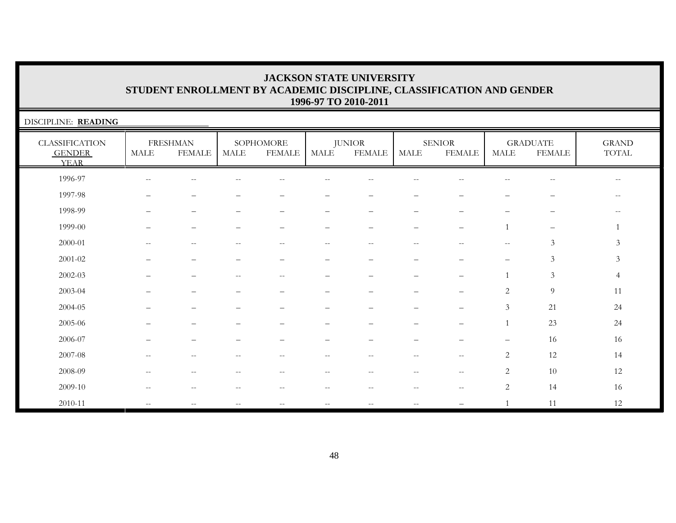| DISCIPLINE: READING                                   |                          |                                  |                                                     |                            |                                                       |                                |                          |                                                     |                       |                                  |                                                |
|-------------------------------------------------------|--------------------------|----------------------------------|-----------------------------------------------------|----------------------------|-------------------------------------------------------|--------------------------------|--------------------------|-----------------------------------------------------|-----------------------|----------------------------------|------------------------------------------------|
| <b>CLASSIFICATION</b><br><b>GENDER</b><br><b>YEAR</b> | <b>MALE</b>              | <b>FRESHMAN</b><br><b>FEMALE</b> | MALE                                                | SOPHOMORE<br><b>FEMALE</b> | <b>MALE</b>                                           | <b>JUNIOR</b><br><b>FEMALE</b> | <b>MALE</b>              | <b>SENIOR</b><br><b>FEMALE</b>                      | $\operatorname{MALE}$ | <b>GRADUATE</b><br><b>FEMALE</b> | <b>GRAND</b><br>$\operatorname{TOTAL}$         |
| 1996-97                                               | $\overline{\phantom{m}}$ | $-$                              |                                                     | --                         |                                                       | --                             | $\qquad \qquad -$        |                                                     | $-$                   | $\overline{\phantom{m}}$         | $\hspace{0.1mm}-\hspace{0.1mm}-\hspace{0.1mm}$ |
| 1997-98                                               |                          |                                  |                                                     |                            | -                                                     | $\overline{\phantom{0}}$       |                          |                                                     |                       |                                  | $- -$                                          |
| 1998-99                                               |                          |                                  |                                                     |                            |                                                       |                                |                          |                                                     |                       |                                  |                                                |
| 1999-00                                               |                          |                                  |                                                     |                            |                                                       |                                | $\overline{\phantom{0}}$ | ▃                                                   |                       | $\overline{\phantom{m}}$         |                                                |
| $2000 - 01$                                           | $-$                      | $-$                              | $\qquad \qquad -$                                   | $\overline{\phantom{m}}$   | $\hspace{0.05cm} - \hspace{0.05cm} - \hspace{0.05cm}$ | $\qquad \qquad -$              | $-$                      | $- -$                                               | $\mathbf{u}$          | $\mathfrak{Z}$                   | $\mathfrak{Z}$                                 |
| $2001 - 02$                                           |                          |                                  |                                                     |                            |                                                       |                                |                          |                                                     |                       | $\mathfrak{Z}$                   | $\mathfrak{Z}$                                 |
| $2002 - 03$                                           |                          |                                  | $\qquad \qquad -$                                   | $\overline{\phantom{a}}$   |                                                       |                                |                          |                                                     |                       | $\mathfrak{Z}$                   | 4                                              |
| 2003-04                                               |                          |                                  |                                                     |                            |                                                       |                                |                          |                                                     | $\overline{2}$        | 9                                | 11                                             |
| 2004-05                                               |                          |                                  |                                                     |                            |                                                       |                                |                          |                                                     | 3                     | 21                               | 24                                             |
| 2005-06                                               |                          |                                  |                                                     |                            |                                                       |                                |                          |                                                     |                       | 23                               | 24                                             |
| 2006-07                                               |                          |                                  |                                                     |                            |                                                       |                                |                          |                                                     |                       | 16                               | 16                                             |
| 2007-08                                               | $\overline{\phantom{m}}$ | $-$                              | $- -$                                               | $\overline{\phantom{m}}$   | $\overline{\phantom{m}}$                              | $- -$                          | $\sim$ $-$               | $\hspace{0.05cm} -\hspace{0.05cm} -\hspace{0.05cm}$ | $\overline{2}$        | 12                               | 14                                             |
| 2008-09                                               | $\qquad \qquad -$        | $\qquad \qquad -$                | --                                                  | --                         | $-\,-$                                                | $\overline{\phantom{m}}$       | $-\, -$                  | $- -$                                               | 2                     | 10                               | 12                                             |
| 2009-10                                               |                          |                                  |                                                     |                            | --                                                    |                                | $\qquad \qquad -$        | $- -$                                               | $\mathbf{2}$          | 14                               | 16                                             |
| 2010-11                                               | $\overline{\phantom{m}}$ | $-$                              | $\hspace{0.05cm} -\hspace{0.05cm} -\hspace{0.05cm}$ | $\overline{\phantom{m}}$   | $- -$                                                 | $\sim$ $\sim$                  | $\mathbf{u}$             |                                                     |                       | 11                               | 12                                             |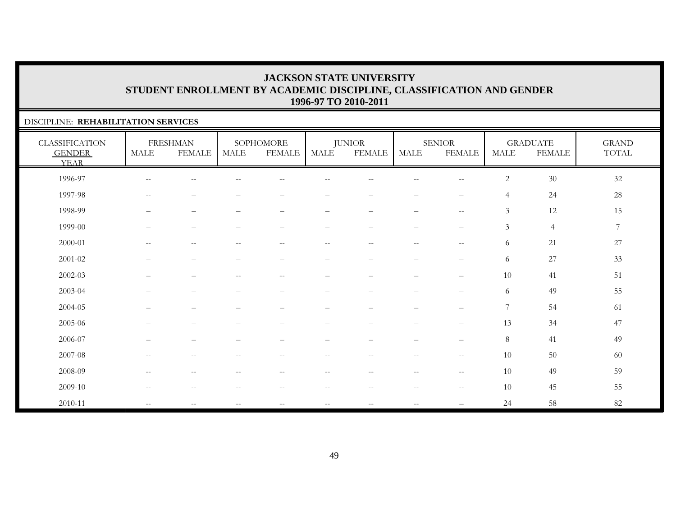### DISCIPLINE: **REHABILITATION SERVICES**

| <b>CLASSIFICATION</b><br><b>GENDER</b><br><b>YEAR</b> | $\operatorname{MALE}$    | <b>FRESHMAN</b><br><b>FEMALE</b> | MALE                                                  | SOPHOMORE<br><b>FEMALE</b> | MALE                     | <b>JUNIOR</b><br><b>FEMALE</b> | <b>MALE</b>                                         | <b>SENIOR</b><br><b>FEMALE</b>                      | <b>MALE</b>    | <b>GRADUATE</b><br><b>FEMALE</b> | <b>GRAND</b><br>TOTAL |
|-------------------------------------------------------|--------------------------|----------------------------------|-------------------------------------------------------|----------------------------|--------------------------|--------------------------------|-----------------------------------------------------|-----------------------------------------------------|----------------|----------------------------------|-----------------------|
| 1996-97                                               | $\overline{\phantom{m}}$ | $-$                              |                                                       |                            |                          |                                | $-$                                                 | $\qquad \qquad -$                                   | $\mathbf{2}$   | $30\,$                           | 32                    |
| 1997-98                                               | $\overline{\phantom{m}}$ |                                  |                                                       |                            |                          |                                |                                                     | $\overline{\phantom{0}}$                            | $\overline{4}$ | 24                               | 28                    |
| 1998-99                                               | $\qquad \qquad$          | $\qquad \qquad -$                | $\overline{\phantom{0}}$                              | $\overline{\phantom{0}}$   | $\qquad \qquad -$        | $\qquad \qquad -$              | $\qquad \qquad -$                                   | $\hspace{0.05cm} -\hspace{0.05cm} -\hspace{0.05cm}$ | 3              | 12                               | 15                    |
| 1999-00                                               | $\qquad \qquad$          | $\qquad \qquad -$                | $\overline{\phantom{m}}$                              | $\qquad \qquad -$          | $\overline{\phantom{0}}$ |                                | $\qquad \qquad -$                                   | $\overline{\phantom{m}}$                            | $\mathfrak{Z}$ | $\overline{4}$                   | $\overline{7}$        |
| 2000-01                                               | $\overline{\phantom{m}}$ | $-$                              | $\hspace{0.05cm} - \hspace{0.05cm} - \hspace{0.05cm}$ | $-$                        | $- -$                    | $\overline{\phantom{m}}$       | $\overline{\phantom{m}}$                            | $\hspace{0.05cm} -$                                 | 6              | 21                               | $27\,$                |
| $2001 - 02$                                           | $\overline{\phantom{0}}$ | $\overline{\phantom{0}}$         |                                                       | $\overline{\phantom{0}}$   | -                        |                                | $\overline{\phantom{0}}$                            | $\overline{\phantom{0}}$                            | 6              | 27                               | 33                    |
| 2002-03                                               |                          | $\overline{\phantom{0}}$         | $\hspace{0.05cm} - \hspace{0.05cm} - \hspace{0.05cm}$ | $\overline{\phantom{m}}$   | $\overline{\phantom{0}}$ |                                | $\qquad \qquad -$                                   | $\overline{\phantom{0}}$                            | 10             | 41                               | 51                    |
| 2003-04                                               | —                        | $\overline{\phantom{0}}$         |                                                       | $\overline{\phantom{0}}$   | $\overline{\phantom{0}}$ | $\overline{\phantom{m}}$       | $\qquad \qquad -$                                   | $\overbrace{\phantom{12322111}}$                    | 6              | 49                               | 55                    |
| 2004-05                                               |                          | $\overline{\phantom{0}}$         |                                                       |                            | $\overline{\phantom{0}}$ |                                | $\qquad \qquad -$                                   | $\overbrace{\phantom{12322111}}$                    | $\overline{7}$ | 54                               | 61                    |
| 2005-06                                               |                          |                                  |                                                       |                            |                          |                                |                                                     | $\qquad \qquad -$                                   | 13             | 34                               | 47                    |
| 2006-07                                               |                          | $\overline{\phantom{0}}$         |                                                       |                            |                          |                                |                                                     | $\qquad \qquad -$                                   | 8              | 41                               | 49                    |
| 2007-08                                               | $- -$                    | $-\,-$                           | $\hspace{0.05cm} -\hspace{0.05cm} -\hspace{0.05cm}$   | $\overline{\phantom{m}}$   | $\overline{\phantom{m}}$ | $--$                           | $--$                                                | $-\,-$                                              | 10             | 50                               | 60                    |
| 2008-09                                               | $\overline{\phantom{a}}$ | $\overline{\phantom{a}}$         | $ -$                                                  | $-$                        | $\overline{\phantom{m}}$ | $--$                           | $--$                                                | $-\,-$                                              | 10             | 49                               | 59                    |
| 2009-10                                               | $\overline{\phantom{m}}$ | $\overline{\phantom{m}}$         | $\hspace{0.05cm} - \hspace{0.05cm} - \hspace{0.05cm}$ | $\overline{\phantom{m}}$   | $\overline{\phantom{m}}$ | $--$                           | $\hspace{0.05cm} -\hspace{0.05cm} -\hspace{0.05cm}$ | $\overline{\phantom{m}}$                            | 10             | 45                               | 55                    |
| 2010-11                                               | $\overline{\phantom{m}}$ | $-$                              | $\overline{\phantom{m}}$                              | $\overline{\phantom{a}}$   | --                       | $\overline{\phantom{a}}$       | $\overline{\phantom{m}}$                            |                                                     | 24             | $58\,$                           | 82                    |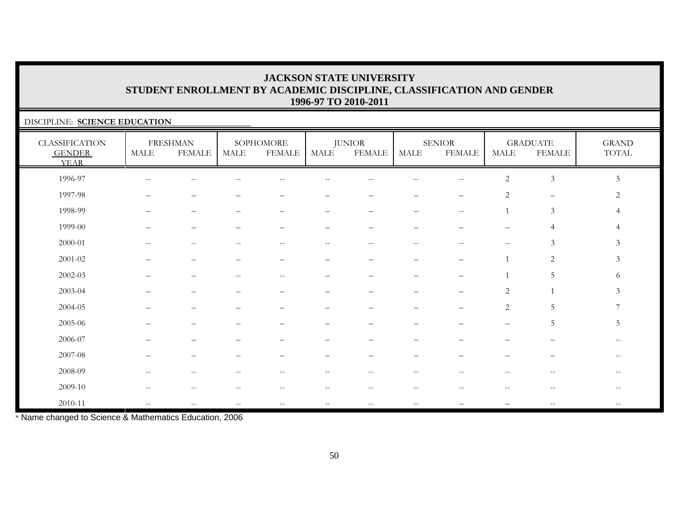### DISCIPLINE: **SCIENCE EDUCATION**

| <b>CLASSIFICATION</b><br><b>GENDER</b><br><b>YEAR</b> | <b>MALE</b>                                         | <b>FRESHMAN</b><br><b>FEMALE</b>                      | MALE  | SOPHOMORE<br><b>FEMALE</b>                          | MALE                     | <b>JUNIOR</b><br><b>FEMALE</b> | MALE                     | <b>SENIOR</b><br><b>FEMALE</b> | MALE                     | <b>GRADUATE</b><br>FEMALE | $\operatorname{GRAND}$<br>$\operatorname{TOTAL}$ |
|-------------------------------------------------------|-----------------------------------------------------|-------------------------------------------------------|-------|-----------------------------------------------------|--------------------------|--------------------------------|--------------------------|--------------------------------|--------------------------|---------------------------|--------------------------------------------------|
| 1996-97                                               | $\overline{\phantom{m}}$                            | $\qquad \qquad -$                                     |       |                                                     |                          |                                |                          | $-$                            | $\overline{c}$           | $\mathfrak{Z}$            | 5                                                |
| 1997-98                                               |                                                     |                                                       |       |                                                     |                          |                                |                          | $\overline{\phantom{0}}$       | 2                        | $\overline{\phantom{m}}$  | 2                                                |
| 1998-99                                               |                                                     |                                                       |       |                                                     |                          |                                |                          | $-$                            |                          | $\mathfrak{Z}$            | 4                                                |
| 1999-00                                               |                                                     | $\overline{\phantom{0}}$                              |       |                                                     | -                        | $\overline{\phantom{0}}$       | $\overline{\phantom{0}}$ |                                | $\overline{\phantom{0}}$ | $\overline{4}$            | 4                                                |
| 2000-01                                               | $--$                                                | $\hspace{0.05cm} -\hspace{0.05cm} -\hspace{0.05cm}$   | $- -$ | $\hspace{0.05cm} -\hspace{0.05cm} -\hspace{0.05cm}$ | $--$                     | $- -$                          | $--$                     | $\hspace{0.05cm} -$            | $--$                     | 3                         | 3                                                |
| $2001 - 02$                                           |                                                     | $\overline{\phantom{0}}$                              |       |                                                     | $\overline{\phantom{0}}$ | $\overline{\phantom{m}}$       |                          |                                | $\mathbf{1}$             | 2                         | $\mathfrak{Z}$                                   |
| $2002 - 03$                                           |                                                     |                                                       |       |                                                     |                          |                                |                          |                                |                          | 5                         | 6                                                |
| 2003-04                                               |                                                     |                                                       |       |                                                     |                          |                                |                          |                                | 2                        |                           | 3                                                |
| 2004-05                                               |                                                     | $\overline{\phantom{0}}$                              |       |                                                     | $\qquad \qquad -$        |                                | $\overline{\phantom{0}}$ |                                | 2                        | 5                         | 7                                                |
| 2005-06                                               |                                                     |                                                       |       |                                                     |                          |                                |                          |                                | $\qquad \qquad -$        | $5\,$                     | 5                                                |
| 2006-07                                               |                                                     |                                                       |       |                                                     |                          |                                |                          |                                |                          |                           |                                                  |
| 2007-08                                               |                                                     |                                                       |       |                                                     |                          |                                |                          |                                |                          |                           | $\hspace{0.05cm} -$                              |
| 2008-09                                               | $- -$                                               | $\qquad \qquad -$                                     |       | $- -$                                               | $ -$                     | $-$                            | $\overline{\phantom{m}}$ | --                             |                          | $\sim$ $\sim$             | $- -$                                            |
| 2009-10                                               | $\hspace{0.05cm} -\hspace{0.05cm} -\hspace{0.05cm}$ | $\hspace{0.05cm} - \hspace{0.05cm} - \hspace{0.05cm}$ |       | --                                                  | $- -$                    | $- -$                          | $\qquad \qquad -$        | --                             |                          | $-$                       |                                                  |
| 2010-11                                               | $- -$                                               | $\overline{\phantom{m}}$                              | $-$   | $--$                                                | $-\,-$                   | $- -$                          | $--$                     |                                |                          | $\hspace{0.05cm} -$       | $\overline{\phantom{m}}$                         |

\* Name changed to Science & Mathematics Education, 2006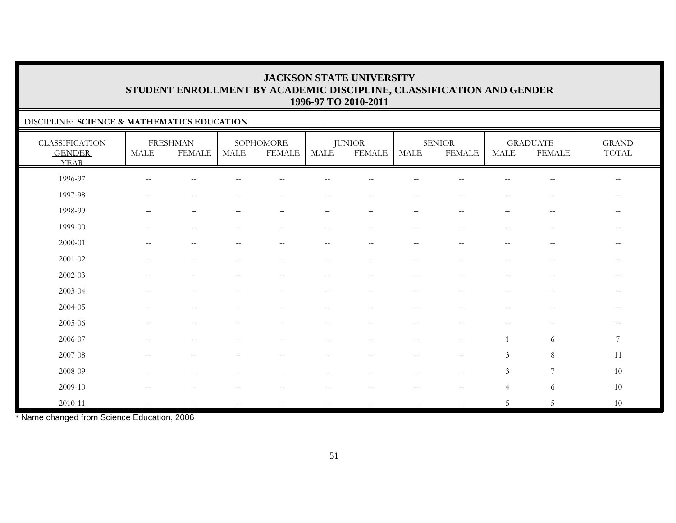### DISCIPLINE: **SCIENCE & MATHEMATICS EDUCATION**

| <b>CLASSIFICATION</b><br><b>GENDER</b><br><b>YEAR</b> | <b>MALE</b>              | <b>FRESHMAN</b><br><b>FEMALE</b> | MALE                                                | SOPHOMORE<br><b>FEMALE</b> | <b>MALE</b>              | <b>JUNIOR</b><br><b>FEMALE</b> | <b>MALE</b>                                         | SENIOR<br><b>FEMALE</b>                             | <b>MALE</b>              | <b>GRADUATE</b><br><b>FEMALE</b> | <b>GRAND</b><br>TOTAL    |
|-------------------------------------------------------|--------------------------|----------------------------------|-----------------------------------------------------|----------------------------|--------------------------|--------------------------------|-----------------------------------------------------|-----------------------------------------------------|--------------------------|----------------------------------|--------------------------|
| 1996-97                                               | $\overline{\phantom{m}}$ | $\sim$ $-$                       |                                                     | --                         |                          |                                | --                                                  |                                                     |                          | $\sim$ $\sim$                    | $- -$                    |
| 1997-98                                               | $\qquad \qquad -$        | $\overline{\phantom{m}}$         |                                                     |                            | $\overline{\phantom{0}}$ | $\overline{\phantom{m}}$       | $\overline{\phantom{0}}$                            |                                                     |                          | $\hspace{1.0cm} \bar{}$          | $\overline{\phantom{m}}$ |
| 1998-99                                               | $\qquad \qquad -$        | $\overline{\phantom{m}}$         |                                                     | $\qquad \qquad -$          | $\qquad \qquad -$        | $\overline{\phantom{m}}$       | $\qquad \qquad -$                                   | $\mathrel{{-}{-}}$                                  | —                        | $\overline{\phantom{m}}$         | $\overline{\phantom{m}}$ |
| 1999-00                                               | —                        | $\qquad \qquad -$                |                                                     |                            | $\qquad \qquad -$        | $\overline{\phantom{m}}$       | $\overline{\phantom{m}}$                            | $\overline{\phantom{0}}$                            | —                        | $\overline{\phantom{m}}$         | $\overline{\phantom{m}}$ |
| $2000 - 01$                                           |                          | $\qquad \qquad -$                |                                                     |                            | --                       | $\sim$                         |                                                     | $\overline{\phantom{a}}$                            |                          | --                               | $- -$                    |
| $2001 - 02$                                           |                          |                                  |                                                     |                            | $\overline{\phantom{0}}$ |                                |                                                     |                                                     |                          |                                  | $- -$                    |
| $2002 - 03$                                           | $\qquad \qquad -$        | $\qquad \qquad -$                | $\hspace{0.05cm} -\hspace{0.05cm} -\hspace{0.05cm}$ | $\overline{\phantom{m}}$   | $\qquad \qquad -$        | $\overline{\phantom{m}}$       | $\qquad \qquad -$                                   | $\overline{\phantom{0}}$                            | $\overline{\phantom{0}}$ | $\overline{\phantom{m}}$         | $\overline{\phantom{m}}$ |
| 2003-04                                               |                          |                                  |                                                     |                            | $\equiv$                 |                                | -                                                   |                                                     |                          |                                  | $-$                      |
| 2004-05                                               |                          | $\overline{\phantom{0}}$         |                                                     |                            |                          |                                | $\overline{\phantom{0}}$                            |                                                     |                          | $\overline{\phantom{m}}$         | $\overline{\phantom{m}}$ |
| 2005-06                                               |                          |                                  |                                                     |                            |                          |                                |                                                     |                                                     |                          |                                  | $- -$                    |
| 2006-07                                               |                          |                                  |                                                     |                            |                          |                                |                                                     | $\qquad \qquad -$                                   |                          | 6                                | $7\phantom{.0}$          |
| 2007-08                                               | $\overline{\phantom{m}}$ | $\overline{\phantom{m}}$         | $\qquad \qquad -$                                   | $--$                       | $--$                     | $--$                           | $\hspace{0.05cm} -\hspace{0.05cm} -\hspace{0.05cm}$ | $\overline{\phantom{a}}$                            | $\mathfrak{Z}$           | $8\phantom{.}$                   | 11                       |
| 2008-09                                               | $-$                      | $\sim$ $-$                       | --                                                  | $-$                        | $\qquad \qquad -$        | $- -$                          | $\overline{\phantom{a}}$                            | $\mathord{\hspace{1pt}\text{--}\hspace{1pt}}$       | $\mathfrak{Z}$           | $\overline{7}$                   | 10                       |
| 2009-10                                               | $\qquad \qquad -$        | $\sim$ $-$                       | $-$                                                 | $-$                        | $- -$                    | $- -$                          | $\overline{\phantom{a}}$                            | $\hspace{0.05cm} -\hspace{0.05cm} -\hspace{0.05cm}$ | $\overline{4}$           | 6                                | $10\,$                   |
| 2010-11                                               | $- -$                    | $\overline{\phantom{m}}$         | $\overline{\phantom{m}}$                            | $\overline{\phantom{m}}$   | $-\,-$                   | $\overline{\phantom{m}}$       | $\overline{\phantom{m}}$                            |                                                     | 5                        | $5\,$                            | 10                       |

\* Name changed from Science Education, 2006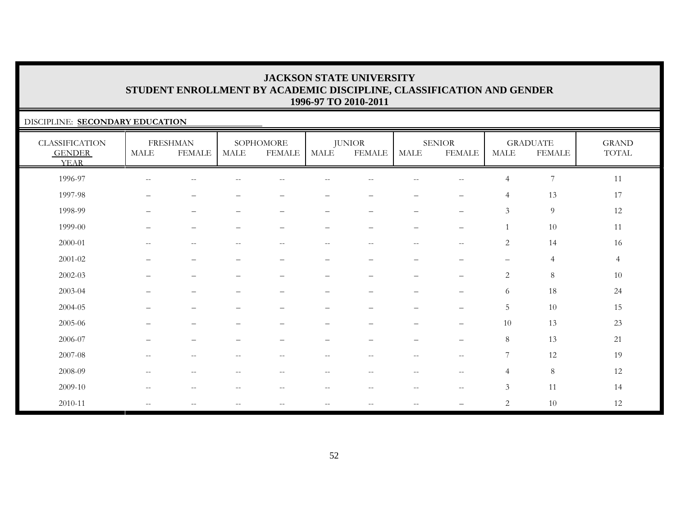### DISCIPLINE: **SECONDARY EDUCATION**

| <b>CLASSIFICATION</b><br><b>GENDER</b><br><b>YEAR</b> | <b>MALE</b>              | <b>FRESHMAN</b><br><b>FEMALE</b>                    | <b>MALE</b>                                         | SOPHOMORE<br><b>FEMALE</b>                          | <b>MALE</b>              | <b>JUNIOR</b><br><b>FEMALE</b> | <b>MALE</b>              | <b>SENIOR</b><br><b>FEMALE</b>   | <b>MALE</b>              | <b>GRADUATE</b><br><b>FEMALE</b> | <b>GRAND</b><br>TOTAL |
|-------------------------------------------------------|--------------------------|-----------------------------------------------------|-----------------------------------------------------|-----------------------------------------------------|--------------------------|--------------------------------|--------------------------|----------------------------------|--------------------------|----------------------------------|-----------------------|
| 1996-97                                               | $\mathbf{u}$             | $\overline{\phantom{m}}$                            |                                                     | $\frac{1}{2}$                                       | $-$                      | $\overline{\phantom{m}}$       | $- -$                    | $-$                              | $\overline{4}$           | $\overline{7}$                   | $11\,$                |
| 1997-98                                               | $\overline{\phantom{0}}$ | $\qquad \qquad -$                                   |                                                     | -                                                   |                          | $\overline{\phantom{0}}$       | $\overline{\phantom{0}}$ | $\overline{\phantom{0}}$         | $\overline{4}$           | 13                               | 17                    |
| 1998-99                                               | $\qquad \qquad -$        | $\overline{\phantom{m}}$                            | $\overline{\phantom{m}}$                            | $\overline{\phantom{m}}$                            | —                        | $\qquad \qquad -$              | $\qquad \qquad -$        | $\overline{\phantom{m}}$         | $\mathfrak{Z}$           | $\overline{9}$                   | 12                    |
| 1999-00                                               | $\qquad \qquad -$        | $\qquad \qquad -$                                   | $\overline{\phantom{0}}$                            | $\qquad \qquad -$                                   | $\qquad \qquad -$        | $\qquad \qquad -$              | $\overline{\phantom{m}}$ | $\overline{\phantom{m}}$         |                          | $10\,$                           | 11                    |
| 2000-01                                               | $\overline{\phantom{m}}$ | $-\,-$                                              | $\hspace{0.05cm} -\hspace{0.05cm} -\hspace{0.05cm}$ | $\hspace{0.05cm} -\hspace{0.05cm} -\hspace{0.05cm}$ | $- -$                    | $\overline{\phantom{m}}$       | $\overline{\phantom{m}}$ | $-\,-$                           | 2                        | 14                               | 16                    |
| $2001 - 02$                                           |                          | $\qquad \qquad -$                                   |                                                     | -                                                   | $\overline{\phantom{0}}$ | $\qquad \qquad -$              | $\overline{\phantom{0}}$ | $\overline{\phantom{0}}$         | $\overline{\phantom{m}}$ | $\overline{4}$                   | $\overline{4}$        |
| $2002 - 03$                                           | $\overline{\phantom{0}}$ | $\overline{\phantom{0}}$                            |                                                     | $\overline{\phantom{0}}$                            | $\overline{\phantom{0}}$ | $\overline{\phantom{0}}$       |                          | $\overline{\phantom{0}}$         | $\sqrt{2}$               | $\, 8$                           | 10                    |
| 2003-04                                               | —                        | $\qquad \qquad -$                                   | $\overline{\phantom{0}}$                            | $\qquad \qquad -$                                   | $\qquad \qquad -$        | $\qquad \qquad -$              | $\qquad \qquad -$        | $\overline{\phantom{m}}$         | 6                        | 18                               | 24                    |
| 2004-05                                               | $\overline{\phantom{0}}$ | $\qquad \qquad -$                                   | $\qquad \qquad -$                                   | $\overline{\phantom{0}}$                            | $\overline{\phantom{0}}$ | $\qquad \qquad -$              | $\qquad \qquad -$        | $\qquad \qquad -$                | 5                        | 10                               | 15                    |
| 2005-06                                               | —                        | $\overline{\phantom{m}}$                            |                                                     | $\overline{\phantom{0}}$                            | $\overline{\phantom{0}}$ | $\qquad \qquad -$              | $\qquad \qquad -$        | $\overbrace{\phantom{12322111}}$ | 10                       | 13                               | 23                    |
| 2006-07                                               |                          | -                                                   |                                                     |                                                     |                          |                                |                          | $\qquad \qquad -$                | $\,8\,$                  | 13                               | 21                    |
| 2007-08                                               | $\overline{\phantom{m}}$ | $-\,-$                                              | $-$                                                 | $\overline{\phantom{m}}$                            | $\overline{\phantom{m}}$ | $-\,-$                         | $\overline{\phantom{m}}$ | $-\,-$                           | $\overline{7}$           | 12                               | 19                    |
| 2008-09                                               | $\overline{\phantom{m}}$ | $\overline{\phantom{m}}$                            | $\hspace{0.05cm}$ – $\hspace{0.05cm}$               | $--$                                                | $- -$                    | $\overline{\phantom{m}}$       | $--$                     | $\overline{\phantom{m}}$         | $\overline{4}$           | $\,8\,$                          | 12                    |
| 2009-10                                               | $\overline{\phantom{m}}$ | $\hspace{0.05cm} -\hspace{0.05cm} -\hspace{0.05cm}$ | $\hspace{0.05cm} -\hspace{0.05cm} -\hspace{0.05cm}$ | $\hspace{0.05cm} -\hspace{0.05cm} -\hspace{0.05cm}$ | $- -$                    | $\sim$ $-$                     | $--$                     | $\hspace{0.05cm} -$              | $\mathfrak{Z}$           | 11                               | 14                    |
| 2010-11                                               | $\mathbf{u}$             | $\overline{\phantom{m}}$                            | $\hspace{0.05cm} -\hspace{0.05cm} -\hspace{0.05cm}$ | $\hspace{0.05cm} -\hspace{0.05cm} -\hspace{0.05cm}$ | $- -$                    | $--$                           | $\qquad \qquad -$        |                                  | 2                        | 10                               | 12                    |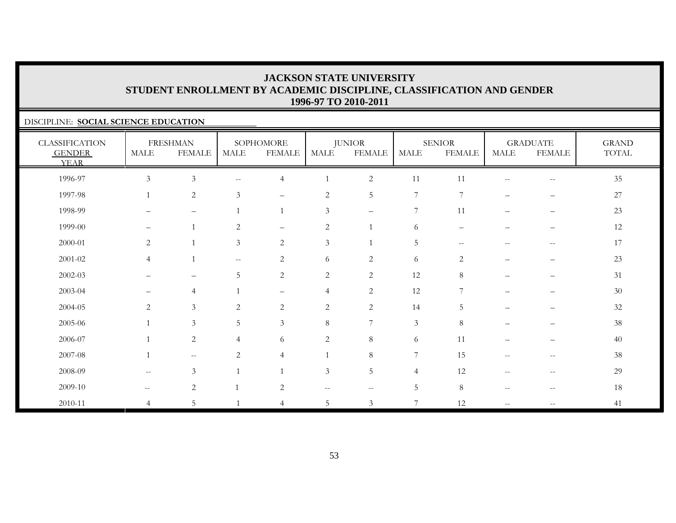### DISCIPLINE: **SOCIAL SCIENCE EDUCATION**

| <b>CLASSIFICATION</b><br><b>GENDER</b><br><b>YEAR</b> | <b>MALE</b>              | <b>FRESHMAN</b><br><b>FEMALE</b> | <b>MALE</b>                                         | SOPHOMORE<br><b>FEMALE</b> | <b>MALE</b>    | <b>JUNIOR</b><br><b>FEMALE</b> | MALE           | <b>SENIOR</b><br><b>FEMALE</b>   | MALE                                                | <b>GRADUATE</b><br><b>FEMALE</b>      | <b>GRAND</b><br>TOTAL |
|-------------------------------------------------------|--------------------------|----------------------------------|-----------------------------------------------------|----------------------------|----------------|--------------------------------|----------------|----------------------------------|-----------------------------------------------------|---------------------------------------|-----------------------|
| 1996-97                                               | $\mathfrak{Z}$           | $\ensuremath{\mathfrak{Z}}$      | $\sim$ $-$                                          | $\overline{4}$             |                | $\sqrt{2}$                     | 11             | 11                               | $\sim$ $-$                                          | $-\,-$                                | $35\,$                |
| 1997-98                                               | $\overline{1}$           | $\sqrt{2}$                       | 3                                                   | $\overline{\phantom{m}}$   | $\sqrt{2}$     | 5                              | 7              | 7                                | $\qquad \qquad -$                                   | $\qquad \qquad -$                     | $27\,$                |
| 1998-99                                               | $\qquad \qquad -$        | $\qquad \qquad -$                |                                                     | $\overline{1}$             | $\mathfrak{Z}$ | $\overline{\phantom{m}}$       | 7              | 11                               | $\qquad \qquad -$                                   | $\overline{\phantom{m}}$              | 23                    |
| 1999-00                                               | $\qquad \qquad -$        | $\mathbf{1}$                     | 2                                                   | $\qquad \qquad -$          | $\overline{c}$ |                                | 6              | $\overbrace{\phantom{12322111}}$ |                                                     | $\overline{\phantom{m}}$              | 12                    |
| 2000-01                                               | $\mathbf{2}$             | $\overline{1}$                   | $\mathfrak{Z}$                                      | $\sqrt{2}$                 | $\mathfrak{Z}$ |                                | $\overline{5}$ | $\overline{\phantom{m}}$         | $\overline{\phantom{m}}$                            | $\hspace{0.05cm}$ – $\hspace{0.05cm}$ | 17                    |
| $2001 - 02$                                           | $\overline{4}$           | $\overline{1}$                   | $\hspace{0.05cm} -\hspace{0.05cm} -\hspace{0.05cm}$ | 2                          | 6              | $\overline{2}$                 | 6              | $\overline{2}$                   | $\overline{\phantom{0}}$                            | $\overline{\phantom{m}}$              | 23                    |
| 2002-03                                               | —                        | $\overline{\phantom{m}}$         | 5                                                   | 2                          | $\overline{c}$ | 2                              | 12             | 8                                | $\overline{\phantom{0}}$                            | $\overline{\phantom{m}}$              | 31                    |
| 2003-04                                               | —                        | $\overline{4}$                   |                                                     | $\qquad \qquad -$          | $\overline{4}$ | $\sqrt{2}$                     | 12             | 7                                | $\overline{\phantom{0}}$                            | $\qquad \qquad -$                     | $30\,$                |
| 2004-05                                               | $\overline{c}$           | $\mathfrak{Z}$                   | 2                                                   | 2                          | $\sqrt{2}$     | $\overline{c}$                 | 14             | 5                                |                                                     |                                       | $32\,$                |
| 2005-06                                               |                          | $\mathfrak{Z}$                   | $5\phantom{.0}$                                     | $\mathfrak{Z}$             | $\,8\,$        | $\overline{7}$                 | $\mathfrak{Z}$ | $\,8\,$                          | -                                                   | $\overline{\phantom{0}}$              | 38                    |
| 2006-07                                               |                          | $\sqrt{2}$                       | $\overline{4}$                                      | 6                          | $\overline{c}$ | 8                              | 6              | 11                               | —                                                   | $\overline{\phantom{m}}$              | 40                    |
| 2007-08                                               | $\mathbf{1}$             | $- -$                            | 2                                                   | $\overline{4}$             | $\mathbf{1}$   | 8                              | 7              | 15                               | $\hspace{0.05cm} -\hspace{0.05cm} -\hspace{0.05cm}$ | $\hspace{0.05cm}$ – $\hspace{0.05cm}$ | 38                    |
| 2008-09                                               | $\overline{\phantom{m}}$ | $\mathfrak{Z}$                   |                                                     | $\overline{1}$             | 3              | 5                              | $\overline{4}$ | 12                               | $-$                                                 | $\hspace{0.05cm}$ – $\hspace{0.05cm}$ | 29                    |
| 2009-10                                               | $\overline{\phantom{a}}$ | $\sqrt{2}$                       |                                                     | $\mathbf{2}$               | $- -$          | $\sim$ $\sim$                  | $5\phantom{.}$ | 8                                | $\sim$ $-$                                          | $\hspace{0.05cm} -$                   | 18                    |
| 2010-11                                               | 4                        | 5                                |                                                     | 4                          | 5              | 3                              | $\overline{7}$ | 12                               | $\mathcal{L}=\mathcal{L}$                           | $\overline{\phantom{m}}$              | 41                    |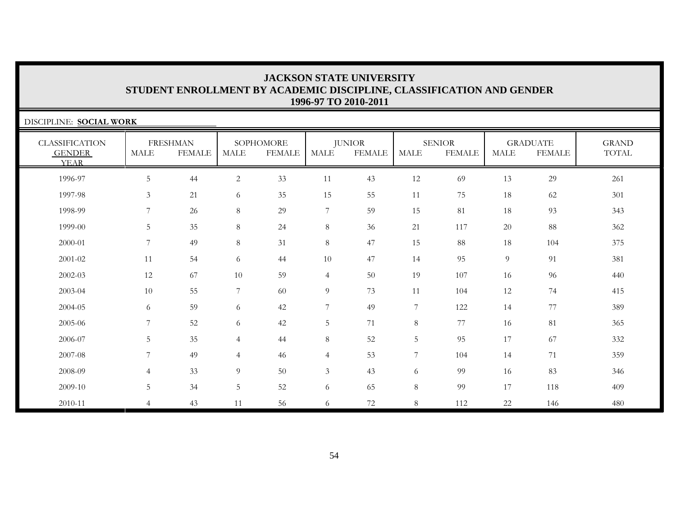| DISCIPLINE: SOCIAL WORK                               |                |                                  |                |                            |                |                                |             |                                |                |                                  |                              |
|-------------------------------------------------------|----------------|----------------------------------|----------------|----------------------------|----------------|--------------------------------|-------------|--------------------------------|----------------|----------------------------------|------------------------------|
| <b>CLASSIFICATION</b><br><b>GENDER</b><br><b>YEAR</b> | <b>MALE</b>    | <b>FRESHMAN</b><br><b>FEMALE</b> | <b>MALE</b>    | SOPHOMORE<br><b>FEMALE</b> | <b>MALE</b>    | <b>JUNIOR</b><br><b>FEMALE</b> | <b>MALE</b> | <b>SENIOR</b><br><b>FEMALE</b> | <b>MALE</b>    | <b>GRADUATE</b><br><b>FEMALE</b> | <b>GRAND</b><br><b>TOTAL</b> |
| 1996-97                                               | $\overline{5}$ | 44                               | 2              | 33                         | 11             | 43                             | 12          | 69                             | 13             | 29                               | 261                          |
| 1997-98                                               | $\mathfrak{Z}$ | 21                               | 6              | 35                         | 15             | 55                             | 11          | 75                             | 18             | 62                               | 301                          |
| 1998-99                                               | 7              | 26                               | 8              | 29                         | 7              | 59                             | 15          | 81                             | 18             | 93                               | 343                          |
| 1999-00                                               | 5              | 35                               | 8              | 24                         | $8\,$          | 36                             | 21          | 117                            | 20             | 88                               | 362                          |
| 2000-01                                               | 7              | 49                               | 8              | 31                         | $8\,$          | 47                             | 15          | 88                             | 18             | 104                              | 375                          |
| 2001-02                                               | 11             | 54                               | 6              | 44                         | $10\,$         | 47                             | 14          | 95                             | $\overline{9}$ | 91                               | 381                          |
| 2002-03                                               | 12             | 67                               | 10             | 59                         | $\overline{4}$ | 50                             | 19          | 107                            | 16             | 96                               | 440                          |
| 2003-04                                               | 10             | 55                               | $\overline{7}$ | 60                         | $\overline{9}$ | 73                             | 11          | 104                            | 12             | 74                               | 415                          |
| 2004-05                                               | 6              | 59                               | 6              | 42                         | 7              | 49                             | 7           | 122                            | 14             | 77                               | 389                          |
| 2005-06                                               | $\overline{7}$ | 52                               | 6              | 42                         | $\overline{5}$ | 71                             | $\,8\,$     | 77                             | 16             | 81                               | 365                          |
| 2006-07                                               | 5              | 35                               | $\overline{4}$ | 44                         | $8\,$          | 52                             | $\mathbf 5$ | 95                             | 17             | 67                               | 332                          |
| 2007-08                                               | 7              | 49                               | $\overline{4}$ | 46                         | $\overline{4}$ | 53                             | 7           | 104                            | 14             | 71                               | 359                          |
| 2008-09                                               | $\overline{4}$ | 33                               | 9              | 50                         | $\mathfrak{Z}$ | 43                             | 6           | 99                             | 16             | 83                               | 346                          |
| 2009-10                                               | 5              | 34                               | 5              | 52                         | 6              | 65                             | $\,8\,$     | 99                             | 17             | 118                              | 409                          |
| 2010-11                                               | $\overline{4}$ | 43                               | 11             | 56                         | 6              | 72                             | $8\,$       | 112                            | 22             | 146                              | 480                          |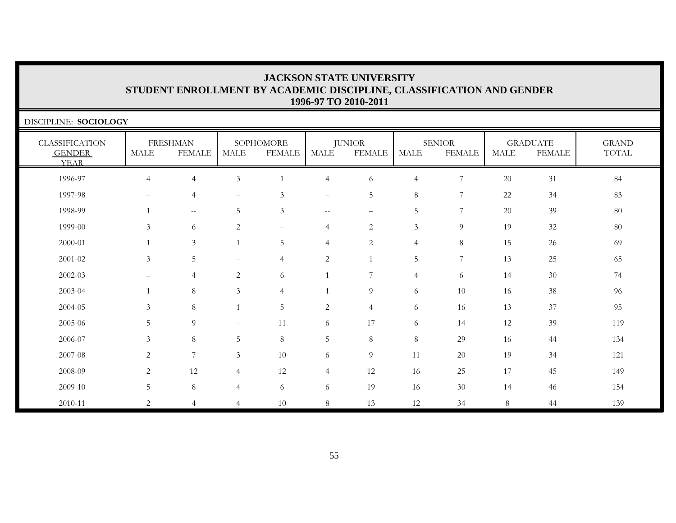| DISCIPLINE: <b>SOCIOLOGY</b>                          |                          |                                  |                          |                            |                          |                                |                |                                |             |                                  |                       |
|-------------------------------------------------------|--------------------------|----------------------------------|--------------------------|----------------------------|--------------------------|--------------------------------|----------------|--------------------------------|-------------|----------------------------------|-----------------------|
| <b>CLASSIFICATION</b><br><b>GENDER</b><br><b>YEAR</b> | MALE                     | <b>FRESHMAN</b><br><b>FEMALE</b> | MALE                     | SOPHOMORE<br><b>FEMALE</b> | <b>MALE</b>              | <b>JUNIOR</b><br><b>FEMALE</b> | <b>MALE</b>    | <b>SENIOR</b><br><b>FEMALE</b> | <b>MALE</b> | <b>GRADUATE</b><br><b>FEMALE</b> | <b>GRAND</b><br>TOTAL |
| 1996-97                                               | $\overline{4}$           | $\overline{4}$                   | $\mathfrak{Z}$           | $\overline{1}$             | $\overline{4}$           | 6                              | $\overline{4}$ | 7                              | 20          | 31                               | 84                    |
| 1997-98                                               | $\overline{\phantom{0}}$ | $\overline{4}$                   | $\qquad \qquad -$        | 3                          | $\overline{\phantom{0}}$ | 5                              | $8\,$          | 7                              | 22          | 34                               | 83                    |
| 1998-99                                               |                          | $--$                             | 5                        | $\mathfrak{Z}$             | $--$                     | $\overline{\phantom{0}}$       | $\mathbf 5$    | 7                              | 20          | 39                               | 80                    |
| 1999-00                                               | 3                        | 6                                | 2                        | $\qquad \qquad -$          | $\overline{4}$           | $\overline{2}$                 | $\mathfrak{Z}$ | 9                              | 19          | 32                               | 80                    |
| 2000-01                                               |                          | $\mathfrak{Z}$                   |                          | 5                          | $\overline{4}$           | $\overline{c}$                 | $\overline{4}$ | 8                              | 15          | 26                               | 69                    |
| 2001-02                                               | $\mathfrak{Z}$           | 5                                | $\equiv$                 | $\overline{4}$             | $\mathbf{2}$             | $\mathbf{1}$                   | 5              | 7                              | 13          | 25                               | 65                    |
| 2002-03                                               | $\overline{\phantom{0}}$ | $\overline{4}$                   | 2                        | 6                          | $\overline{1}$           | 7                              | $\overline{4}$ | 6                              | 14          | 30                               | 74                    |
| 2003-04                                               |                          | 8                                | $\mathfrak{Z}$           | $\overline{4}$             | $\mathbf{1}$             | 9                              | 6              | 10                             | 16          | 38                               | 96                    |
| 2004-05                                               | 3                        | $\,8\,$                          |                          | $\mathbf 5$                | $\mathbf{2}$             | $\overline{4}$                 | 6              | 16                             | 13          | 37                               | 95                    |
| 2005-06                                               | 5                        | 9                                | $\overline{\phantom{0}}$ | 11                         | 6                        | 17                             | 6              | 14                             | 12          | 39                               | 119                   |
| 2006-07                                               | $\mathfrak{Z}$           | 8                                | 5                        | $\,8\,$                    | 5                        | $8\,$                          | $\,8\,$        | 29                             | 16          | 44                               | 134                   |
| 2007-08                                               | 2                        | 7                                | $\mathfrak{Z}$           | 10                         | 6                        | 9                              | 11             | 20                             | 19          | 34                               | 121                   |
| 2008-09                                               | 2                        | 12                               | 4                        | 12                         | $\overline{4}$           | 12                             | 16             | 25                             | 17          | 45                               | 149                   |
| 2009-10                                               | $5\,$                    | $8\,$                            | $\overline{4}$           | 6                          | 6                        | 19                             | 16             | $30\,$                         | 14          | 46                               | 154                   |
| 2010-11                                               | $\overline{2}$           | 4                                | $\overline{4}$           | 10                         | $8\,$                    | 13                             | 12             | 34                             | 8           | 44                               | 139                   |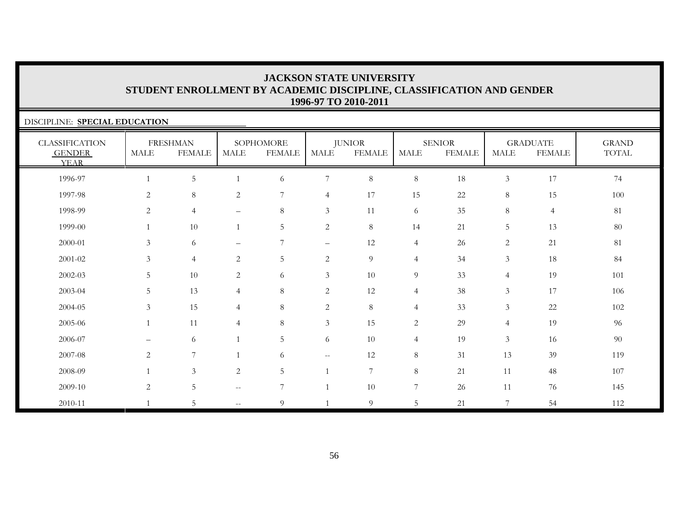| DISCIPLINE: SPECIAL EDUCATION                         |              |                                  |                                                     |                            |                          |                                |                |                                |                |                                  |                       |
|-------------------------------------------------------|--------------|----------------------------------|-----------------------------------------------------|----------------------------|--------------------------|--------------------------------|----------------|--------------------------------|----------------|----------------------------------|-----------------------|
| <b>CLASSIFICATION</b><br><b>GENDER</b><br><b>YEAR</b> | MALE         | <b>FRESHMAN</b><br><b>FEMALE</b> | MALE                                                | SOPHOMORE<br><b>FEMALE</b> | MALE                     | <b>JUNIOR</b><br><b>FEMALE</b> | <b>MALE</b>    | <b>SENIOR</b><br><b>FEMALE</b> | <b>MALE</b>    | <b>GRADUATE</b><br><b>FEMALE</b> | <b>GRAND</b><br>TOTAL |
| 1996-97                                               |              | 5 <sup>5</sup>                   |                                                     | 6                          | $\overline{7}$           | $\,8\,$                        | $8\,$          | 18                             | $\mathfrak{Z}$ | 17                               | 74                    |
| 1997-98                                               | $\mathbf{2}$ | 8                                | $\overline{2}$                                      | 7                          | $\overline{4}$           | 17                             | 15             | 22                             | 8              | 15                               | 100                   |
| 1998-99                                               | 2            | $\overline{4}$                   | $\qquad \qquad -$                                   | 8                          | 3                        | 11                             | 6              | 35                             | 8              | $\overline{4}$                   | 81                    |
| 1999-00                                               |              | 10                               |                                                     | 5                          | $\overline{c}$           | 8                              | 14             | 21                             | 5              | 13                               | 80                    |
| 2000-01                                               | 3            | 6                                | -                                                   | 7                          |                          | 12                             | $\overline{4}$ | 26                             | 2              | 21                               | 81                    |
| 2001-02                                               | 3            | $\overline{4}$                   | 2                                                   | 5                          | $\overline{2}$           | $\overline{9}$                 | $\overline{4}$ | 34                             | $\mathfrak{Z}$ | 18                               | 84                    |
| 2002-03                                               | 5            | 10                               | 2                                                   | 6                          | $\mathfrak{Z}$           | 10                             | 9              | 33                             | $\overline{4}$ | 19                               | 101                   |
| 2003-04                                               | 5            | 13                               | 4                                                   | 8                          | $\overline{c}$           | 12                             | $\overline{4}$ | 38                             | 3              | 17                               | 106                   |
| 2004-05                                               | 3            | 15                               | $\overline{4}$                                      | $8\,$                      | $\overline{2}$           | $8\,$                          | $\overline{4}$ | 33                             | $\mathfrak{Z}$ | $22\,$                           | 102                   |
| 2005-06                                               |              | 11                               | 4                                                   | $\,8\,$                    | $\mathfrak{Z}$           | 15                             | $\overline{2}$ | 29                             | $\overline{4}$ | 19                               | 96                    |
| 2006-07                                               |              | 6                                |                                                     | 5                          | 6                        | 10                             | $\overline{4}$ | 19                             | 3              | 16                               | 90                    |
| 2007-08                                               | 2            | 7                                |                                                     | 6                          | $\overline{\phantom{a}}$ | 12                             | $\,8\,$        | 31                             | 13             | 39                               | 119                   |
| 2008-09                                               |              | $\mathfrak{Z}$                   | $\overline{2}$                                      | $\overline{5}$             | $\mathbf{1}$             | $7\phantom{.}$                 | $\,8\,$        | 21                             | 11             | 48                               | 107                   |
| 2009-10                                               | 2            | 5 <sub>1</sub>                   | $\hspace{0.05cm} -\hspace{0.05cm} -\hspace{0.05cm}$ | $\overline{7}$             | 1                        | 10                             | $\overline{7}$ | 26                             | 11             | 76                               | 145                   |
| 2010-11                                               |              | 5                                |                                                     | 9                          |                          | 9                              | 5              | 21                             | 7              | 54                               | 112                   |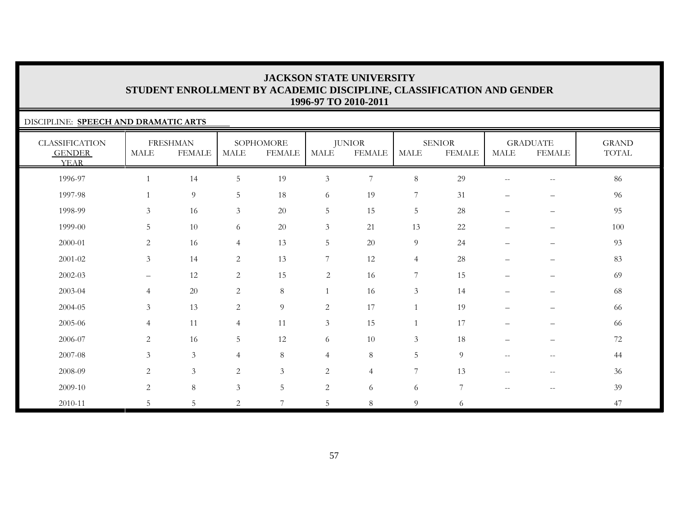### DISCIPLINE: **SPEECH AND DRAMATIC ARTS**

| <b>CLASSIFICATION</b><br><b>GENDER</b><br><b>YEAR</b> | <b>MALE</b>       | <b>FRESHMAN</b><br><b>FEMALE</b> | MALE           | SOPHOMORE<br><b>FEMALE</b> | MALE           | <b>JUNIOR</b><br><b>FEMALE</b> | <b>MALE</b>     | <b>SENIOR</b><br><b>FEMALE</b> | <b>MALE</b>                                         | <b>GRADUATE</b><br><b>FEMALE</b>                    | <b>GRAND</b><br>TOTAL |
|-------------------------------------------------------|-------------------|----------------------------------|----------------|----------------------------|----------------|--------------------------------|-----------------|--------------------------------|-----------------------------------------------------|-----------------------------------------------------|-----------------------|
| 1996-97                                               | $\mathbf{1}$      | 14                               | $\overline{5}$ | 19                         | $\mathfrak{Z}$ | $\sqrt{ }$                     | $8\,$           | 29                             | $\hspace{0.05cm} -\hspace{0.05cm} -\hspace{0.05cm}$ | $\sim$                                              | 86                    |
| 1997-98                                               | $\mathbf{1}$      | $\mathfrak g$                    | 5              | 18                         | 6              | 19                             | $\overline{7}$  | 31                             | $\overline{\phantom{0}}$                            | —                                                   | 96                    |
| 1998-99                                               | $\mathfrak{Z}$    | 16                               | $\mathfrak{Z}$ | $20\,$                     | $\mathbf 5$    | 15                             | $\overline{5}$  | 28                             | $\qquad \qquad -$                                   | $\overline{\phantom{m}}$                            | 95                    |
| 1999-00                                               | 5                 | 10                               | 6              | 20                         | $\mathfrak{Z}$ | 21                             | 13              | 22                             | $\qquad \qquad -$                                   | $\qquad \qquad -$                                   | 100                   |
| 2000-01                                               | 2                 | 16                               | $\overline{4}$ | 13                         | $\mathbf 5$    | 20                             | $\overline{9}$  | 24                             | $\overline{\phantom{0}}$                            | $\qquad \qquad -$                                   | 93                    |
| $2001 - 02$                                           | $\mathfrak{Z}$    | 14                               | 2              | 13                         | 7              | 12                             | $\overline{4}$  | $28\,$                         | $\overline{\phantom{0}}$                            | —                                                   | 83                    |
| 2002-03                                               | $\qquad \qquad -$ | 12                               | $\overline{c}$ | 15                         | $\sqrt{2}$     | 16                             | $\sqrt{ }$      | 15                             | $\overline{\phantom{m}}$                            | $\overline{\phantom{m}}$                            | 69                    |
| 2003-04                                               | $\overline{4}$    | $20\,$                           | $\mathbf{2}$   | $8\,$                      |                | 16                             | $\mathfrak{Z}$  | 14                             | $\overline{\phantom{0}}$                            | —                                                   | 68                    |
| 2004-05                                               | $\mathfrak{Z}$    | 13                               | $\overline{c}$ | $\overline{9}$             | $\sqrt{2}$     | 17                             |                 | 19                             | $\overline{\phantom{0}}$                            | $\overline{\phantom{0}}$                            | 66                    |
| 2005-06                                               | $\overline{4}$    | 11                               | $\overline{4}$ | 11                         | $\mathfrak{Z}$ | 15                             |                 | 17                             | $\overline{\phantom{0}}$                            | $\overline{\phantom{0}}$                            | 66                    |
| 2006-07                                               | $\overline{2}$    | 16                               | 5              | 12                         | 6              | 10                             | $\mathfrak{Z}$  | 18                             | $\overline{\phantom{0}}$                            | $\overline{\phantom{m}}$                            | $72\,$                |
| 2007-08                                               | $\mathfrak{Z}$    | $\mathfrak{Z}$                   | $\overline{4}$ | $8\,$                      | $\overline{4}$ | $8\,$                          | $5\phantom{.0}$ | 9                              | $\hspace{0.05cm} -\hspace{0.05cm} -\hspace{0.05cm}$ | $-\,-$                                              | 44                    |
| 2008-09                                               | $\overline{2}$    | $\mathfrak{Z}$                   | 2              | $\mathfrak{Z}$             | $\sqrt{2}$     | $\overline{4}$                 | 7               | 13                             | $\overline{\phantom{m}}$                            | $\hspace{0.05cm} -\hspace{0.05cm} -\hspace{0.05cm}$ | 36                    |
| 2009-10                                               | $\overline{2}$    | $\,8\,$                          | 3              | 5                          | $\sqrt{2}$     | 6                              | 6               | $7\phantom{.0}$                | $\overline{\phantom{m}}$                            | $\overline{\phantom{m}}$                            | 39                    |
| 2010-11                                               | 5                 | 5                                | 2              | 7                          | 5              | 8                              | 9               | 6                              |                                                     |                                                     | 47                    |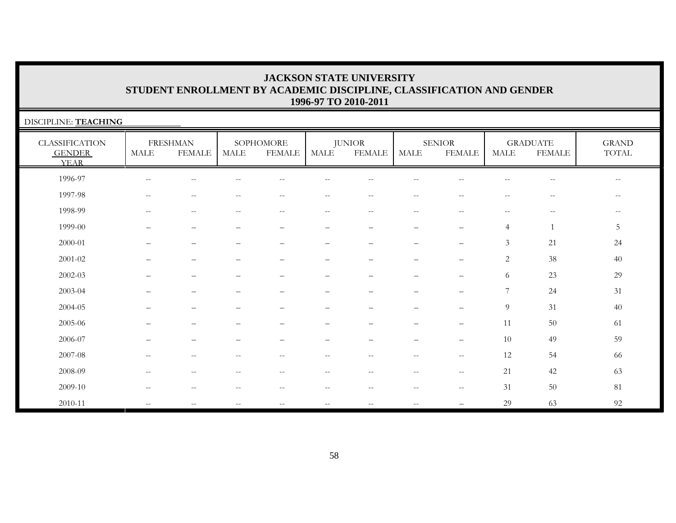| DISCIPLINE: TEACHING                                  |                   |                                  |                   |                            |                                                       |                                |                                                       |                                |                          |                                                       |                          |
|-------------------------------------------------------|-------------------|----------------------------------|-------------------|----------------------------|-------------------------------------------------------|--------------------------------|-------------------------------------------------------|--------------------------------|--------------------------|-------------------------------------------------------|--------------------------|
| <b>CLASSIFICATION</b><br><b>GENDER</b><br><b>YEAR</b> | MALE              | <b>FRESHMAN</b><br><b>FEMALE</b> | MALE              | SOPHOMORE<br><b>FEMALE</b> | MALE                                                  | <b>JUNIOR</b><br><b>FEMALE</b> | <b>MALE</b>                                           | <b>SENIOR</b><br><b>FEMALE</b> | MALE                     | <b>GRADUATE</b><br><b>FEMALE</b>                      | <b>GRAND</b><br>TOTAL    |
| 1996-97                                               | $-$               |                                  |                   |                            |                                                       |                                |                                                       |                                |                          |                                                       | $\qquad \qquad -$        |
| 1997-98                                               | $-$               | $\overline{\phantom{m}}$         | $\qquad \qquad -$ | $\overline{\phantom{m}}$   | $\hspace{0.05cm} - \hspace{0.05cm} - \hspace{0.05cm}$ | $- -$                          | $\overline{\phantom{m}}$                              | $- -$                          | $\overline{\phantom{m}}$ | $\overline{\phantom{m}}$                              | $\overline{\phantom{a}}$ |
| 1998-99                                               | $\qquad \qquad -$ | $\qquad \qquad -$                | $- -$             | $\overline{\phantom{m}}$   | $\overline{\phantom{m}}$                              | $- -$                          | $\hspace{0.05cm} - \hspace{0.05cm} - \hspace{0.05cm}$ | $- -$                          | $\overline{\phantom{m}}$ | $\hspace{0.05cm} - \hspace{0.05cm} - \hspace{0.05cm}$ | $- -$                    |
| 1999-00                                               |                   |                                  |                   |                            |                                                       |                                |                                                       | -                              | $\overline{4}$           | $\mathbf{1}$                                          | 5                        |
| 2000-01                                               |                   |                                  |                   | -                          | -                                                     | -                              |                                                       |                                | $\mathfrak{Z}$           | 21                                                    | 24                       |
| 2001-02                                               |                   |                                  |                   | -                          |                                                       |                                |                                                       |                                | 2                        | 38                                                    | 40                       |
| $2002 - 03$                                           |                   |                                  |                   |                            |                                                       |                                |                                                       |                                | 6                        | 23                                                    | 29                       |
| 2003-04                                               |                   |                                  |                   |                            |                                                       |                                |                                                       |                                | $\overline{7}$           | 24                                                    | 31                       |
| 2004-05                                               |                   |                                  |                   |                            |                                                       |                                |                                                       |                                | 9                        | 31                                                    | 40                       |
| 2005-06                                               |                   |                                  |                   |                            |                                                       |                                |                                                       |                                | 11                       | 50                                                    | 61                       |
| 2006-07                                               |                   |                                  |                   |                            | $\overline{\phantom{0}}$                              |                                | $\overline{\phantom{0}}$                              |                                | 10                       | 49                                                    | 59                       |
| 2007-08                                               | $-$               | $\qquad \qquad -$                | --                | --                         | $- -$                                                 | --                             | $\qquad \qquad -$                                     | $--$                           | 12                       | 54                                                    | 66                       |
| 2008-09                                               | $-$               |                                  |                   |                            | $\hspace{0.05cm} - \hspace{0.05cm} - \hspace{0.05cm}$ | --                             | $-$                                                   | $--$                           | 21                       | 42                                                    | 63                       |
| 2009-10                                               | $-$               | $-$                              | $-$               | $\sim$                     | $- -$                                                 | $- -$                          | $\mathrel{{-}{-}}$                                    | $--$                           | 31                       | 50                                                    | 81                       |
| 2010-11                                               | $\qquad \qquad -$ | --                               | $\qquad \qquad -$ | $\qquad \qquad -$          | $-\,-$                                                | $\overline{\phantom{a}}$       | $-\,-$                                                |                                | 29                       | 63                                                    | 92                       |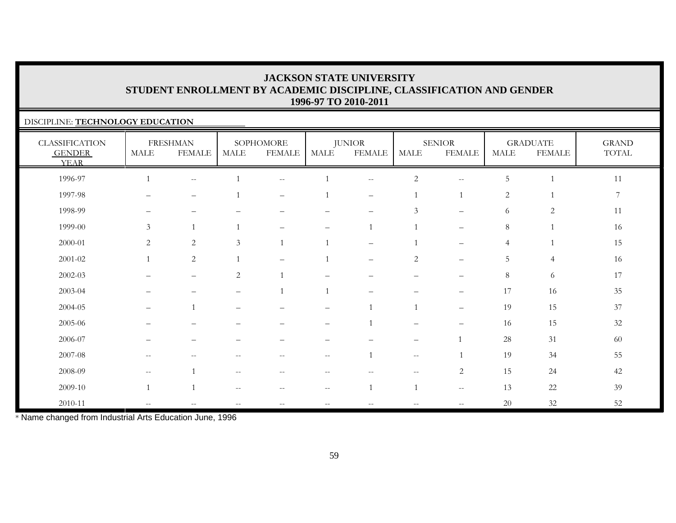### DISCIPLINE: **TECHNOLOGY EDUCATION**

| <b>CLASSIFICATION</b><br><b>GENDER</b><br><b>YEAR</b> | <b>MALE</b>                                         | <b>FRESHMAN</b><br><b>FEMALE</b> | MALE           | SOPHOMORE<br><b>FEMALE</b> | MALE                                                | <b>JUNIOR</b><br><b>FEMALE</b>                        | MALE                                          | <b>SENIOR</b><br><b>FEMALE</b> | <b>MALE</b>    | <b>GRADUATE</b><br><b>FEMALE</b> | <b>GRAND</b><br>$\operatorname{TOTAL}$ |
|-------------------------------------------------------|-----------------------------------------------------|----------------------------------|----------------|----------------------------|-----------------------------------------------------|-------------------------------------------------------|-----------------------------------------------|--------------------------------|----------------|----------------------------------|----------------------------------------|
| 1996-97                                               |                                                     | $\overline{\phantom{m}}$         |                | $--$                       |                                                     | $\overline{\phantom{m}}$                              | $\sqrt{2}$                                    | $\mathrel{{-}{-}}$             | 5              |                                  | 11                                     |
| 1997-98                                               |                                                     | $\overline{\phantom{m}}$         |                | $\overline{\phantom{m}}$   |                                                     | $\overline{\phantom{m}}$                              |                                               | $\mathbf{1}$                   | $\mathbf{2}$   |                                  | $7\phantom{.0}$                        |
| 1998-99                                               | $\overline{\phantom{m}}$                            | $\overline{\phantom{m}}$         |                |                            |                                                     | $\qquad \qquad -$                                     | 3                                             | $\qquad \qquad -$              | 6              | $\overline{2}$                   | 11                                     |
| 1999-00                                               | $\mathfrak{Z}$                                      | 1                                | $\mathbf{1}$   | -                          | $\equiv$                                            | $\mathbf{1}$                                          |                                               | $\overline{\phantom{0}}$       | $8\,$          | $\mathbf{1}$                     | 16                                     |
| 2000-01                                               | 2                                                   | $\sqrt{2}$                       | 3              |                            |                                                     | $\qquad \qquad =$                                     |                                               |                                | $\overline{4}$ |                                  | 15                                     |
| $2001 - 02$                                           |                                                     | 2                                | $\overline{1}$ |                            |                                                     | $\overline{\phantom{0}}$                              | $\sqrt{2}$                                    | $\overline{\phantom{0}}$       | 5              | $\overline{4}$                   | 16                                     |
| $2002 - 03$                                           |                                                     | $\overbrace{\phantom{1232211}}$  | $\overline{c}$ |                            |                                                     |                                                       |                                               |                                | $8\,$          | 6                                | 17                                     |
| 2003-04                                               |                                                     |                                  |                |                            |                                                     |                                                       |                                               | $\overline{\phantom{0}}$       | 17             | 16                               | 35                                     |
| 2004-05                                               | $\qquad \qquad -$                                   |                                  |                |                            | $\overline{\phantom{0}}$                            |                                                       |                                               | $\qquad \qquad -$              | 19             | 15                               | 37                                     |
| 2005-06                                               |                                                     |                                  |                |                            |                                                     |                                                       |                                               |                                | 16             | 15                               | 32                                     |
| 2006-07                                               |                                                     |                                  |                |                            |                                                     |                                                       |                                               |                                | 28             | 31                               | 60                                     |
| 2007-08                                               | $\hspace{0.05cm} -\hspace{0.05cm} -\hspace{0.05cm}$ | $\frac{1}{2}$                    | $-$            | $\overline{\phantom{a}}$   | $--$                                                |                                                       | $\mathord{\hspace{1pt}\text{--}\hspace{1pt}}$ |                                | 19             | 34                               | 55                                     |
| 2008-09                                               | $\hspace{0.05cm} -\hspace{0.05cm} -\hspace{0.05cm}$ | $\mathbf{1}$                     | $-$            | $\qquad \qquad -$          | $\qquad \qquad -$                                   | $\hspace{0.05cm} - \hspace{0.05cm} - \hspace{0.05cm}$ | $--$                                          | 2                              | 15             | 24                               | 42                                     |
| 2009-10                                               |                                                     | $\overline{1}$                   | $- -$          | $\overline{\phantom{m}}$   | $\hspace{0.05cm} -\hspace{0.05cm} -\hspace{0.05cm}$ | $\mathbf{1}$                                          | $\mathbf{1}$                                  | $\overline{\phantom{m}}$       | 13             | 22                               | 39                                     |
| 2010-11                                               | $\overline{\phantom{a}}$                            |                                  |                | $\overline{\phantom{a}}$   | $\qquad \qquad -$                                   | $\overline{\phantom{m}}$                              | $\overline{\phantom{m}}$                      | $-$                            | 20             | $32\,$                           | 52                                     |

\* Name changed from Industrial Arts Education June, 1996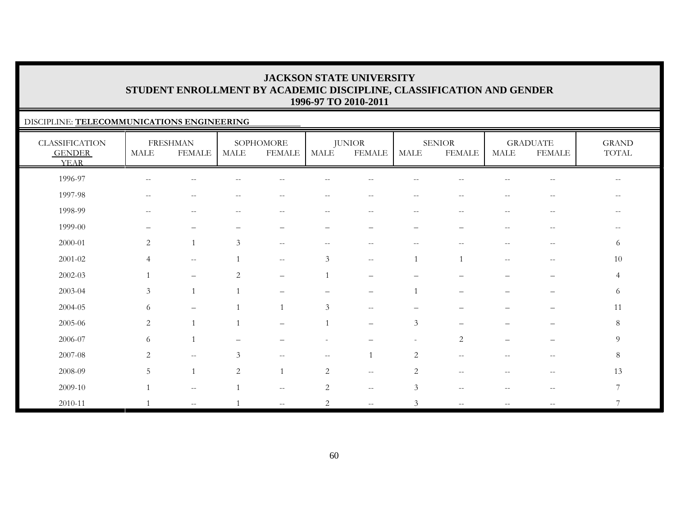### DISCIPLINE: **TELECOMMUNICATIONS ENGINEERING**

| <b>CLASSIFICATION</b><br><b>GENDER</b><br><b>YEAR</b> | <b>MALE</b>                                         | <b>FRESHMAN</b><br><b>FEMALE</b> | <b>MALE</b>                                           | SOPHOMORE<br><b>FEMALE</b>                            | MALE                     | <b>JUNIOR</b><br><b>FEMALE</b>                | MALE                     | <b>SENIOR</b><br><b>FEMALE</b>        | <b>MALE</b>                                           | <b>GRADUATE</b><br><b>FEMALE</b>                    | <b>GRAND</b><br>TOTAL    |
|-------------------------------------------------------|-----------------------------------------------------|----------------------------------|-------------------------------------------------------|-------------------------------------------------------|--------------------------|-----------------------------------------------|--------------------------|---------------------------------------|-------------------------------------------------------|-----------------------------------------------------|--------------------------|
| 1996-97                                               | $\hspace{0.05cm} -\hspace{0.05cm} -\hspace{0.05cm}$ | $- -$                            |                                                       | $-$                                                   |                          | $-$                                           | $\overline{\phantom{m}}$ | --                                    |                                                       | $\overline{\phantom{m}}$                            | $\overline{\phantom{m}}$ |
| 1997-98                                               | $\hspace{0.1mm}-\hspace{0.1mm}-\hspace{0.1mm}$      | $- -$                            | $\hspace{0.05cm} - \hspace{0.05cm} - \hspace{0.05cm}$ | $\hspace{0.05cm} - \hspace{0.05cm} - \hspace{0.05cm}$ | $\overline{\phantom{m}}$ | $\overline{\phantom{m}}$                      | $--$                     | $\hspace{0.05cm}$ – $\hspace{0.05cm}$ | $\hspace{0.05cm} - \hspace{0.05cm} - \hspace{0.05cm}$ | $-\,-$                                              | $\overline{\phantom{m}}$ |
| 1998-99                                               | $\hspace{0.05cm} -\hspace{0.05cm} -\hspace{0.05cm}$ | $- -$                            |                                                       | $-$                                                   | $- -$                    | $\mathord{\hspace{1pt}\text{--}\hspace{1pt}}$ | $--$                     | $\sim$ $\sim$                         | $\overline{\phantom{m}}$                              | $\hspace{0.05cm} -\hspace{0.05cm} -\hspace{0.05cm}$ |                          |
| 1999-00                                               | $\qquad \qquad -$                                   | $\overbrace{\phantom{12322111}}$ |                                                       | -                                                     | $\overline{\phantom{0}}$ |                                               | $\qquad \qquad -$        | $\overline{\phantom{0}}$              | $\overline{\phantom{m}}$                              | $-\,-$                                              | $\qquad \qquad -$        |
| 2000-01                                               | 2                                                   | $\overline{1}$                   | $\mathfrak{Z}$                                        | $\overline{\phantom{m}}$                              | --                       | $\hspace{0.05cm}$ – $\hspace{0.05cm}$         | $\overline{\phantom{m}}$ | $- -$                                 | $-$                                                   | $-\,-$                                              | 6                        |
| $2001 - 02$                                           | $\overline{4}$                                      | $\sim$ $\sim$                    |                                                       | $\sim$ $\sim$                                         | 3                        | $- -$                                         |                          |                                       | $\hspace{0.05cm} - \hspace{0.05cm} - \hspace{0.05cm}$ | $\overline{\phantom{m}}$                            | 10                       |
| 2002-03                                               |                                                     | $\overline{\phantom{m}}$         | $\overline{2}$                                        | $\overline{\phantom{m}}$                              |                          | $\overline{\phantom{0}}$                      |                          |                                       |                                                       | $\overline{\phantom{m}}$                            | $\overline{4}$           |
| 2003-04                                               | $\mathfrak{Z}$                                      | $\mathbf{1}$                     | $\mathbf{1}$                                          |                                                       |                          | $\overline{\phantom{0}}$                      |                          |                                       |                                                       |                                                     | 6                        |
| 2004-05                                               | 6                                                   | $\qquad \qquad -$                |                                                       | $\overline{1}$                                        | $\mathfrak{Z}$           | $\sim$ $-$                                    |                          |                                       |                                                       |                                                     | 11                       |
| 2005-06                                               | $\sqrt{2}$                                          | $\overline{1}$                   |                                                       |                                                       |                          | $\qquad \qquad -$                             | $\mathfrak{Z}$           |                                       |                                                       |                                                     | $8\,$                    |
| 2006-07                                               | 6                                                   | $\overline{1}$                   | $\overline{\phantom{m}}$                              | -                                                     |                          | $\overbrace{\phantom{1232211}}$               | $\overline{\phantom{a}}$ | $\overline{2}$                        | $\qquad \qquad -$                                     | $\overline{\phantom{m}}$                            | 9                        |
| 2007-08                                               | 2                                                   | $\sim$ $\sim$                    | 3                                                     | $\overline{\phantom{m}}$                              | $- -$                    |                                               | $\mathbf{2}$             | $\overline{\phantom{m}}$              | --                                                    | $\overline{\phantom{m}}$                            | 8                        |
| 2008-09                                               | 5                                                   | $\overline{1}$                   | 2                                                     | $\overline{1}$                                        | 2                        | $\sim$ $\sim$                                 | 2                        | $\overline{\phantom{m}}$              | $-$                                                   | $\hspace{0.05cm} -\hspace{0.05cm} -\hspace{0.05cm}$ | 13                       |
| 2009-10                                               |                                                     | $\sim$ $\sim$                    |                                                       | $\overline{\phantom{m}}$                              | $\mathbf{2}$             | $\sim$ $\sim$                                 | $\mathfrak{Z}$           | $\sim$ $-$                            | $-$                                                   | $\overline{\phantom{m}}$                            | $7\phantom{.0}$          |
| 2010-11                                               |                                                     | $\sim$ $-$                       |                                                       | $\mathbf{u}$                                          | $\overline{c}$           | $\mathord{\hspace{1pt}\text{--}\hspace{1pt}}$ | $\mathfrak{Z}$           | $\overline{\phantom{m}}$              | $\overline{\phantom{m}}$                              | $- -$                                               | 7                        |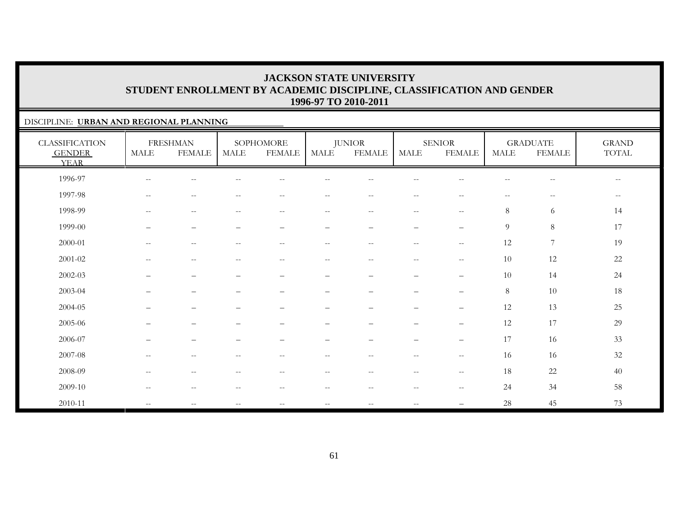### DISCIPLINE: **URBAN AND REGIONAL PLANNING**

| <b>CLASSIFICATION</b><br><b>GENDER</b><br><b>YEAR</b> | <b>MALE</b>                                         | <b>FRESHMAN</b><br><b>FEMALE</b>                    | <b>MALE</b>                                         | SOPHOMORE<br><b>FEMALE</b>                            | <b>MALE</b>              | <b>JUNIOR</b><br><b>FEMALE</b> | <b>MALE</b>              | <b>SENIOR</b><br><b>FEMALE</b>  | <b>MALE</b>              | <b>GRADUATE</b><br><b>FEMALE</b>                      | <b>GRAND</b><br>TOTAL                          |
|-------------------------------------------------------|-----------------------------------------------------|-----------------------------------------------------|-----------------------------------------------------|-------------------------------------------------------|--------------------------|--------------------------------|--------------------------|---------------------------------|--------------------------|-------------------------------------------------------|------------------------------------------------|
| 1996-97                                               | $\hspace{0.05cm} -\hspace{0.05cm} -\hspace{0.05cm}$ | $-$                                                 |                                                     | $-$                                                   | --                       | $-$                            | $- -$                    | $-$                             | $-$                      | $\hspace{0.05cm} -\hspace{0.05cm} -\hspace{0.05cm}$   | $\sim$ $\sim$                                  |
| 1997-98                                               | $\hspace{0.05cm} -\hspace{0.05cm} -\hspace{0.05cm}$ | $\hspace{0.05cm} -\hspace{0.05cm} -\hspace{0.05cm}$ | $\hspace{0.05cm} -\hspace{0.05cm} -\hspace{0.05cm}$ | $\overline{\phantom{m}}$                              | $-\,-$                   | $\overline{\phantom{m}}$       | $\overline{\phantom{m}}$ | $-\,-$                          | $\overline{\phantom{m}}$ | $\hspace{0.05cm} - \hspace{0.05cm} - \hspace{0.05cm}$ | $\hspace{0.1mm}-\hspace{0.1mm}-\hspace{0.1mm}$ |
| 1998-99                                               | $\hspace{0.05cm} -\hspace{0.05cm} -\hspace{0.05cm}$ | $\overline{\phantom{m}}$                            | $\overline{\phantom{m}}$                            | $\hspace{0.05cm} - \hspace{0.05cm} - \hspace{0.05cm}$ | $-\,-$                   | $\overline{\phantom{m}}$       | $\overline{\phantom{m}}$ | $-\,-$                          | 8                        | 6                                                     | 14                                             |
| 1999-00                                               | —                                                   | $\qquad \qquad -$                                   | $\overline{\phantom{m}}$                            | $\qquad \qquad -$                                     | $\qquad \qquad -$        | $\qquad \qquad -$              | $\qquad \qquad -$        | $\overbrace{\phantom{1232211}}$ | 9                        | $\,8\,$                                               | 17                                             |
| 2000-01                                               | $\hspace{0.05cm} -\hspace{0.05cm} -\hspace{0.05cm}$ | $\overline{\phantom{m}}$                            | $\sim$ $-$                                          | $\overline{\phantom{m}}$                              | $- -$                    | $\overline{\phantom{m}}$       | $\overline{\phantom{m}}$ | $-\,-$                          | 12                       | $\boldsymbol{7}$                                      | 19                                             |
| $2001 - 02$                                           | $\hspace{0.05cm} -\hspace{0.05cm} -\hspace{0.05cm}$ | $\overline{\phantom{m}}$                            | $-$                                                 | $\overline{\phantom{m}}$                              | $-\,-$                   | $\overline{\phantom{m}}$       | $\overline{\phantom{m}}$ | $\sim$ $\sim$                   | 10                       | 12                                                    | $22\,$                                         |
| 2002-03                                               | —                                                   | $\qquad \qquad -$                                   | $\overline{\phantom{m}}$                            | $\overline{\phantom{0}}$                              | $\qquad \qquad -$        | $\qquad \qquad -$              | $\overline{\phantom{m}}$ | $\overline{\phantom{m}}$        | 10                       | 14                                                    | 24                                             |
| 2003-04                                               | $\overline{\phantom{0}}$                            | $\qquad \qquad -$                                   | $\overline{\phantom{0}}$                            | $\overline{\phantom{0}}$                              | $\qquad \qquad -$        | $\qquad \qquad -$              | $\qquad \qquad -$        | $\qquad \qquad -$               | 8                        | 10                                                    | 18                                             |
| 2004-05                                               | $\overline{\phantom{0}}$                            | $\qquad \qquad -$                                   |                                                     | $\overline{\phantom{0}}$                              | $\overline{\phantom{0}}$ | $\overline{\phantom{0}}$       | $\qquad \qquad -$        | $\overline{\phantom{m}}$        | 12                       | 13                                                    | $25\,$                                         |
| 2005-06                                               |                                                     | $\overline{\phantom{0}}$                            |                                                     |                                                       |                          |                                |                          | $\overline{\phantom{0}}$        | 12                       | 17                                                    | 29                                             |
| 2006-07                                               | —                                                   | $\qquad \qquad -$                                   |                                                     |                                                       |                          |                                | -                        | $\overline{\phantom{m}}$        | 17                       | 16                                                    | 33                                             |
| 2007-08                                               | $\overline{\phantom{m}}$                            | $\overline{\phantom{m}}$                            | $--$                                                | $--$                                                  | $-\,-$                   | $-\,-$                         | $--$                     | $-\,-$                          | 16                       | 16                                                    | 32                                             |
| 2008-09                                               | $\hspace{0.05cm} -\hspace{0.05cm} -\hspace{0.05cm}$ | $\overline{\phantom{m}}$                            | $-$                                                 | $-$                                                   | $- -$                    | $\overline{\phantom{m}}$       | $\overline{\phantom{m}}$ | $-\,-$                          | 18                       | 22                                                    | 40                                             |
| 2009-10                                               | $\hspace{0.05cm} -\hspace{0.05cm} -\hspace{0.05cm}$ | $\overline{\phantom{m}}$                            | $\hspace{0.05cm} -\hspace{0.05cm} -\hspace{0.05cm}$ | $\hspace{0.05cm} -\hspace{0.05cm} -\hspace{0.05cm}$   | $- -$                    | $\overline{\phantom{m}}$       | $--$                     | $-\,-$                          | 24                       | 34                                                    | 58                                             |
| 2010-11                                               | $\mathcal{L}=\mathcal{L}$                           | $-$                                                 | $\overline{\phantom{m}}$                            | $\overline{\phantom{m}}$                              | $-\,-$                   | $\overline{\phantom{m}}$       | $\overline{\phantom{m}}$ |                                 | 28                       | 45                                                    | 73                                             |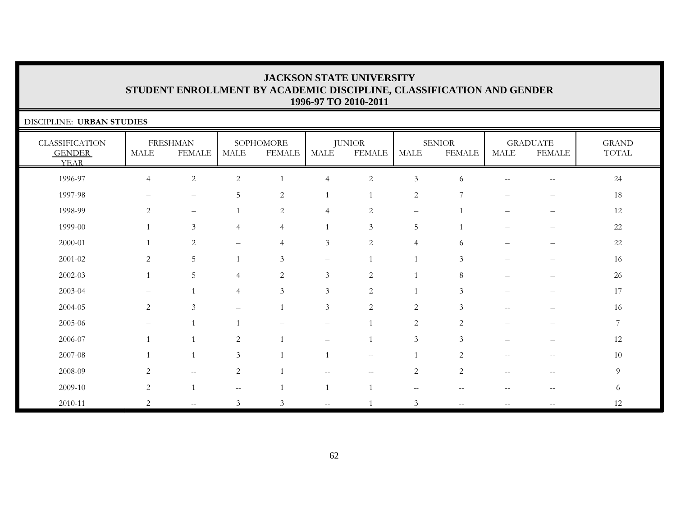| DISCIPLINE: URBAN STUDIES                             |                       |                                  |                          |                            |                   |                                |                   |                                |             |                                  |                       |
|-------------------------------------------------------|-----------------------|----------------------------------|--------------------------|----------------------------|-------------------|--------------------------------|-------------------|--------------------------------|-------------|----------------------------------|-----------------------|
| <b>CLASSIFICATION</b><br><b>GENDER</b><br><b>YEAR</b> | $\operatorname{MALE}$ | <b>FRESHMAN</b><br><b>FEMALE</b> | <b>MALE</b>              | SOPHOMORE<br><b>FEMALE</b> | MALE              | <b>JUNIOR</b><br><b>FEMALE</b> | <b>MALE</b>       | <b>SENIOR</b><br><b>FEMALE</b> | <b>MALE</b> | <b>GRADUATE</b><br><b>FEMALE</b> | <b>GRAND</b><br>TOTAL |
| 1996-97                                               | $\overline{4}$        | $\sqrt{2}$                       | $\mathbf{2}$             | $\mathbf{1}$               | $\overline{4}$    | $\overline{c}$                 | $\mathfrak{Z}$    | 6                              | $-$         | $- -$                            | 24                    |
| 1997-98                                               |                       | $\overline{\phantom{0}}$         | 5                        | $\overline{c}$             | $\mathbf{1}$      |                                | $\sqrt{2}$        | 7                              |             |                                  | 18                    |
| 1998-99                                               | 2                     | $\qquad \qquad -$                |                          | $\overline{c}$             | $\overline{4}$    | $\overline{c}$                 | $\qquad \qquad -$ |                                |             | $\overline{\phantom{0}}$         | 12                    |
| 1999-00                                               | $\overline{1}$        | $\mathfrak{Z}$                   | $\overline{4}$           | $\overline{4}$             | $\mathbf{1}$      | $\mathfrak{Z}$                 | 5                 | $\overline{1}$                 |             |                                  | 22                    |
| 2000-01                                               |                       | 2                                | —                        | $\overline{4}$             | $\mathfrak{Z}$    | 2                              | $\overline{4}$    | 6                              |             |                                  | 22                    |
| 2001-02                                               | 2                     | $5\phantom{.0}$                  |                          | 3                          | $\qquad \qquad -$ |                                | $\mathbf{1}$      | 3                              |             |                                  | 16                    |
| $2002 - 03$                                           |                       | 5                                | 4                        | $\overline{c}$             | $\mathfrak{Z}$    | 2                              | $\mathbf{1}$      | 8                              |             |                                  | 26                    |
| 2003-04                                               |                       |                                  | $\overline{4}$           | 3                          | 3                 | 2                              | $\mathbf{1}$      | 3                              |             |                                  | 17                    |
| 2004-05                                               | 2                     | 3                                | —                        |                            | $\mathfrak{Z}$    | 2                              | $\overline{c}$    | 3                              | $-$         |                                  | 16                    |
| 2005-06                                               |                       |                                  |                          |                            |                   |                                | 2                 | 2                              |             |                                  | $\overline{7}$        |
| 2006-07                                               |                       |                                  | $\overline{c}$           |                            |                   |                                | 3                 | 3                              |             |                                  | 12                    |
| 2007-08                                               |                       |                                  | 3                        |                            | $\mathbf{1}$      | $- -$                          |                   | 2                              | $-$         | --                               | 10                    |
| 2008-09                                               | 2                     | $ -$                             | $\mathbf{2}$             |                            |                   |                                | $\overline{2}$    | $\mathbf{2}$                   |             |                                  | 9                     |
| 2009-10                                               | 2                     |                                  | $\overline{\phantom{m}}$ |                            | $\mathbf{1}$      |                                | $-$               |                                | $-$         | --                               | 6                     |
| 2010-11                                               | 2                     | $\sim$ $-$                       | 3                        | 3                          |                   |                                | $\mathfrak{Z}$    |                                |             |                                  | 12                    |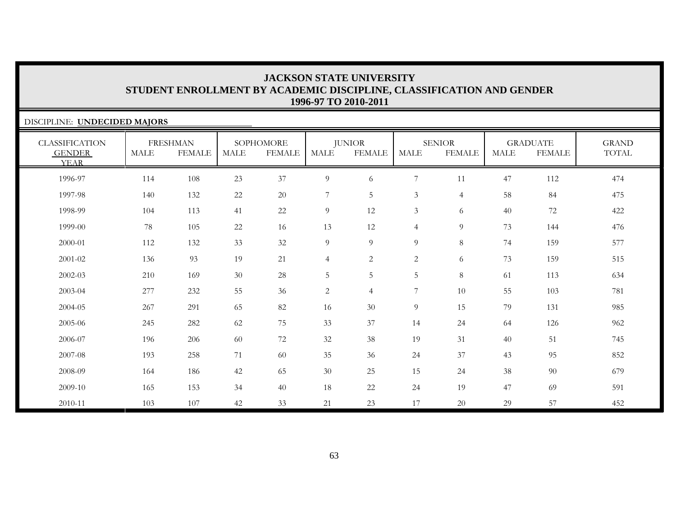| DISCIPLINE: UNDECIDED MAJORS                          |             |                                  |             |                            |                |                                |                |                                |             |                                  |                       |
|-------------------------------------------------------|-------------|----------------------------------|-------------|----------------------------|----------------|--------------------------------|----------------|--------------------------------|-------------|----------------------------------|-----------------------|
| <b>CLASSIFICATION</b><br><b>GENDER</b><br><b>YEAR</b> | <b>MALE</b> | <b>FRESHMAN</b><br><b>FEMALE</b> | <b>MALE</b> | SOPHOMORE<br><b>FEMALE</b> | <b>MALE</b>    | <b>JUNIOR</b><br><b>FEMALE</b> | <b>MALE</b>    | <b>SENIOR</b><br><b>FEMALE</b> | <b>MALE</b> | <b>GRADUATE</b><br><b>FEMALE</b> | <b>GRAND</b><br>TOTAL |
| 1996-97                                               | 114         | 108                              | 23          | 37                         | 9              | 6                              | 7              | 11                             | 47          | 112                              | 474                   |
| 1997-98                                               | 140         | 132                              | 22          | 20                         | $\overline{7}$ | 5                              | $\mathfrak{Z}$ | $\overline{4}$                 | 58          | 84                               | 475                   |
| 1998-99                                               | 104         | 113                              | 41          | 22                         | 9              | 12                             | $\mathfrak{Z}$ | 6                              | 40          | 72                               | 422                   |
| 1999-00                                               | 78          | 105                              | 22          | 16                         | 13             | 12                             | $\overline{4}$ | 9                              | 73          | 144                              | 476                   |
| 2000-01                                               | 112         | 132                              | 33          | 32                         | $\overline{9}$ | 9                              | 9              | 8                              | 74          | 159                              | 577                   |
| 2001-02                                               | 136         | 93                               | 19          | 21                         | $\overline{4}$ | 2                              | 2              | 6                              | 73          | 159                              | 515                   |
| 2002-03                                               | 210         | 169                              | 30          | 28                         | $\overline{5}$ | 5                              | 5              | 8                              | 61          | 113                              | 634                   |
| 2003-04                                               | 277         | 232                              | 55          | 36                         | $\overline{2}$ | $\overline{4}$                 | 7              | 10                             | 55          | 103                              | 781                   |
| 2004-05                                               | 267         | 291                              | 65          | 82                         | 16             | 30                             | 9              | 15                             | 79          | 131                              | 985                   |
| 2005-06                                               | 245         | 282                              | 62          | 75                         | 33             | 37                             | 14             | 24                             | 64          | 126                              | 962                   |
| 2006-07                                               | 196         | 206                              | 60          | 72                         | 32             | 38                             | 19             | 31                             | 40          | 51                               | 745                   |
| 2007-08                                               | 193         | 258                              | 71          | 60                         | 35             | 36                             | 24             | 37                             | 43          | 95                               | 852                   |
| 2008-09                                               | 164         | 186                              | 42          | 65                         | 30             | 25                             | 15             | 24                             | 38          | 90                               | 679                   |
| 2009-10                                               | 165         | 153                              | 34          | 40                         | 18             | 22                             | 24             | 19                             | 47          | 69                               | 591                   |
| 2010-11                                               | 103         | 107                              | 42          | 33                         | 21             | 23                             | 17             | 20                             | 29          | 57                               | 452                   |